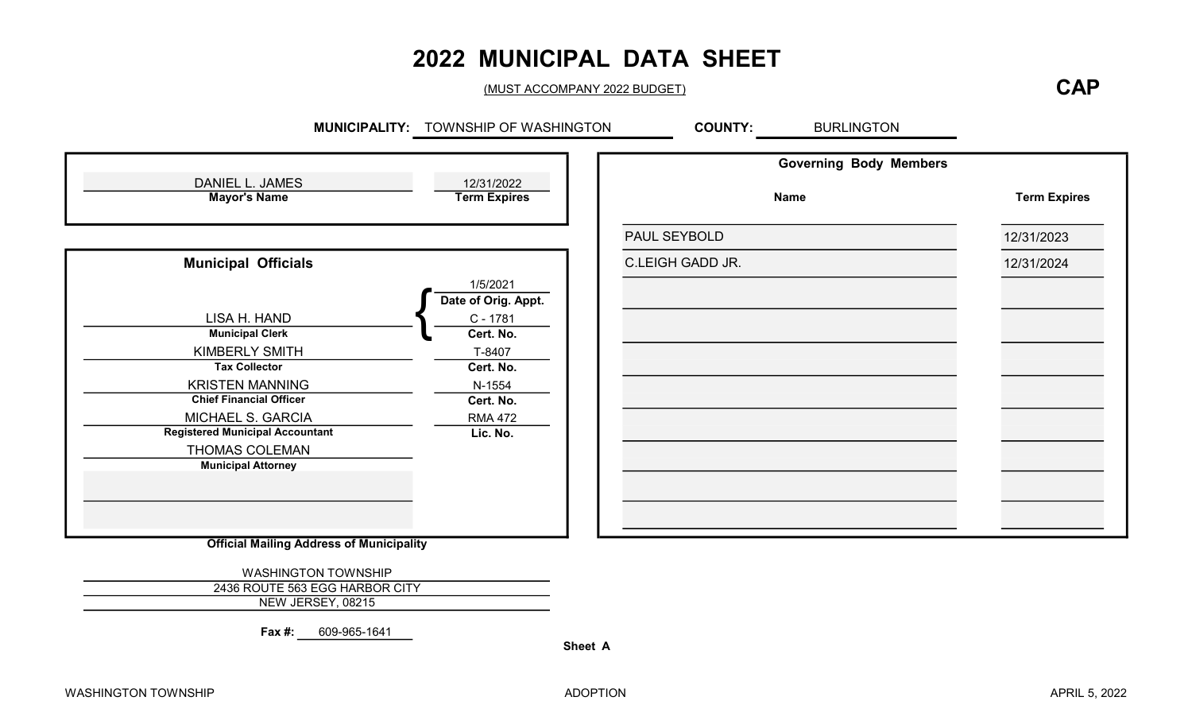## 2022 MUNICIPAL DATA SHEET

(MUST ACCOMPANY 2022 BUDGET)

#### **CAP**

|                                        |                                   | <b>Governing Body Members</b> |                     |
|----------------------------------------|-----------------------------------|-------------------------------|---------------------|
| DANIEL L. JAMES<br><b>Mayor's Name</b> | 12/31/2022<br><b>Term Expires</b> | <b>Name</b>                   | <b>Term Expires</b> |
|                                        |                                   | PAUL SEYBOLD                  | 12/31/2023          |
| <b>Municipal Officials</b>             |                                   | <b>C.LEIGH GADD JR.</b>       | 12/31/2024          |
|                                        | 1/5/2021<br>Date of Orig. Appt.   |                               |                     |
| LISA H. HAND                           | $C - 1781$                        |                               |                     |
| <b>Municipal Clerk</b>                 | Cert. No.                         |                               |                     |
| KIMBERLY SMITH                         | T-8407                            |                               |                     |
| <b>Tax Collector</b>                   | Cert. No.                         |                               |                     |
| <b>KRISTEN MANNING</b>                 | N-1554                            |                               |                     |
| <b>Chief Financial Officer</b>         | Cert. No.                         |                               |                     |
| MICHAEL S. GARCIA                      | <b>RMA 472</b>                    |                               |                     |
| <b>Registered Municipal Accountant</b> | Lic. No.                          |                               |                     |
| THOMAS COLEMAN                         |                                   |                               |                     |
| <b>Municipal Attorney</b>              |                                   |                               |                     |
|                                        |                                   |                               |                     |
|                                        |                                   |                               |                     |

Official Mailing Address of Municipality

WASHINGTON TOWNSHIP 2436 ROUTE 563 EGG HARBOR CITY NEW JERSEY, 08215

Fax #: 609-965-1641

Sheet A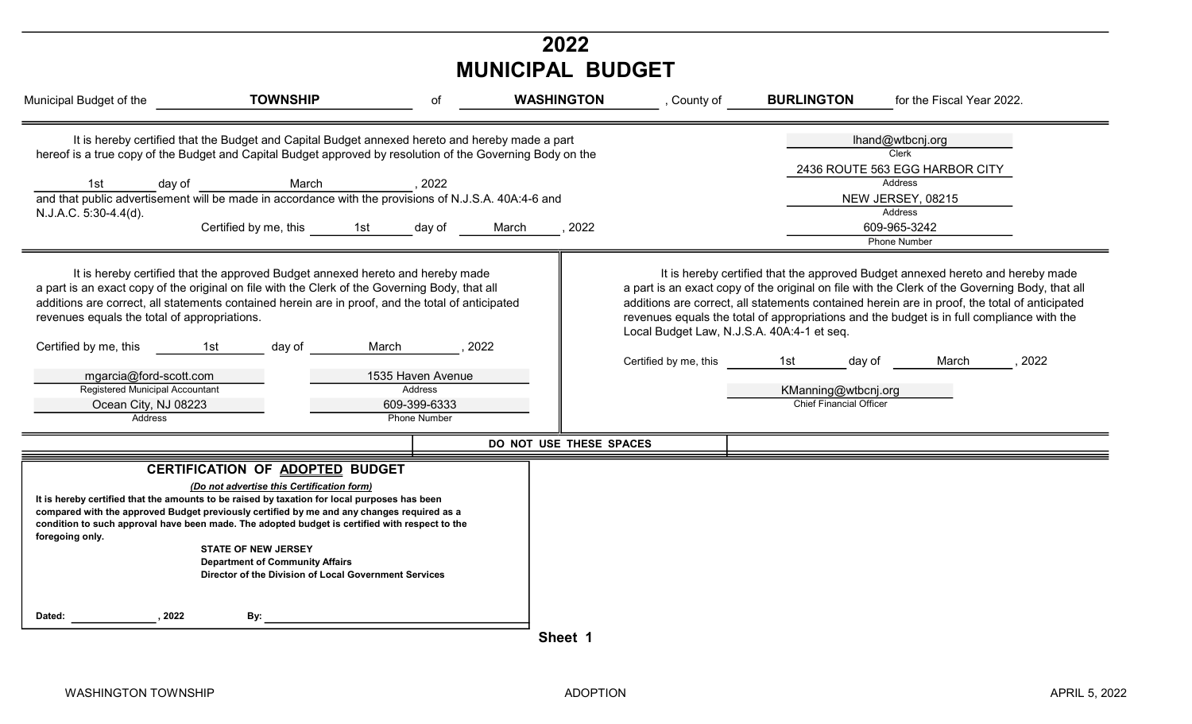|                                                                                                                                                                                                                 |                                                                                                                                                                                                                                                                                                                                                                                                                                                                                                                                                                                                                                                                                   |                                                                                                  | 2022<br><b>MUNICIPAL BUDGET</b> |                                                                     |                                                                        |                                                                                                                                                                                                                                                                                                                                                                                                                                                                                                                                                  |
|-----------------------------------------------------------------------------------------------------------------------------------------------------------------------------------------------------------------|-----------------------------------------------------------------------------------------------------------------------------------------------------------------------------------------------------------------------------------------------------------------------------------------------------------------------------------------------------------------------------------------------------------------------------------------------------------------------------------------------------------------------------------------------------------------------------------------------------------------------------------------------------------------------------------|--------------------------------------------------------------------------------------------------|---------------------------------|---------------------------------------------------------------------|------------------------------------------------------------------------|--------------------------------------------------------------------------------------------------------------------------------------------------------------------------------------------------------------------------------------------------------------------------------------------------------------------------------------------------------------------------------------------------------------------------------------------------------------------------------------------------------------------------------------------------|
| Municipal Budget of the                                                                                                                                                                                         | <b>TOWNSHIP</b>                                                                                                                                                                                                                                                                                                                                                                                                                                                                                                                                                                                                                                                                   | of                                                                                               | <b>WASHINGTON</b>               | , County of                                                         | <b>BURLINGTON</b>                                                      | for the Fiscal Year 2022.                                                                                                                                                                                                                                                                                                                                                                                                                                                                                                                        |
| day of<br>1st<br>N.J.A.C. 5:30-4.4(d).<br>revenues equals the total of appropriations.<br>Certified by me, this<br>mgarcia@ford-scott.com<br>Registered Municipal Accountant<br>Ocean City, NJ 08223<br>Address | It is hereby certified that the Budget and Capital Budget annexed hereto and hereby made a part<br>hereof is a true copy of the Budget and Capital Budget approved by resolution of the Governing Body on the<br>March<br>and that public advertisement will be made in accordance with the provisions of N.J.S.A. 40A:4-6 and<br>Certified by me, this<br>1st<br>It is hereby certified that the approved Budget annexed hereto and hereby made<br>a part is an exact copy of the original on file with the Clerk of the Governing Body, that all<br>additions are correct, all statements contained herein are in proof, and the total of anticipated<br>day of<br>March<br>1st | ,2022<br>day of<br>, 2022<br>1535 Haven Avenue<br>Address<br>609-399-6333<br><b>Phone Number</b> | 2022<br>March                   | Local Budget Law, N.J.S.A. 40A:4-1 et seq.<br>Certified by me, this | 1st<br>day of<br>KManning@wtbcnj.org<br><b>Chief Financial Officer</b> | lhand@wtbcnj.org<br>Clerk<br>2436 ROUTE 563 EGG HARBOR CITY<br>Address<br>NEW JERSEY, 08215<br>Address<br>609-965-3242<br><b>Phone Number</b><br>It is hereby certified that the approved Budget annexed hereto and hereby made<br>a part is an exact copy of the original on file with the Clerk of the Governing Body, that all<br>additions are correct, all statements contained herein are in proof, the total of anticipated<br>revenues equals the total of appropriations and the budget is in full compliance with the<br>March<br>2022 |
|                                                                                                                                                                                                                 |                                                                                                                                                                                                                                                                                                                                                                                                                                                                                                                                                                                                                                                                                   |                                                                                                  | DO NOT USE THESE SPACES         |                                                                     |                                                                        |                                                                                                                                                                                                                                                                                                                                                                                                                                                                                                                                                  |
| foregoing only.                                                                                                                                                                                                 | CERTIFICATION OF ADOPTED BUDGET<br>(Do not advertise this Certification form)<br>It is hereby certified that the amounts to be raised by taxation for local purposes has been<br>compared with the approved Budget previously certified by me and any changes required as a<br>condition to such approval have been made. The adopted budget is certified with respect to the<br><b>STATE OF NEW JERSEY</b><br><b>Department of Community Affairs</b><br>Director of the Division of Local Government Services                                                                                                                                                                    |                                                                                                  |                                 |                                                                     |                                                                        |                                                                                                                                                                                                                                                                                                                                                                                                                                                                                                                                                  |
| Dated:<br>, 2022                                                                                                                                                                                                | By:                                                                                                                                                                                                                                                                                                                                                                                                                                                                                                                                                                                                                                                                               |                                                                                                  | Sheet 1                         |                                                                     |                                                                        |                                                                                                                                                                                                                                                                                                                                                                                                                                                                                                                                                  |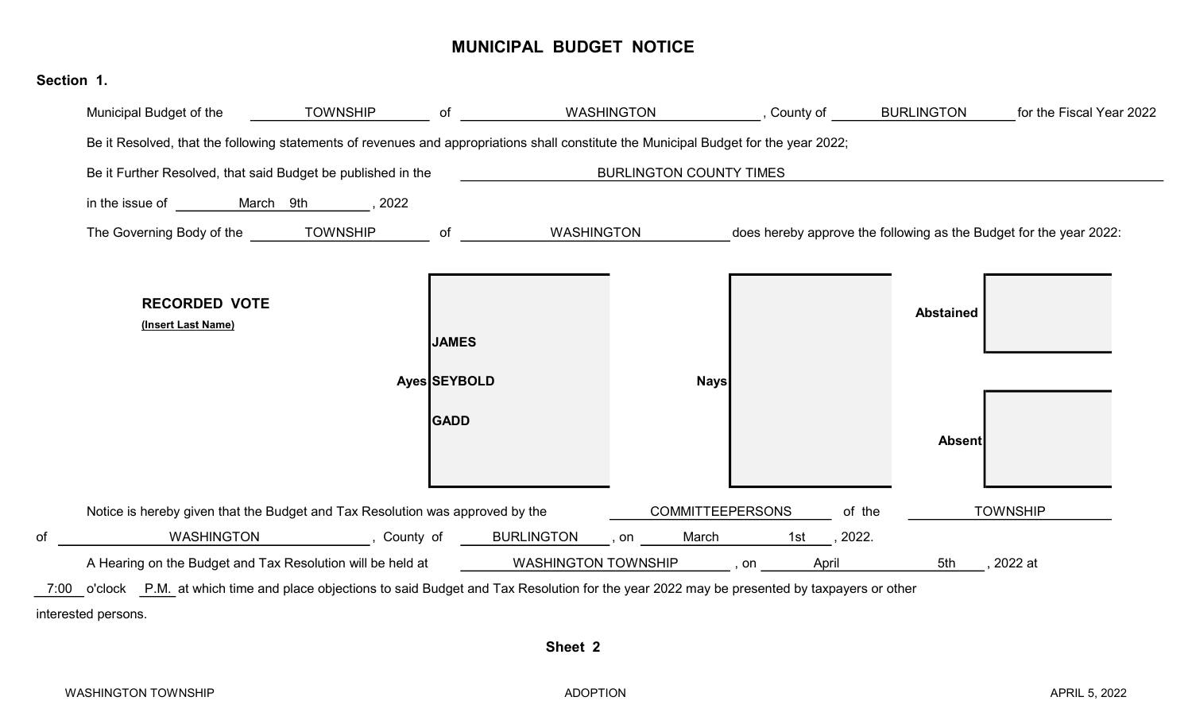#### MUNICIPAL BUDGET NOTICE

### Municipal Budget of the **of the contract of the Fiscal Year 2022** (County of the Fiscal Year 2022 Be it Resolved, that the following statements of revenues and appropriations shall constitute the Municipal Budget for the year 2022; Be it Further Resolved, that said Budget be published in the in the issue of **March** 9th 5022 The Governing Body of the TOWNSHIP of WASHINGTON does hereby approve the following as the Budget for the year 2022: RECORDED VOTE (Insert Last Name) JAMES Ayes SEYBOLD Nays GADD Absent Notice is hereby given that the Budget and Tax Resolution was approved by the **COMMITTEEPERSONS** of the of , County of , on 1st , 2022. WASHINGTON BURLINGTON March A Hearing on the Budget and Tax Resolution will be held at , on 5th , 2022 at WASHINGTON TOWNSHIP 7:00 o'clock P.M. at which time and place objections to said Budget and Tax Resolution for the year 2022 may be presented by taxpayers or other interested persons. Abstained BURLINGTON COUNTY TIMES of WASHINGTON **April** COMMITTEEPERSONS of the TOWNSHIP

Sheet 2

Section 1.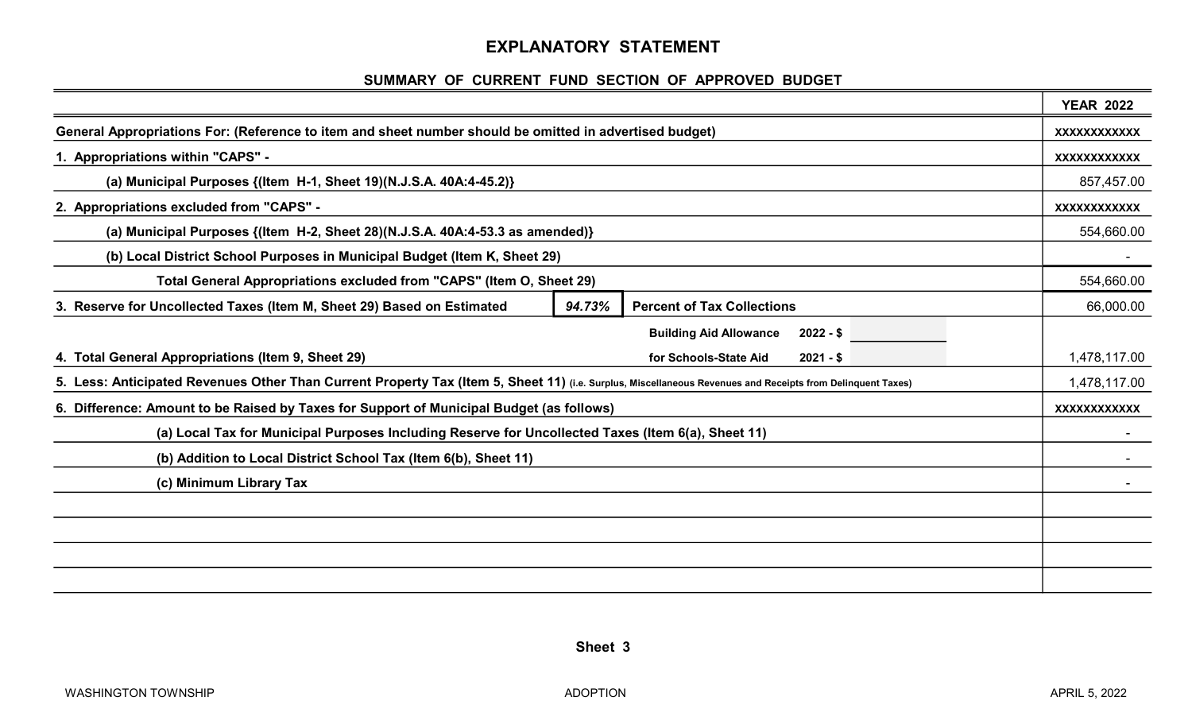#### EXPLANATORY STATEMENT

#### SUMMARY OF CURRENT FUND SECTION OF APPROVED BUDGET

|                                                                                                                                                            |        |                                             | <b>YEAR 2022</b>    |  |
|------------------------------------------------------------------------------------------------------------------------------------------------------------|--------|---------------------------------------------|---------------------|--|
| General Appropriations For: (Reference to item and sheet number should be omitted in advertised budget)                                                    |        |                                             | <b>XXXXXXXXXXXX</b> |  |
| 1. Appropriations within "CAPS" -                                                                                                                          |        |                                             | <b>XXXXXXXXXXXX</b> |  |
| (a) Municipal Purposes $\{(Item H-1, Sheet 19)(N.J.S.A. 40A:4-45.2)\}$                                                                                     |        |                                             | 857,457.00          |  |
| 2. Appropriations excluded from "CAPS" -                                                                                                                   |        |                                             | XXXXXXXXXXX         |  |
| (a) Municipal Purposes {(Item H-2, Sheet 28)(N.J.S.A. 40A:4-53.3 as amended)}                                                                              |        |                                             |                     |  |
| (b) Local District School Purposes in Municipal Budget (Item K, Sheet 29)                                                                                  |        |                                             |                     |  |
| Total General Appropriations excluded from "CAPS" (Item O, Sheet 29)                                                                                       |        |                                             | 554,660.00          |  |
| 3. Reserve for Uncollected Taxes (Item M, Sheet 29) Based on Estimated                                                                                     | 94.73% | <b>Percent of Tax Collections</b>           | 66,000.00           |  |
|                                                                                                                                                            |        | <b>Building Aid Allowance</b><br>$2022 - $$ |                     |  |
| 4. Total General Appropriations (Item 9, Sheet 29)                                                                                                         |        | for Schools-State Aid<br>$2021 - $$         | 1,478,117.00        |  |
| 5. Less: Anticipated Revenues Other Than Current Property Tax (Item 5, Sheet 11) (i.e. Surplus, Miscellaneous Revenues and Receipts from Delinquent Taxes) |        |                                             | 1,478,117.00        |  |
| 6. Difference: Amount to be Raised by Taxes for Support of Municipal Budget (as follows)                                                                   |        |                                             |                     |  |
| (a) Local Tax for Municipal Purposes Including Reserve for Uncollected Taxes (Item 6(a), Sheet 11)                                                         |        |                                             |                     |  |
| (b) Addition to Local District School Tax (Item 6(b), Sheet 11)                                                                                            |        |                                             |                     |  |
| (c) Minimum Library Tax                                                                                                                                    |        |                                             |                     |  |
|                                                                                                                                                            |        |                                             |                     |  |
|                                                                                                                                                            |        |                                             |                     |  |
|                                                                                                                                                            |        |                                             |                     |  |
|                                                                                                                                                            |        |                                             |                     |  |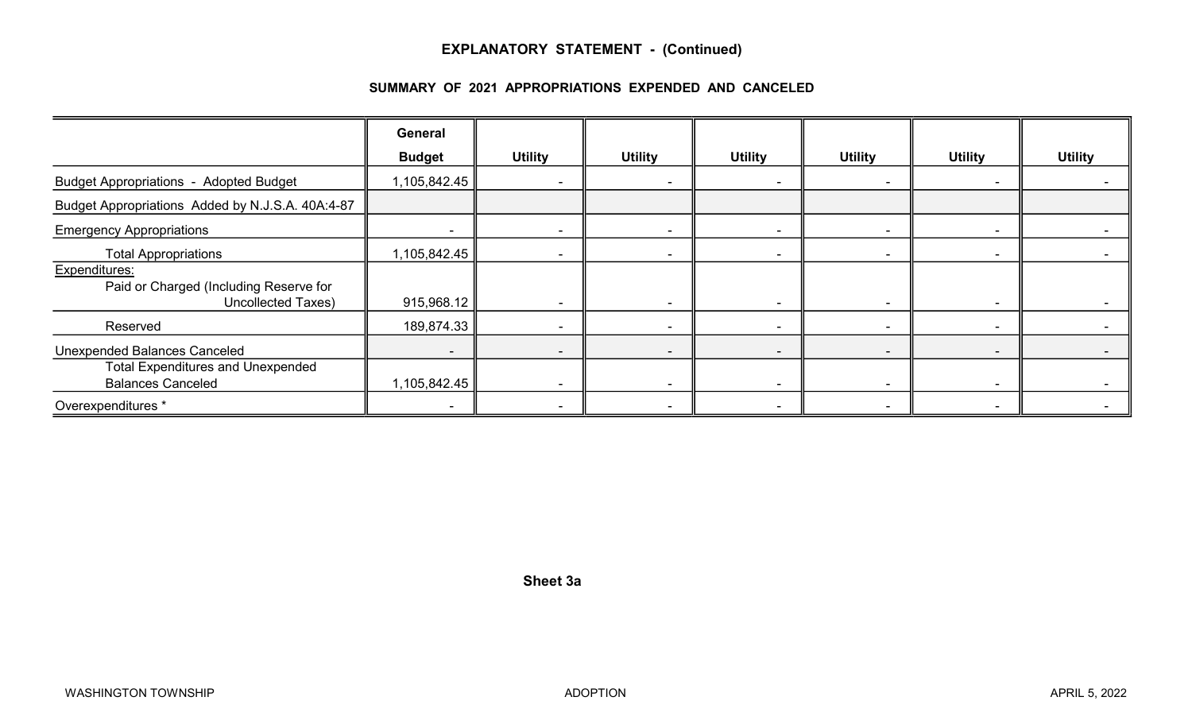#### EXPLANATORY STATEMENT - (Continued)

#### SUMMARY OF 2021 APPROPRIATIONS EXPENDED AND CANCELED

|                                                                                                             | <b>General</b>                           |                          |                |                                    |                |                          |                |
|-------------------------------------------------------------------------------------------------------------|------------------------------------------|--------------------------|----------------|------------------------------------|----------------|--------------------------|----------------|
|                                                                                                             | <b>Budget</b>                            | <b>Utility</b>           | <b>Utility</b> | <b>Utility</b>                     | <b>Utility</b> | <b>Utility</b>           | <b>Utility</b> |
| <b>Budget Appropriations - Adopted Budget</b>                                                               | 1,105,842.45                             |                          |                | $\overline{\phantom{a}}$           |                |                          |                |
| Budget Appropriations Added by N.J.S.A. 40A:4-87                                                            |                                          |                          |                |                                    |                |                          |                |
| <b>Emergency Appropriations</b>                                                                             |                                          |                          |                | $\sim$                             |                |                          |                |
| <b>Total Appropriations</b>                                                                                 | 1,105,842.45                             |                          |                | $\sim$                             | -              | $\blacksquare$           |                |
| Expenditures:<br>Paid or Charged (Including Reserve for<br>Uncollected Taxes)                               | 915,968.12                               |                          |                | $\sim$                             |                | $\blacksquare$           |                |
| Reserved                                                                                                    | 189,874.33                               |                          |                | $\overline{\phantom{a}}$           |                | ۰                        |                |
| <b>Unexpended Balances Canceled</b><br><b>Total Expenditures and Unexpended</b><br><b>Balances Canceled</b> | $\overline{\phantom{a}}$<br>1,105,842.45 | $\overline{\phantom{a}}$ |                | $\overline{\phantom{a}}$<br>$\sim$ |                | $\overline{\phantom{0}}$ |                |
| Overexpenditures *                                                                                          |                                          |                          |                | $\sim$                             |                |                          |                |

Sheet 3a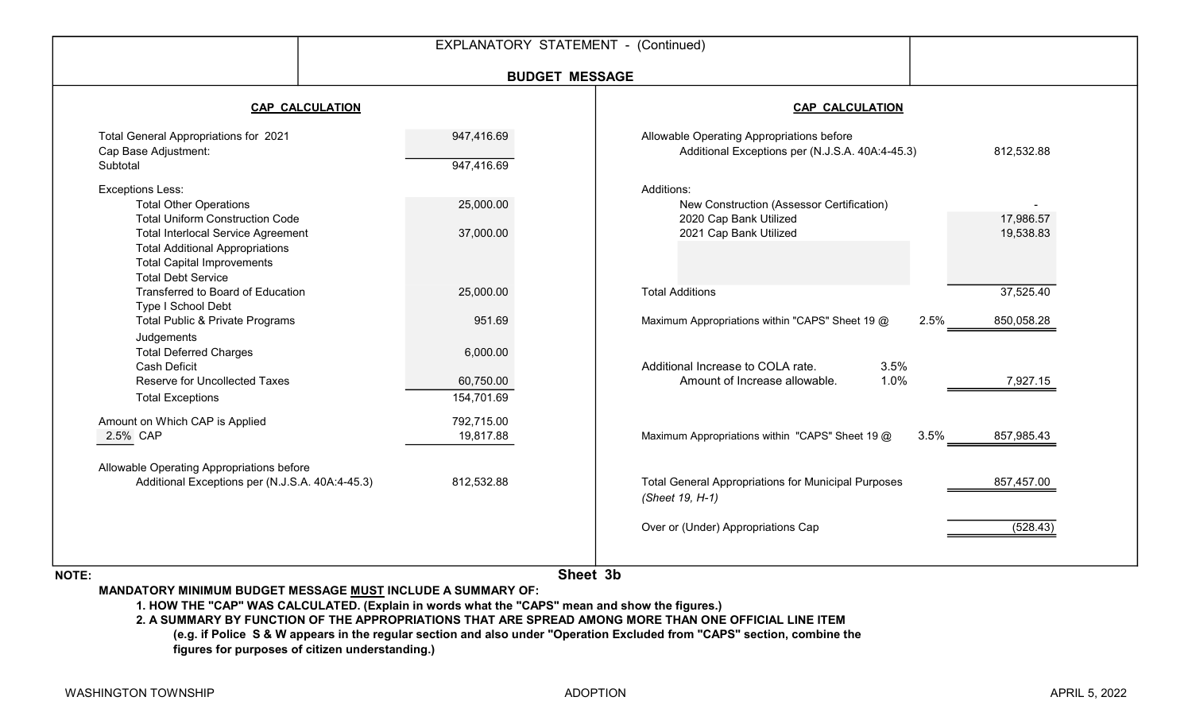|                                                                                                                                                                                                                                                             | <b>BUDGET MESSAGE</b>                         |                                                                                                                                                                         |
|-------------------------------------------------------------------------------------------------------------------------------------------------------------------------------------------------------------------------------------------------------------|-----------------------------------------------|-------------------------------------------------------------------------------------------------------------------------------------------------------------------------|
| <b>CAP CALCULATION</b>                                                                                                                                                                                                                                      |                                               | <b>CAP CALCULATION</b>                                                                                                                                                  |
| Total General Appropriations for 2021<br>Cap Base Adjustment:<br>Subtotal                                                                                                                                                                                   | 947,416.69<br>947,416.69                      | Allowable Operating Appropriations before<br>Additional Exceptions per (N.J.S.A. 40A:4-45.3)<br>812,532.88                                                              |
| <b>Exceptions Less:</b><br><b>Total Other Operations</b><br><b>Total Uniform Construction Code</b><br><b>Total Interlocal Service Agreement</b><br><b>Total Additional Appropriations</b><br><b>Total Capital Improvements</b><br><b>Total Debt Service</b> | 25,000.00<br>37,000.00                        | Additions:<br>New Construction (Assessor Certification)<br>2020 Cap Bank Utilized<br>17,986.57<br>2021 Cap Bank Utilized<br>19,538.83                                   |
| Transferred to Board of Education<br>Type I School Debt                                                                                                                                                                                                     | 25,000.00                                     | 37,525.40<br><b>Total Additions</b>                                                                                                                                     |
| Total Public & Private Programs<br>Judgements<br><b>Total Deferred Charges</b><br><b>Cash Deficit</b><br>Reserve for Uncollected Taxes<br><b>Total Exceptions</b>                                                                                           | 951.69<br>6,000.00<br>60,750.00<br>154,701.69 | Maximum Appropriations within "CAPS" Sheet 19 @<br>2.5%<br>850,058.28<br>Additional Increase to COLA rate.<br>3.5%<br>1.0%<br>Amount of Increase allowable.<br>7,927.15 |
| Amount on Which CAP is Applied<br>2.5% CAP                                                                                                                                                                                                                  | 792,715.00<br>19,817.88                       | Maximum Appropriations within "CAPS" Sheet 19 @<br>3.5%<br>857,985.43                                                                                                   |
| Allowable Operating Appropriations before<br>Additional Exceptions per (N.J.S.A. 40A:4-45.3)                                                                                                                                                                | 812,532.88                                    | <b>Total General Appropriations for Municipal Purposes</b><br>857,457.00<br>(Sheet 19, H-1)                                                                             |
|                                                                                                                                                                                                                                                             |                                               | (528.43)<br>Over or (Under) Appropriations Cap                                                                                                                          |

NOTE:

Sheet 3b

MANDATORY MINIMUM BUDGET MESSAGE MUST INCLUDE A SUMMARY OF:

1. HOW THE "CAP" WAS CALCULATED. (Explain in words what the "CAPS" mean and show the figures.)

2. A SUMMARY BY FUNCTION OF THE APPROPRIATIONS THAT ARE SPREAD AMONG MORE THAN ONE OFFICIAL LINE ITEM (e.g. if Police S & W appears in the regular section and also under "Operation Excluded from "CAPS" section, combine the figures for purposes of citizen understanding.)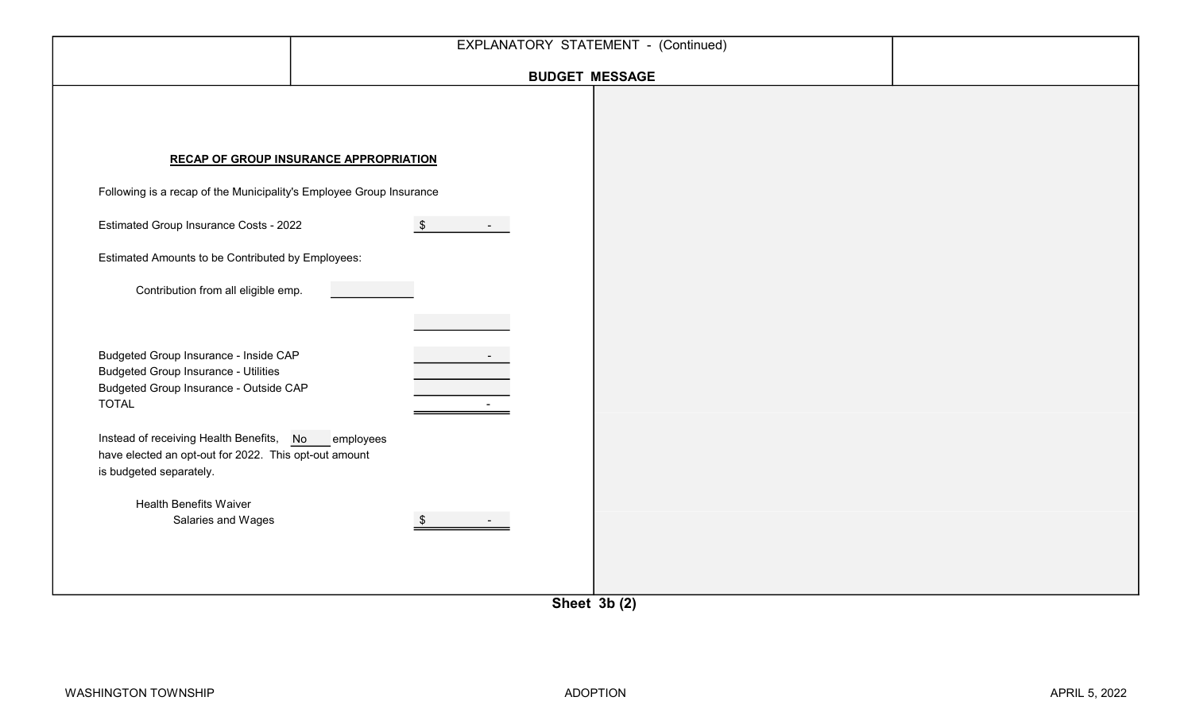|                                                                                                                                                                                                                                                                                                                                                 | EXPLANATORY STATEMENT - (Continued)           |  |
|-------------------------------------------------------------------------------------------------------------------------------------------------------------------------------------------------------------------------------------------------------------------------------------------------------------------------------------------------|-----------------------------------------------|--|
|                                                                                                                                                                                                                                                                                                                                                 | <b>BUDGET MESSAGE</b>                         |  |
|                                                                                                                                                                                                                                                                                                                                                 | <b>RECAP OF GROUP INSURANCE APPROPRIATION</b> |  |
| Following is a recap of the Municipality's Employee Group Insurance                                                                                                                                                                                                                                                                             |                                               |  |
| Estimated Group Insurance Costs - 2022                                                                                                                                                                                                                                                                                                          | $\sqrt[6]{\frac{1}{2}}$                       |  |
| Estimated Amounts to be Contributed by Employees:                                                                                                                                                                                                                                                                                               |                                               |  |
| Contribution from all eligible emp.                                                                                                                                                                                                                                                                                                             |                                               |  |
| Budgeted Group Insurance - Inside CAP<br><b>Budgeted Group Insurance - Utilities</b><br>Budgeted Group Insurance - Outside CAP<br><b>TOTAL</b><br>Instead of receiving Health Benefits, No employees<br>have elected an opt-out for 2022. This opt-out amount<br>is budgeted separately.<br><b>Health Benefits Waiver</b><br>Salaries and Wages |                                               |  |

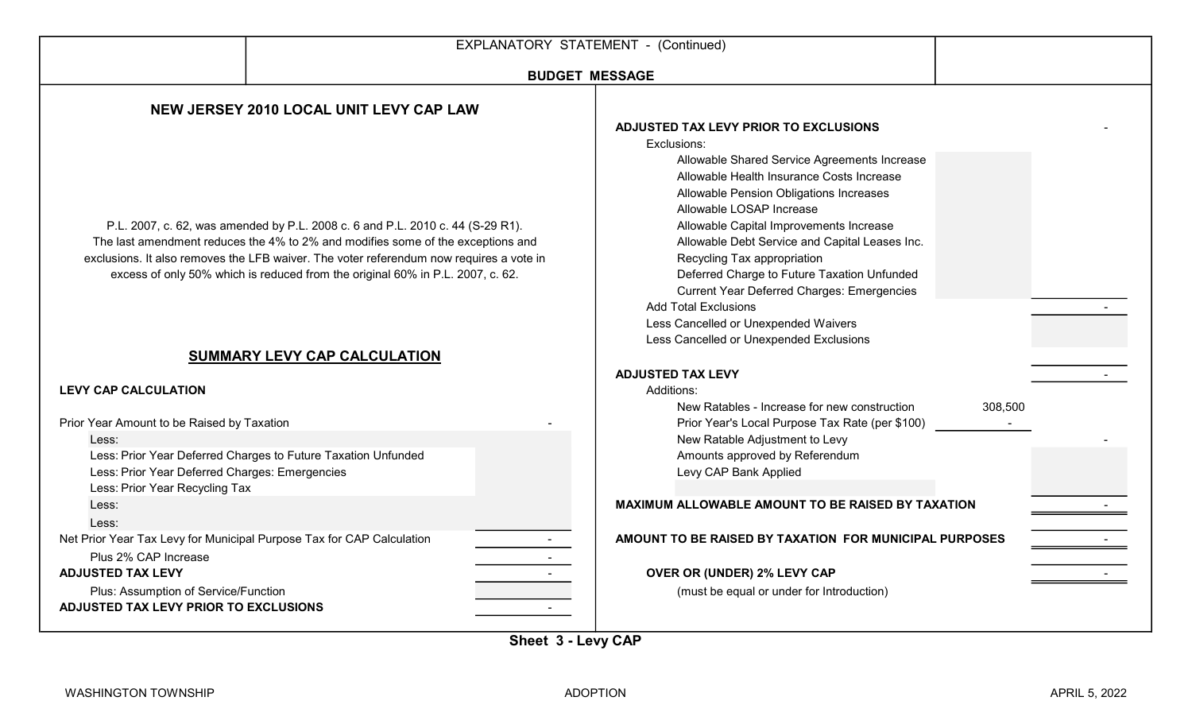|                                                                                                                                         |                                                                                                                                                                                                                                                                                                                                                | EXPLANATORY STATEMENT - (Continued)                                                                                                                                                                                                                                                                                                                                                                                                                                                                                                                                        |  |
|-----------------------------------------------------------------------------------------------------------------------------------------|------------------------------------------------------------------------------------------------------------------------------------------------------------------------------------------------------------------------------------------------------------------------------------------------------------------------------------------------|----------------------------------------------------------------------------------------------------------------------------------------------------------------------------------------------------------------------------------------------------------------------------------------------------------------------------------------------------------------------------------------------------------------------------------------------------------------------------------------------------------------------------------------------------------------------------|--|
|                                                                                                                                         |                                                                                                                                                                                                                                                                                                                                                | <b>BUDGET MESSAGE</b>                                                                                                                                                                                                                                                                                                                                                                                                                                                                                                                                                      |  |
|                                                                                                                                         | NEW JERSEY 2010 LOCAL UNIT LEVY CAP LAW                                                                                                                                                                                                                                                                                                        |                                                                                                                                                                                                                                                                                                                                                                                                                                                                                                                                                                            |  |
|                                                                                                                                         | P.L. 2007, c. 62, was amended by P.L. 2008 c. 6 and P.L. 2010 c. 44 (S-29 R1).<br>The last amendment reduces the 4% to 2% and modifies some of the exceptions and<br>exclusions. It also removes the LFB waiver. The voter referendum now requires a vote in<br>excess of only 50% which is reduced from the original 60% in P.L. 2007, c. 62. | ADJUSTED TAX LEVY PRIOR TO EXCLUSIONS<br>Exclusions:<br>Allowable Shared Service Agreements Increase<br>Allowable Health Insurance Costs Increase<br>Allowable Pension Obligations Increases<br>Allowable LOSAP Increase<br>Allowable Capital Improvements Increase<br>Allowable Debt Service and Capital Leases Inc.<br>Recycling Tax appropriation<br>Deferred Charge to Future Taxation Unfunded<br><b>Current Year Deferred Charges: Emergencies</b><br><b>Add Total Exclusions</b><br>Less Cancelled or Unexpended Waivers<br>Less Cancelled or Unexpended Exclusions |  |
|                                                                                                                                         | SUMMARY LEVY CAP CALCULATION                                                                                                                                                                                                                                                                                                                   |                                                                                                                                                                                                                                                                                                                                                                                                                                                                                                                                                                            |  |
| <b>LEVY CAP CALCULATION</b>                                                                                                             |                                                                                                                                                                                                                                                                                                                                                | <b>ADJUSTED TAX LEVY</b><br>Additions:<br>New Ratables - Increase for new construction<br>308,500                                                                                                                                                                                                                                                                                                                                                                                                                                                                          |  |
| Prior Year Amount to be Raised by Taxation<br>Less:<br>Less: Prior Year Deferred Charges: Emergencies<br>Less: Prior Year Recycling Tax | Less: Prior Year Deferred Charges to Future Taxation Unfunded                                                                                                                                                                                                                                                                                  | Prior Year's Local Purpose Tax Rate (per \$100)<br>New Ratable Adjustment to Levy<br>Amounts approved by Referendum<br>Levy CAP Bank Applied                                                                                                                                                                                                                                                                                                                                                                                                                               |  |
| Less:<br>Less:                                                                                                                          |                                                                                                                                                                                                                                                                                                                                                | MAXIMUM ALLOWABLE AMOUNT TO BE RAISED BY TAXATION                                                                                                                                                                                                                                                                                                                                                                                                                                                                                                                          |  |
| Net Prior Year Tax Levy for Municipal Purpose Tax for CAP Calculation<br>Plus 2% CAP Increase                                           |                                                                                                                                                                                                                                                                                                                                                | AMOUNT TO BE RAISED BY TAXATION FOR MUNICIPAL PURPOSES                                                                                                                                                                                                                                                                                                                                                                                                                                                                                                                     |  |
| <b>ADJUSTED TAX LEVY</b><br>Plus: Assumption of Service/Function<br>ADJUSTED TAX LEVY PRIOR TO EXCLUSIONS                               | $\sim$                                                                                                                                                                                                                                                                                                                                         | OVER OR (UNDER) 2% LEVY CAP<br>(must be equal or under for Introduction)                                                                                                                                                                                                                                                                                                                                                                                                                                                                                                   |  |
|                                                                                                                                         |                                                                                                                                                                                                                                                                                                                                                | $\sim$ $\sim$ $\sim$                                                                                                                                                                                                                                                                                                                                                                                                                                                                                                                                                       |  |

Sheet 3 - Levy CAP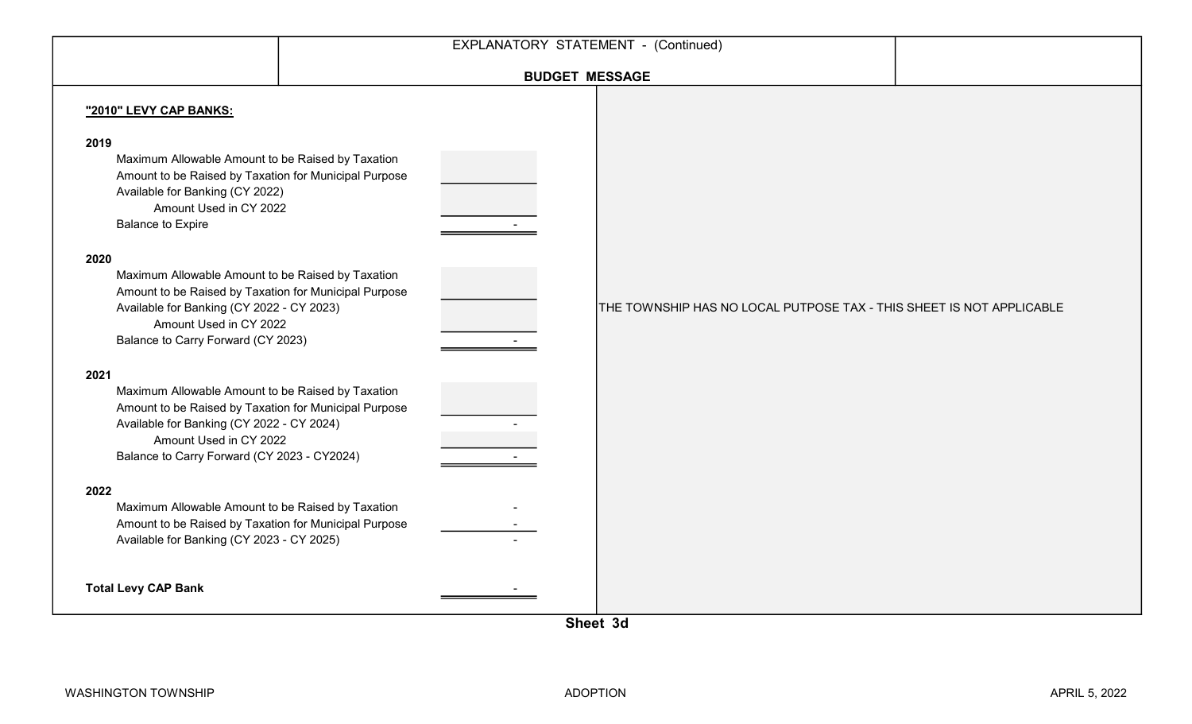|                                                                                                                                                                                                                                                                                                                                                                                                                                                                                                                                       | EXPLANATORY STATEMENT - (Continued)                                  |  |
|---------------------------------------------------------------------------------------------------------------------------------------------------------------------------------------------------------------------------------------------------------------------------------------------------------------------------------------------------------------------------------------------------------------------------------------------------------------------------------------------------------------------------------------|----------------------------------------------------------------------|--|
|                                                                                                                                                                                                                                                                                                                                                                                                                                                                                                                                       | <b>BUDGET MESSAGE</b>                                                |  |
| "2010" LEVY CAP BANKS:<br>2019<br>Maximum Allowable Amount to be Raised by Taxation<br>Amount to be Raised by Taxation for Municipal Purpose<br>Available for Banking (CY 2022)<br>Amount Used in CY 2022<br><b>Balance to Expire</b><br>2020<br>Maximum Allowable Amount to be Raised by Taxation<br>Amount to be Raised by Taxation for Municipal Purpose<br>Available for Banking (CY 2022 - CY 2023)<br>Amount Used in CY 2022<br>Balance to Carry Forward (CY 2023)<br>2021<br>Maximum Allowable Amount to be Raised by Taxation | THE TOWNSHIP HAS NO LOCAL PUTPOSE TAX - THIS SHEET IS NOT APPLICABLE |  |
| Amount to be Raised by Taxation for Municipal Purpose<br>Available for Banking (CY 2022 - CY 2024)<br>Amount Used in CY 2022<br>Balance to Carry Forward (CY 2023 - CY2024)                                                                                                                                                                                                                                                                                                                                                           |                                                                      |  |
| 2022<br>Maximum Allowable Amount to be Raised by Taxation<br>Amount to be Raised by Taxation for Municipal Purpose<br>Available for Banking (CY 2023 - CY 2025)                                                                                                                                                                                                                                                                                                                                                                       |                                                                      |  |
| <b>Total Levy CAP Bank</b>                                                                                                                                                                                                                                                                                                                                                                                                                                                                                                            |                                                                      |  |

Sheet 3d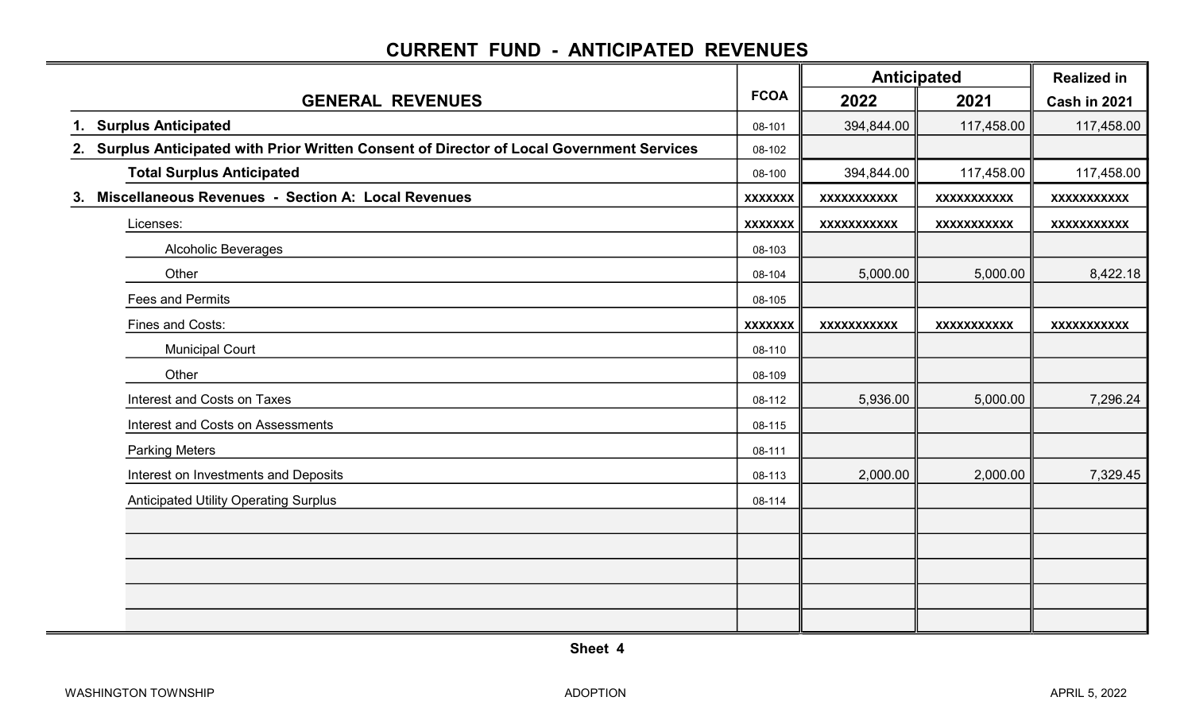### CURRENT FUND - ANTICIPATED REVENUES

|                                                                                            |                |                    | <b>Anticipated</b> | <b>Realized in</b>  |
|--------------------------------------------------------------------------------------------|----------------|--------------------|--------------------|---------------------|
| <b>GENERAL REVENUES</b>                                                                    | <b>FCOA</b>    | 2022               | 2021               | <b>Cash in 2021</b> |
| 1. Surplus Anticipated                                                                     | 08-101         | 394,844.00         | 117,458.00         | 117,458.00          |
| 2. Surplus Anticipated with Prior Written Consent of Director of Local Government Services | 08-102         |                    |                    |                     |
| <b>Total Surplus Anticipated</b>                                                           | 08-100         | 394,844.00         | 117,458.00         | 117,458.00          |
| Miscellaneous Revenues - Section A: Local Revenues<br>3.                                   | <b>XXXXXXX</b> | <b>XXXXXXXXXXX</b> | <b>XXXXXXXXXXX</b> | <b>XXXXXXXXXXX</b>  |
| Licenses:                                                                                  | <b>XXXXXXX</b> | <b>XXXXXXXXXXX</b> | <b>XXXXXXXXXXX</b> | <b>XXXXXXXXXXX</b>  |
| <b>Alcoholic Beverages</b>                                                                 | 08-103         |                    |                    |                     |
| Other                                                                                      | 08-104         | 5,000.00           | 5,000.00           | 8,422.18            |
| <b>Fees and Permits</b>                                                                    | 08-105         |                    |                    |                     |
| <b>Fines and Costs:</b>                                                                    | <b>XXXXXXX</b> | <b>XXXXXXXXXXX</b> | <b>XXXXXXXXXXX</b> | <b>XXXXXXXXXXX</b>  |
| <b>Municipal Court</b>                                                                     | 08-110         |                    |                    |                     |
| Other                                                                                      | 08-109         |                    |                    |                     |
| Interest and Costs on Taxes                                                                | 08-112         | 5,936.00           | 5,000.00           | 7,296.24            |
| Interest and Costs on Assessments                                                          | 08-115         |                    |                    |                     |
| <b>Parking Meters</b>                                                                      | 08-111         |                    |                    |                     |
| Interest on Investments and Deposits                                                       | 08-113         | 2,000.00           | 2,000.00           | 7,329.45            |
| <b>Anticipated Utility Operating Surplus</b>                                               | 08-114         |                    |                    |                     |
|                                                                                            |                |                    |                    |                     |
|                                                                                            |                |                    |                    |                     |
|                                                                                            |                |                    |                    |                     |
|                                                                                            |                |                    |                    |                     |
|                                                                                            |                |                    |                    |                     |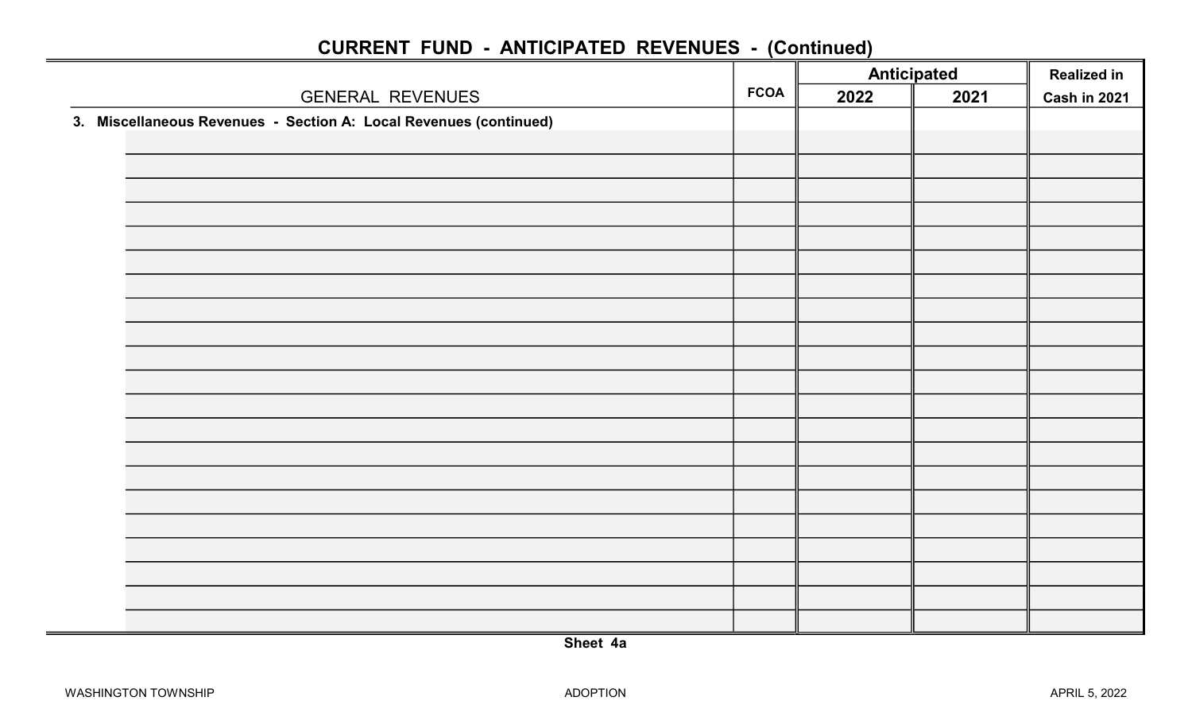|                                                                   |             |      | <b>Anticipated</b> | <b>Realized in</b> |
|-------------------------------------------------------------------|-------------|------|--------------------|--------------------|
| <b>GENERAL REVENUES</b>                                           | <b>FCOA</b> | 2022 | 2021               | Cash in 2021       |
| 3. Miscellaneous Revenues - Section A: Local Revenues (continued) |             |      |                    |                    |
|                                                                   |             |      |                    |                    |
|                                                                   |             |      |                    |                    |
|                                                                   |             |      |                    |                    |
|                                                                   |             |      |                    |                    |
|                                                                   |             |      |                    |                    |
|                                                                   |             |      |                    |                    |
|                                                                   |             |      |                    |                    |
|                                                                   |             |      |                    |                    |
|                                                                   |             |      |                    |                    |
|                                                                   |             |      |                    |                    |
|                                                                   |             |      |                    |                    |
|                                                                   |             |      |                    |                    |
|                                                                   |             |      |                    |                    |
|                                                                   |             |      |                    |                    |
|                                                                   |             |      |                    |                    |
|                                                                   |             |      |                    |                    |
|                                                                   |             |      |                    |                    |
|                                                                   |             |      |                    |                    |
|                                                                   |             |      |                    |                    |
|                                                                   |             |      |                    |                    |
|                                                                   |             |      |                    |                    |
|                                                                   |             |      |                    |                    |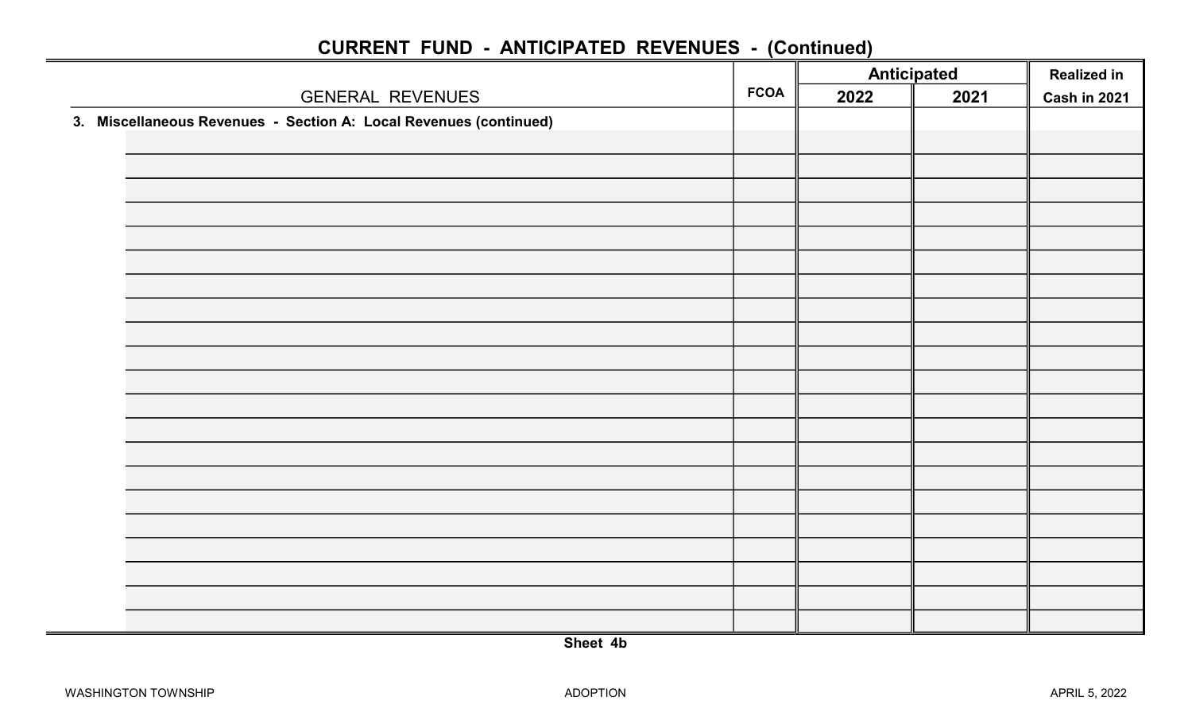|                                                                   |             |      | <b>Anticipated</b> | <b>Realized in</b> |
|-------------------------------------------------------------------|-------------|------|--------------------|--------------------|
| <b>GENERAL REVENUES</b>                                           | <b>FCOA</b> | 2022 | 2021               | Cash in 2021       |
| 3. Miscellaneous Revenues - Section A: Local Revenues (continued) |             |      |                    |                    |
|                                                                   |             |      |                    |                    |
|                                                                   |             |      |                    |                    |
|                                                                   |             |      |                    |                    |
|                                                                   |             |      |                    |                    |
|                                                                   |             |      |                    |                    |
|                                                                   |             |      |                    |                    |
|                                                                   |             |      |                    |                    |
|                                                                   |             |      |                    |                    |
|                                                                   |             |      |                    |                    |
|                                                                   |             |      |                    |                    |
|                                                                   |             |      |                    |                    |
|                                                                   |             |      |                    |                    |
|                                                                   |             |      |                    |                    |
|                                                                   |             |      |                    |                    |
|                                                                   |             |      |                    |                    |
|                                                                   |             |      |                    |                    |
|                                                                   |             |      |                    |                    |
|                                                                   |             |      |                    |                    |
|                                                                   |             |      |                    |                    |
|                                                                   |             |      |                    |                    |
|                                                                   |             |      |                    |                    |
|                                                                   |             |      |                    |                    |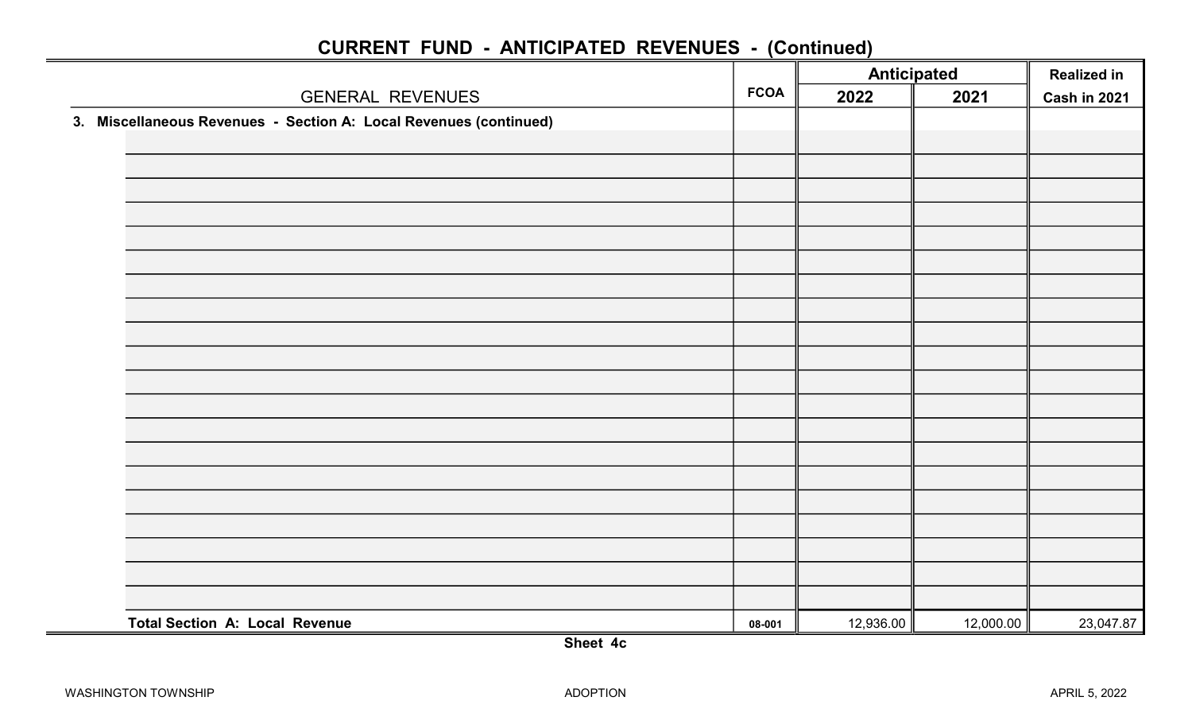|                                                                   |             | <b>Anticipated</b> |           | <b>Realized in</b> |
|-------------------------------------------------------------------|-------------|--------------------|-----------|--------------------|
| <b>GENERAL REVENUES</b>                                           | <b>FCOA</b> | 2022               | 2021      | Cash in 2021       |
| 3. Miscellaneous Revenues - Section A: Local Revenues (continued) |             |                    |           |                    |
|                                                                   |             |                    |           |                    |
|                                                                   |             |                    |           |                    |
|                                                                   |             |                    |           |                    |
|                                                                   |             |                    |           |                    |
|                                                                   |             |                    |           |                    |
|                                                                   |             |                    |           |                    |
|                                                                   |             |                    |           |                    |
|                                                                   |             |                    |           |                    |
|                                                                   |             |                    |           |                    |
|                                                                   |             |                    |           |                    |
|                                                                   |             |                    |           |                    |
|                                                                   |             |                    |           |                    |
|                                                                   |             |                    |           |                    |
|                                                                   |             |                    |           |                    |
|                                                                   |             |                    |           |                    |
|                                                                   |             |                    |           |                    |
|                                                                   |             |                    |           |                    |
|                                                                   |             |                    |           |                    |
|                                                                   |             |                    |           |                    |
|                                                                   |             |                    |           |                    |
| <b>Total Section A: Local Revenue</b>                             | 08-001      | 12,936.00          | 12,000.00 | 23,047.87          |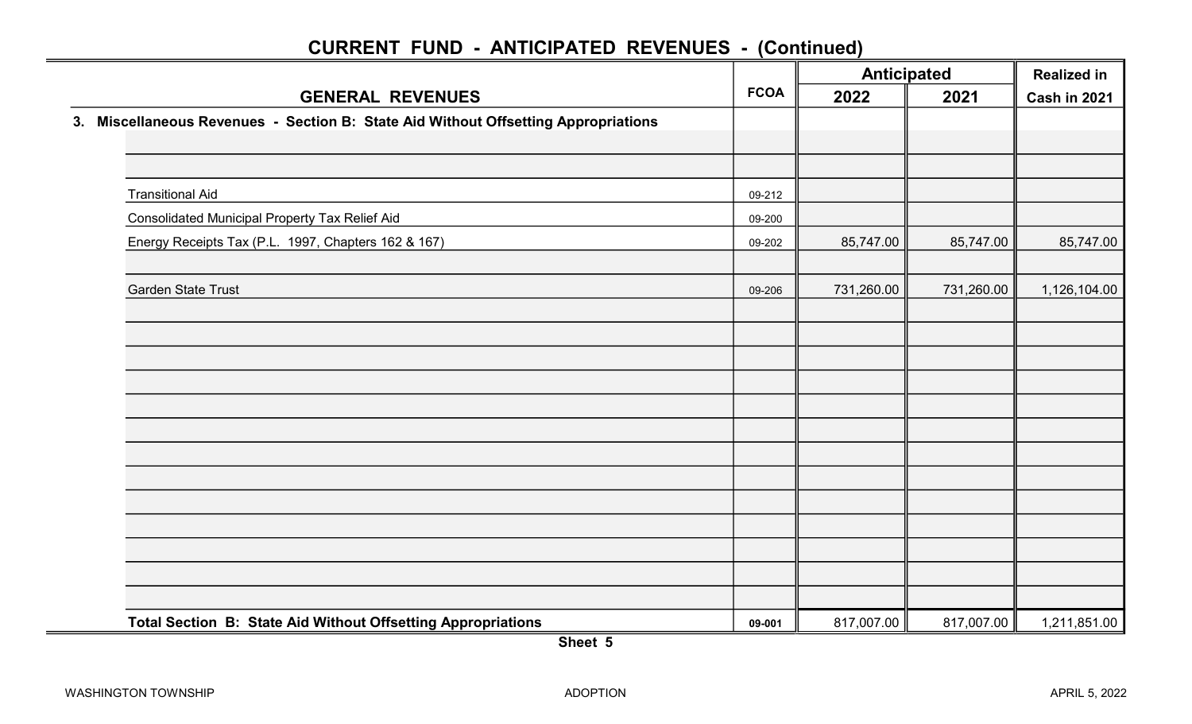|                                                                                    | <b>Anticipated</b><br><b>FCOA</b> |            |            | <b>Realized in</b>  |
|------------------------------------------------------------------------------------|-----------------------------------|------------|------------|---------------------|
| <b>GENERAL REVENUES</b>                                                            |                                   | 2022       | 2021       | <b>Cash in 2021</b> |
| 3. Miscellaneous Revenues - Section B: State Aid Without Offsetting Appropriations |                                   |            |            |                     |
|                                                                                    |                                   |            |            |                     |
|                                                                                    |                                   |            |            |                     |
| <b>Transitional Aid</b>                                                            | 09-212                            |            |            |                     |
| <b>Consolidated Municipal Property Tax Relief Aid</b>                              | 09-200                            |            |            |                     |
| Energy Receipts Tax (P.L. 1997, Chapters 162 & 167)                                | 09-202                            | 85,747.00  | 85,747.00  | 85,747.00           |
|                                                                                    |                                   |            |            |                     |
| <b>Garden State Trust</b>                                                          | 09-206                            | 731,260.00 | 731,260.00 | 1,126,104.00        |
|                                                                                    |                                   |            |            |                     |
|                                                                                    |                                   |            |            |                     |
|                                                                                    |                                   |            |            |                     |
|                                                                                    |                                   |            |            |                     |
|                                                                                    |                                   |            |            |                     |
|                                                                                    |                                   |            |            |                     |
|                                                                                    |                                   |            |            |                     |
|                                                                                    |                                   |            |            |                     |
|                                                                                    |                                   |            |            |                     |
|                                                                                    |                                   |            |            |                     |
| Total Section B: State Aid Without Offsetting Appropriations                       | 09-001                            | 817,007.00 | 817,007.00 | 1,211,851.00        |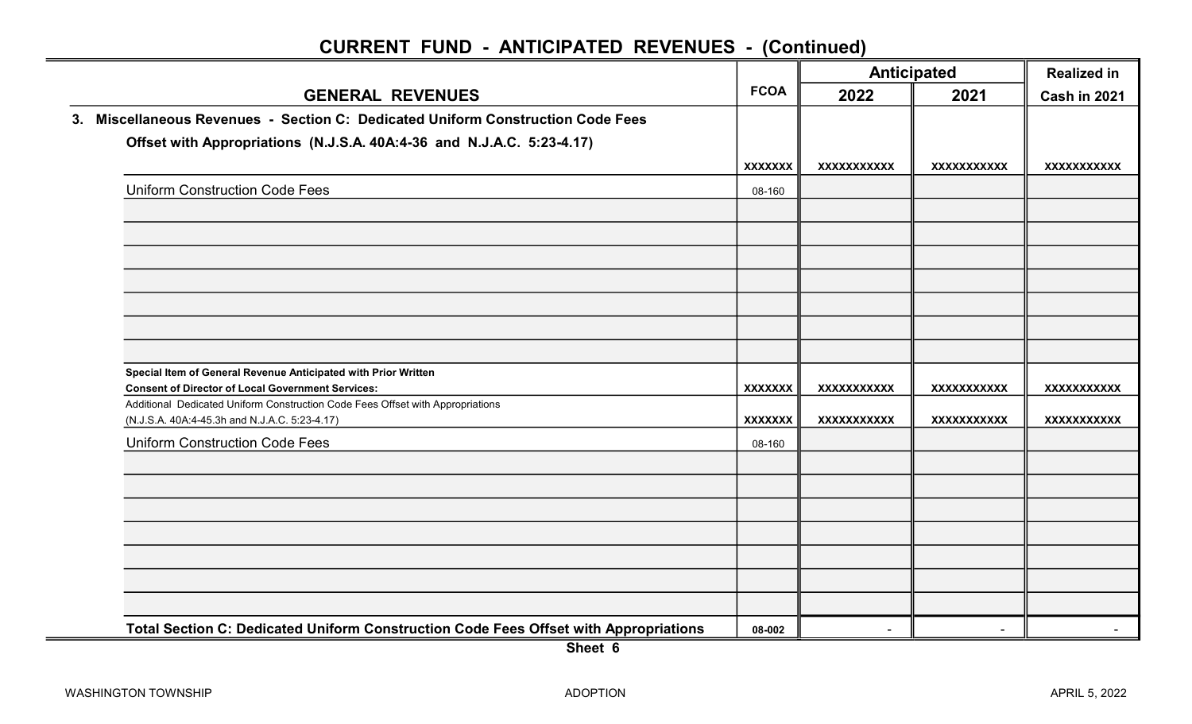|                                                                                                                                 |                | Anticipated        |                    | <b>Realized in</b>  |  |
|---------------------------------------------------------------------------------------------------------------------------------|----------------|--------------------|--------------------|---------------------|--|
| <b>GENERAL REVENUES</b>                                                                                                         | <b>FCOA</b>    | 2022               | 2021               | <b>Cash in 2021</b> |  |
| 3. Miscellaneous Revenues - Section C: Dedicated Uniform Construction Code Fees                                                 |                |                    |                    |                     |  |
| Offset with Appropriations (N.J.S.A. 40A:4-36 and N.J.A.C. 5:23-4.17)                                                           |                |                    |                    |                     |  |
|                                                                                                                                 | <b>XXXXXXX</b> | XXXXXXXXXXX        | <b>XXXXXXXXXXX</b> | XXXXXXXXXXX         |  |
| <b>Uniform Construction Code Fees</b>                                                                                           | 08-160         |                    |                    |                     |  |
|                                                                                                                                 |                |                    |                    |                     |  |
|                                                                                                                                 |                |                    |                    |                     |  |
|                                                                                                                                 |                |                    |                    |                     |  |
|                                                                                                                                 |                |                    |                    |                     |  |
|                                                                                                                                 |                |                    |                    |                     |  |
|                                                                                                                                 |                |                    |                    |                     |  |
|                                                                                                                                 |                |                    |                    |                     |  |
| Special Item of General Revenue Anticipated with Prior Written                                                                  |                |                    |                    |                     |  |
| <b>Consent of Director of Local Government Services:</b>                                                                        | <b>XXXXXXX</b> | <b>XXXXXXXXXXX</b> | <b>XXXXXXXXXXX</b> | <b>XXXXXXXXXXX</b>  |  |
| Additional Dedicated Uniform Construction Code Fees Offset with Appropriations<br>(N.J.S.A. 40A:4-45.3h and N.J.A.C. 5:23-4.17) | <b>XXXXXXX</b> | <b>XXXXXXXXXXX</b> | <b>XXXXXXXXXXX</b> | <b>XXXXXXXXXXX</b>  |  |
| <b>Uniform Construction Code Fees</b>                                                                                           | 08-160         |                    |                    |                     |  |
|                                                                                                                                 |                |                    |                    |                     |  |
|                                                                                                                                 |                |                    |                    |                     |  |
|                                                                                                                                 |                |                    |                    |                     |  |
|                                                                                                                                 |                |                    |                    |                     |  |
|                                                                                                                                 |                |                    |                    |                     |  |
|                                                                                                                                 |                |                    |                    |                     |  |
|                                                                                                                                 |                |                    |                    |                     |  |
| Total Section C: Dedicated Uniform Construction Code Fees Offset with Appropriations                                            | 08-002         |                    |                    |                     |  |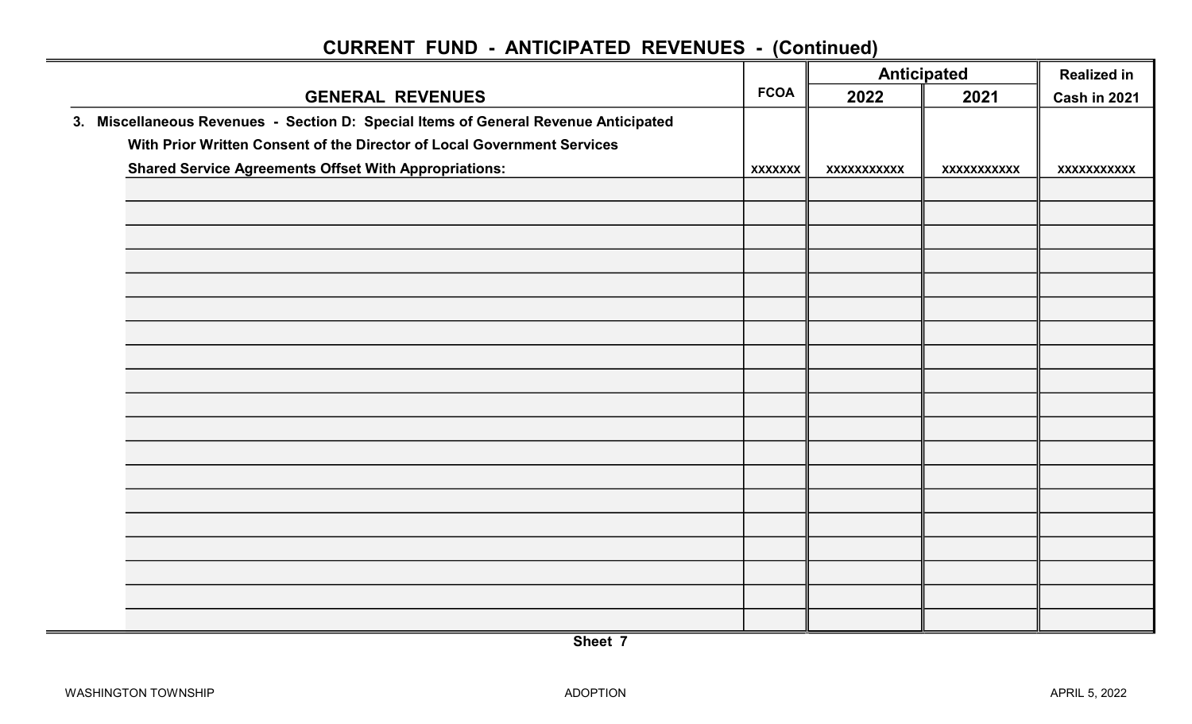|                                                                                     |                | <b>Anticipated</b><br><b>FCOA</b> |                    | <b>Realized in</b> |  |
|-------------------------------------------------------------------------------------|----------------|-----------------------------------|--------------------|--------------------|--|
| <b>GENERAL REVENUES</b>                                                             |                | 2022                              | 2021               | Cash in 2021       |  |
| 3. Miscellaneous Revenues - Section D: Special Items of General Revenue Anticipated |                |                                   |                    |                    |  |
| With Prior Written Consent of the Director of Local Government Services             |                |                                   |                    |                    |  |
| <b>Shared Service Agreements Offset With Appropriations:</b>                        | <b>XXXXXXX</b> | XXXXXXXXXXX                       | <b>XXXXXXXXXXX</b> | <b>XXXXXXXXXXX</b> |  |
|                                                                                     |                |                                   |                    |                    |  |
|                                                                                     |                |                                   |                    |                    |  |
|                                                                                     |                |                                   |                    |                    |  |
|                                                                                     |                |                                   |                    |                    |  |
|                                                                                     |                |                                   |                    |                    |  |
|                                                                                     |                |                                   |                    |                    |  |
|                                                                                     |                |                                   |                    |                    |  |
|                                                                                     |                |                                   |                    |                    |  |
|                                                                                     |                |                                   |                    |                    |  |
|                                                                                     |                |                                   |                    |                    |  |
|                                                                                     |                |                                   |                    |                    |  |
|                                                                                     |                |                                   |                    |                    |  |
|                                                                                     |                |                                   |                    |                    |  |
|                                                                                     |                |                                   |                    |                    |  |
|                                                                                     |                |                                   |                    |                    |  |
|                                                                                     |                |                                   |                    |                    |  |
|                                                                                     |                |                                   |                    |                    |  |
|                                                                                     |                |                                   |                    |                    |  |
|                                                                                     |                |                                   |                    |                    |  |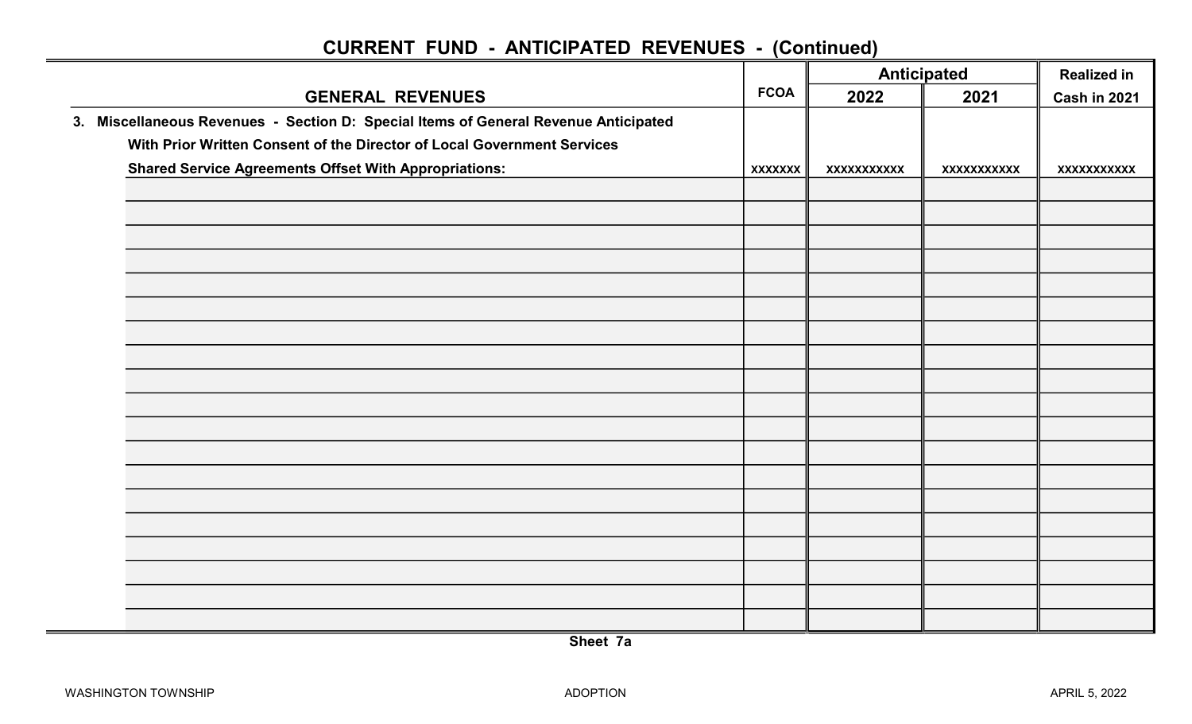|                                                                                     |                | <b>Anticipated</b><br><b>FCOA</b> |                    | <b>Realized in</b> |
|-------------------------------------------------------------------------------------|----------------|-----------------------------------|--------------------|--------------------|
| <b>GENERAL REVENUES</b>                                                             |                | 2022                              | 2021               | Cash in 2021       |
| 3. Miscellaneous Revenues - Section D: Special Items of General Revenue Anticipated |                |                                   |                    |                    |
| With Prior Written Consent of the Director of Local Government Services             |                |                                   |                    |                    |
| <b>Shared Service Agreements Offset With Appropriations:</b>                        | <b>XXXXXXX</b> | XXXXXXXXXXX                       | <b>XXXXXXXXXXX</b> | <b>XXXXXXXXXXX</b> |
|                                                                                     |                |                                   |                    |                    |
|                                                                                     |                |                                   |                    |                    |
|                                                                                     |                |                                   |                    |                    |
|                                                                                     |                |                                   |                    |                    |
|                                                                                     |                |                                   |                    |                    |
|                                                                                     |                |                                   |                    |                    |
|                                                                                     |                |                                   |                    |                    |
|                                                                                     |                |                                   |                    |                    |
|                                                                                     |                |                                   |                    |                    |
|                                                                                     |                |                                   |                    |                    |
|                                                                                     |                |                                   |                    |                    |
|                                                                                     |                |                                   |                    |                    |
|                                                                                     |                |                                   |                    |                    |
|                                                                                     |                |                                   |                    |                    |
|                                                                                     |                |                                   |                    |                    |
|                                                                                     |                |                                   |                    |                    |
|                                                                                     |                |                                   |                    |                    |
|                                                                                     |                |                                   |                    |                    |
|                                                                                     |                |                                   |                    |                    |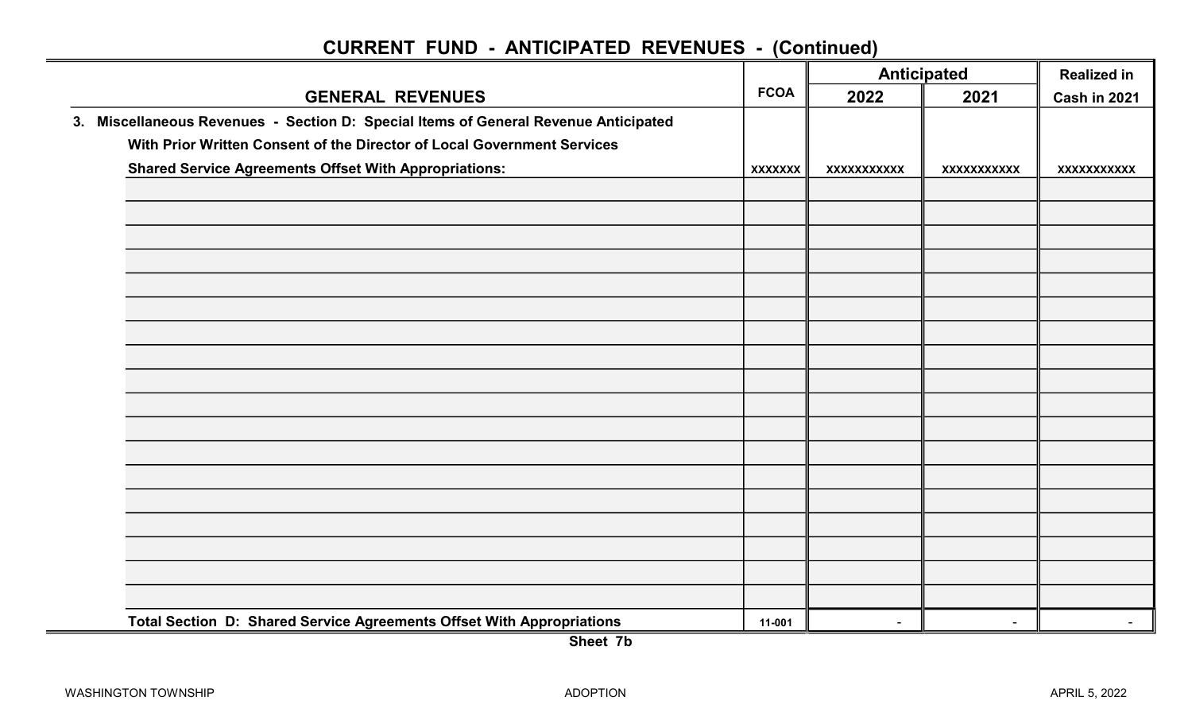|                                                                                     |                | <b>Anticipated</b> |                    | <b>Realized in</b>  |
|-------------------------------------------------------------------------------------|----------------|--------------------|--------------------|---------------------|
| <b>GENERAL REVENUES</b>                                                             | <b>FCOA</b>    | 2022               | 2021               | <b>Cash in 2021</b> |
| 3. Miscellaneous Revenues - Section D: Special Items of General Revenue Anticipated |                |                    |                    |                     |
| With Prior Written Consent of the Director of Local Government Services             |                |                    |                    |                     |
| <b>Shared Service Agreements Offset With Appropriations:</b>                        | <b>XXXXXXX</b> | XXXXXXXXXXX        | <b>XXXXXXXXXXX</b> | <b>XXXXXXXXXXX</b>  |
|                                                                                     |                |                    |                    |                     |
|                                                                                     |                |                    |                    |                     |
|                                                                                     |                |                    |                    |                     |
|                                                                                     |                |                    |                    |                     |
|                                                                                     |                |                    |                    |                     |
|                                                                                     |                |                    |                    |                     |
|                                                                                     |                |                    |                    |                     |
|                                                                                     |                |                    |                    |                     |
|                                                                                     |                |                    |                    |                     |
|                                                                                     |                |                    |                    |                     |
|                                                                                     |                |                    |                    |                     |
|                                                                                     |                |                    |                    |                     |
|                                                                                     |                |                    |                    |                     |
|                                                                                     |                |                    |                    |                     |
|                                                                                     |                |                    |                    |                     |
|                                                                                     |                |                    |                    |                     |
|                                                                                     |                |                    |                    |                     |
|                                                                                     |                |                    |                    |                     |
| Total Section D: Shared Service Agreements Offset With Appropriations               | 11-001         | $\sim$             | $\sim$             | $\sim$              |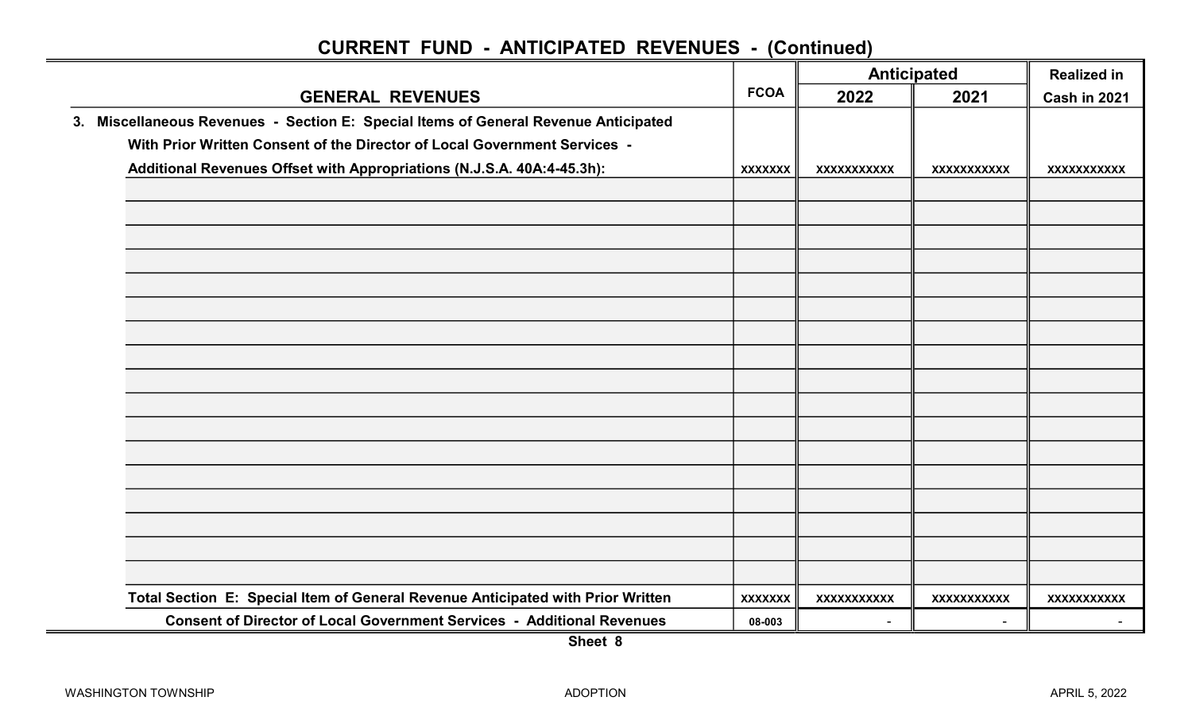|                                                                                     | <b>Anticipated</b> |                    |                    | <b>Realized in</b>  |  |
|-------------------------------------------------------------------------------------|--------------------|--------------------|--------------------|---------------------|--|
| <b>GENERAL REVENUES</b>                                                             | <b>FCOA</b>        | 2022               | 2021               | <b>Cash in 2021</b> |  |
| 3. Miscellaneous Revenues - Section E: Special Items of General Revenue Anticipated |                    |                    |                    |                     |  |
| With Prior Written Consent of the Director of Local Government Services -           |                    |                    |                    |                     |  |
| Additional Revenues Offset with Appropriations (N.J.S.A. 40A:4-45.3h):              | <b>XXXXXXX</b>     | XXXXXXXXXXX        | <b>XXXXXXXXXXX</b> | XXXXXXXXXXX         |  |
|                                                                                     |                    |                    |                    |                     |  |
|                                                                                     |                    |                    |                    |                     |  |
|                                                                                     |                    |                    |                    |                     |  |
|                                                                                     |                    |                    |                    |                     |  |
|                                                                                     |                    |                    |                    |                     |  |
|                                                                                     |                    |                    |                    |                     |  |
|                                                                                     |                    |                    |                    |                     |  |
|                                                                                     |                    |                    |                    |                     |  |
|                                                                                     |                    |                    |                    |                     |  |
|                                                                                     |                    |                    |                    |                     |  |
|                                                                                     |                    |                    |                    |                     |  |
|                                                                                     |                    |                    |                    |                     |  |
|                                                                                     |                    |                    |                    |                     |  |
|                                                                                     |                    |                    |                    |                     |  |
|                                                                                     |                    |                    |                    |                     |  |
|                                                                                     |                    |                    |                    |                     |  |
|                                                                                     |                    |                    |                    |                     |  |
| Total Section E: Special Item of General Revenue Anticipated with Prior Written     | <b>XXXXXXX</b>     | <b>XXXXXXXXXXX</b> | <b>XXXXXXXXXXX</b> | <b>XXXXXXXXXXX</b>  |  |
| <b>Consent of Director of Local Government Services - Additional Revenues</b>       | 08-003             | $\sim$             |                    |                     |  |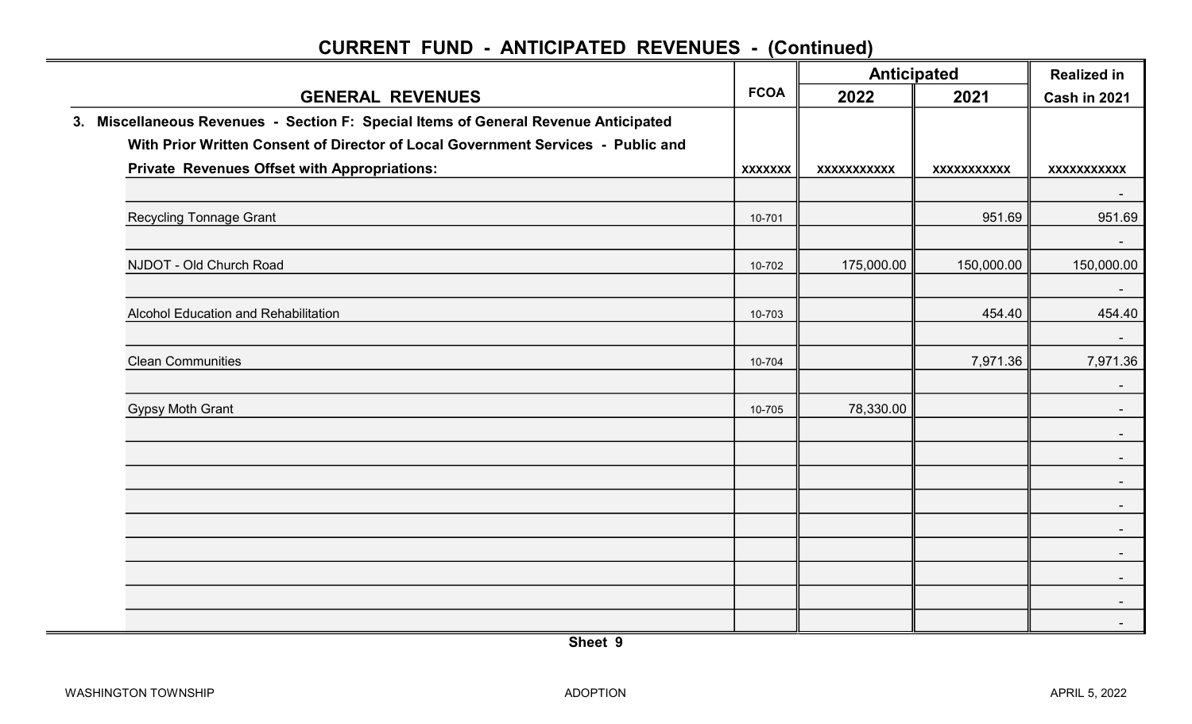|                                                                                     |                | Anticipated        |                    | <b>Realized in</b> |  |
|-------------------------------------------------------------------------------------|----------------|--------------------|--------------------|--------------------|--|
| <b>GENERAL REVENUES</b>                                                             | <b>FCOA</b>    | 2022               | 2021               | Cash in 2021       |  |
| 3. Miscellaneous Revenues - Section F: Special Items of General Revenue Anticipated |                |                    |                    |                    |  |
| With Prior Written Consent of Director of Local Government Services - Public and    |                |                    |                    |                    |  |
| <b>Private Revenues Offset with Appropriations:</b>                                 | <b>XXXXXXX</b> | <b>XXXXXXXXXXX</b> | <b>XXXXXXXXXXX</b> | <b>XXXXXXXXXXX</b> |  |
|                                                                                     |                |                    |                    |                    |  |
| <b>Recycling Tonnage Grant</b>                                                      | 10-701         |                    | 951.69             | 951.69             |  |
|                                                                                     |                |                    |                    | $\blacksquare$     |  |
| NJDOT - Old Church Road                                                             | 10-702         | 175,000.00         | 150,000.00         | 150,000.00         |  |
| Alcohol Education and Rehabilitation                                                | 10-703         |                    | 454.40             | $\sim$<br>454.40   |  |
|                                                                                     |                |                    |                    |                    |  |
| <b>Clean Communities</b>                                                            | 10-704         |                    | 7,971.36           | 7,971.36           |  |
|                                                                                     |                |                    |                    | $\sim$             |  |
| <b>Gypsy Moth Grant</b>                                                             | 10-705         | 78,330.00          |                    | $\sim$<br>$\sim$   |  |
|                                                                                     |                |                    |                    |                    |  |
|                                                                                     |                |                    |                    |                    |  |
|                                                                                     |                |                    |                    |                    |  |
|                                                                                     |                |                    |                    |                    |  |
|                                                                                     |                |                    |                    | $\sim$             |  |
|                                                                                     |                |                    |                    | $\sim$             |  |
|                                                                                     |                |                    |                    |                    |  |
|                                                                                     |                |                    |                    | $\sim$             |  |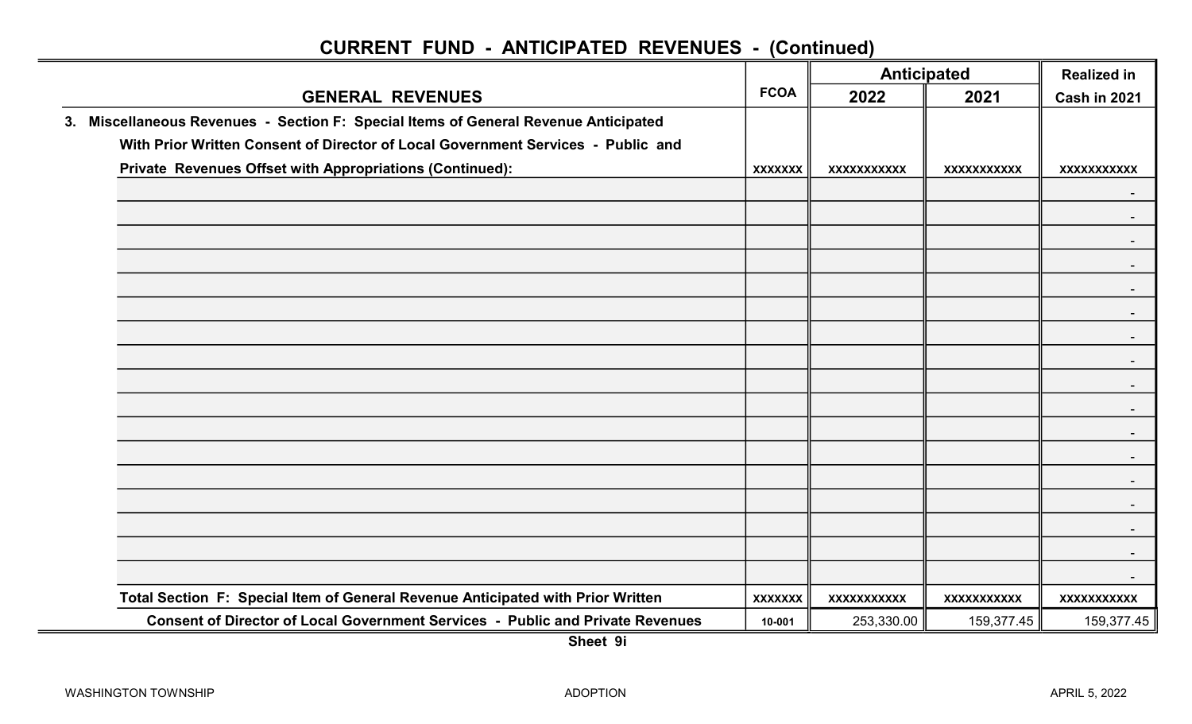|                                                                                     | <b>FCOA</b>    |                    | <b>Anticipated</b> | <b>Realized in</b> |
|-------------------------------------------------------------------------------------|----------------|--------------------|--------------------|--------------------|
| <b>GENERAL REVENUES</b>                                                             |                | 2022               | 2021               | Cash in 2021       |
| 3. Miscellaneous Revenues - Section F: Special Items of General Revenue Anticipated |                |                    |                    |                    |
| With Prior Written Consent of Director of Local Government Services - Public and    |                |                    |                    |                    |
| Private Revenues Offset with Appropriations (Continued):                            | <b>XXXXXXX</b> | XXXXXXXXXXX        | <b>XXXXXXXXXXX</b> | XXXXXXXXXXX        |
|                                                                                     |                |                    |                    |                    |
|                                                                                     |                |                    |                    |                    |
|                                                                                     |                |                    |                    |                    |
|                                                                                     |                |                    |                    |                    |
|                                                                                     |                |                    |                    |                    |
|                                                                                     |                |                    |                    |                    |
|                                                                                     |                |                    |                    |                    |
|                                                                                     |                |                    |                    |                    |
|                                                                                     |                |                    |                    |                    |
|                                                                                     |                |                    |                    |                    |
|                                                                                     |                |                    |                    |                    |
|                                                                                     |                |                    |                    |                    |
|                                                                                     |                |                    |                    |                    |
|                                                                                     |                |                    |                    |                    |
|                                                                                     |                |                    |                    |                    |
|                                                                                     |                |                    |                    |                    |
|                                                                                     |                |                    |                    |                    |
| Total Section F: Special Item of General Revenue Anticipated with Prior Written     | <b>XXXXXXX</b> | <b>XXXXXXXXXXX</b> | XXXXXXXXXXX        | <b>XXXXXXXXXXX</b> |
| Consent of Director of Local Government Services - Public and Private Revenues      | 10-001         | 253,330.00         | 159,377.45         | 159,377.45         |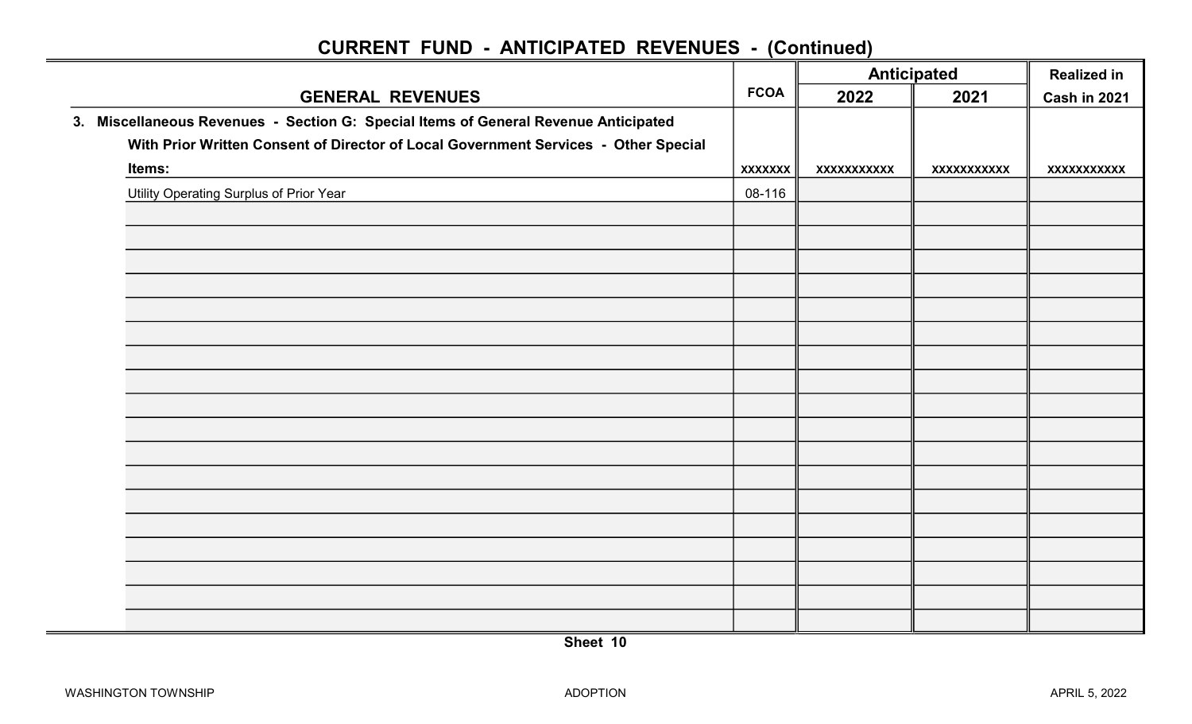|                                                                                     |                | <b>Anticipated</b> |                    | <b>Realized in</b> |  |
|-------------------------------------------------------------------------------------|----------------|--------------------|--------------------|--------------------|--|
| <b>GENERAL REVENUES</b>                                                             | <b>FCOA</b>    | 2022               | 2021               | Cash in 2021       |  |
| 3. Miscellaneous Revenues - Section G: Special Items of General Revenue Anticipated |                |                    |                    |                    |  |
| With Prior Written Consent of Director of Local Government Services - Other Special |                |                    |                    |                    |  |
| Items:                                                                              | <b>XXXXXXX</b> | XXXXXXXXXX         | <b>XXXXXXXXXXX</b> | XXXXXXXXXXX        |  |
| <b>Utility Operating Surplus of Prior Year</b>                                      | 08-116         |                    |                    |                    |  |
|                                                                                     |                |                    |                    |                    |  |
|                                                                                     |                |                    |                    |                    |  |
|                                                                                     |                |                    |                    |                    |  |
|                                                                                     |                |                    |                    |                    |  |
|                                                                                     |                |                    |                    |                    |  |
|                                                                                     |                |                    |                    |                    |  |
|                                                                                     |                |                    |                    |                    |  |
|                                                                                     |                |                    |                    |                    |  |
|                                                                                     |                |                    |                    |                    |  |
|                                                                                     |                |                    |                    |                    |  |
|                                                                                     |                |                    |                    |                    |  |
|                                                                                     |                |                    |                    |                    |  |
|                                                                                     |                |                    |                    |                    |  |
|                                                                                     |                |                    |                    |                    |  |
|                                                                                     |                |                    |                    |                    |  |
|                                                                                     |                |                    |                    |                    |  |
|                                                                                     |                |                    |                    |                    |  |
|                                                                                     |                |                    |                    |                    |  |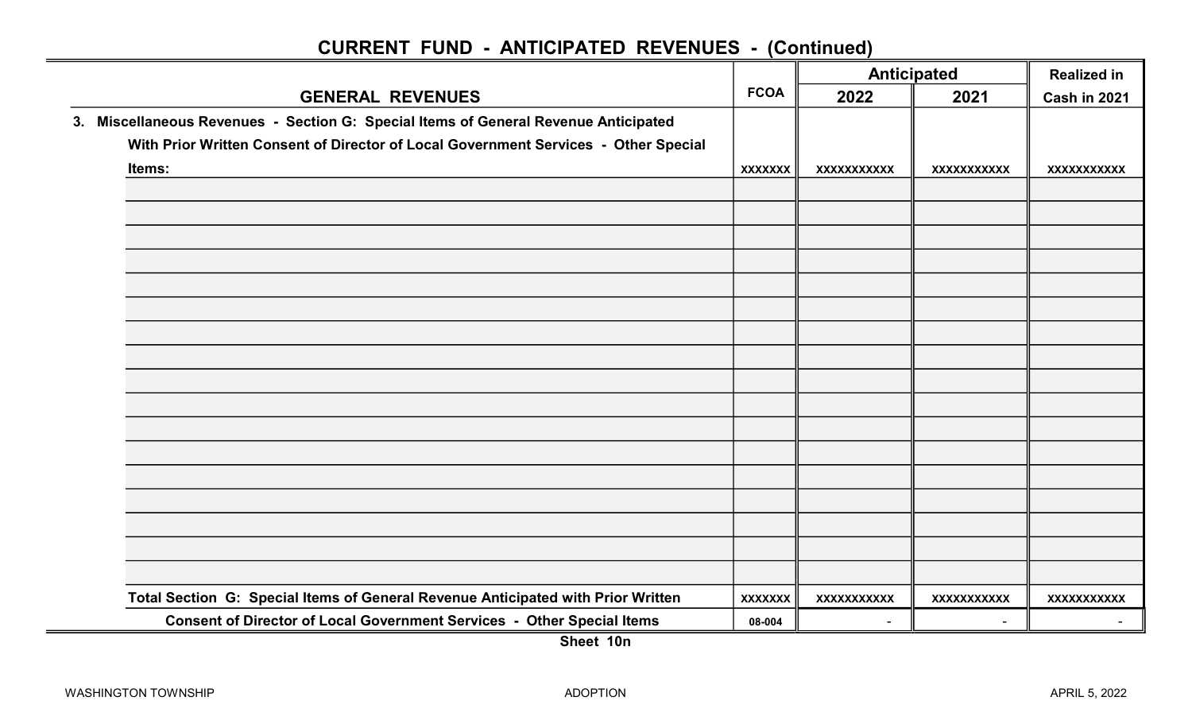|        |                                                                                     |                |                    | Anticipated        |                    |
|--------|-------------------------------------------------------------------------------------|----------------|--------------------|--------------------|--------------------|
|        | <b>GENERAL REVENUES</b>                                                             |                | 2022               | 2021               | Cash in 2021       |
|        | 3. Miscellaneous Revenues - Section G: Special Items of General Revenue Anticipated |                |                    |                    |                    |
|        | With Prior Written Consent of Director of Local Government Services - Other Special |                |                    |                    |                    |
| Items: |                                                                                     | <b>XXXXXXX</b> | XXXXXXXXXXX        | <b>XXXXXXXXXXX</b> | XXXXXXXXXXX        |
|        |                                                                                     |                |                    |                    |                    |
|        |                                                                                     |                |                    |                    |                    |
|        |                                                                                     |                |                    |                    |                    |
|        |                                                                                     |                |                    |                    |                    |
|        |                                                                                     |                |                    |                    |                    |
|        |                                                                                     |                |                    |                    |                    |
|        |                                                                                     |                |                    |                    |                    |
|        |                                                                                     |                |                    |                    |                    |
|        |                                                                                     |                |                    |                    |                    |
|        |                                                                                     |                |                    |                    |                    |
|        |                                                                                     |                |                    |                    |                    |
|        |                                                                                     |                |                    |                    |                    |
|        |                                                                                     |                |                    |                    |                    |
|        |                                                                                     |                |                    |                    |                    |
|        |                                                                                     |                |                    |                    |                    |
|        |                                                                                     |                |                    |                    |                    |
|        |                                                                                     |                |                    |                    |                    |
|        | Total Section G: Special Items of General Revenue Anticipated with Prior Written    | <b>XXXXXXX</b> | <b>XXXXXXXXXXX</b> | <b>XXXXXXXXXXX</b> | <b>XXXXXXXXXXX</b> |
|        | Consent of Director of Local Government Services - Other Special Items              | 08-004         |                    |                    |                    |
|        |                                                                                     |                |                    |                    |                    |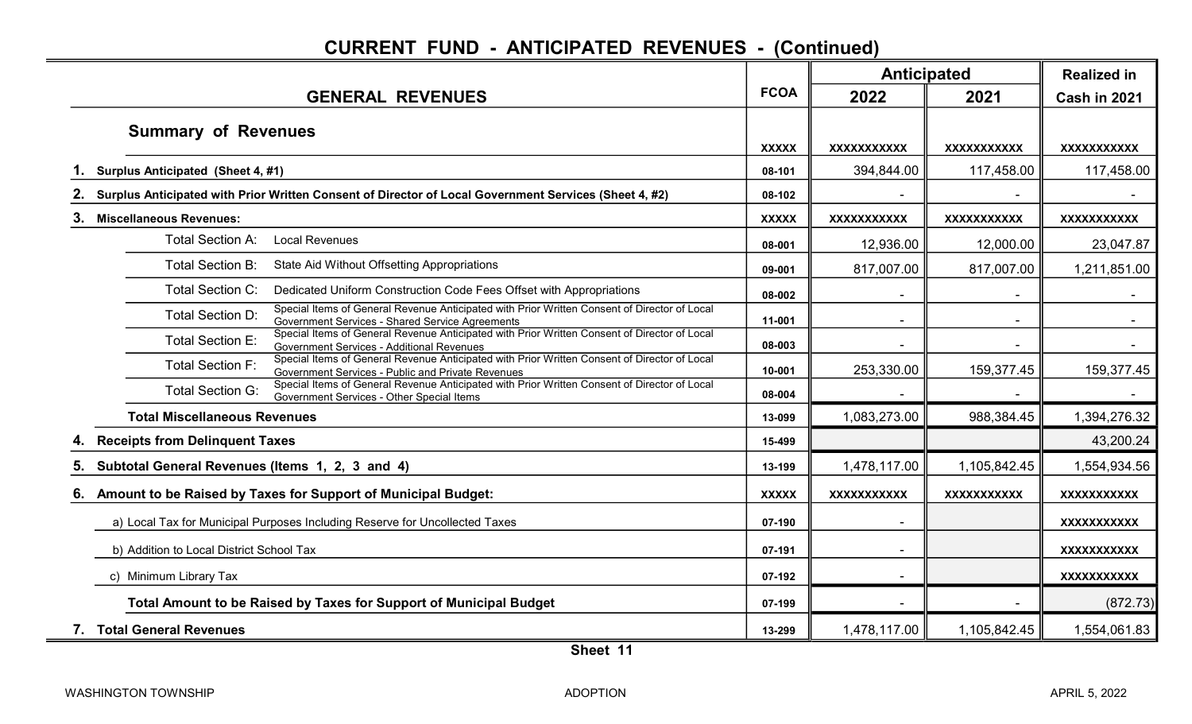|                                                                                                                                                                              |              | <b>Anticipated</b>       |                    | <b>Realized in</b>  |
|------------------------------------------------------------------------------------------------------------------------------------------------------------------------------|--------------|--------------------------|--------------------|---------------------|
| <b>GENERAL REVENUES</b>                                                                                                                                                      | <b>FCOA</b>  | 2022                     | 2021               | <b>Cash in 2021</b> |
| <b>Summary of Revenues</b>                                                                                                                                                   | <b>XXXXX</b> | <b>XXXXXXXXXXX</b>       | XXXXXXXXXX         | XXXXXXXXXX          |
| Surplus Anticipated (Sheet 4, #1)                                                                                                                                            | 08-101       | 394,844.00               | 117,458.00         | 117,458.00          |
| Surplus Anticipated with Prior Written Consent of Director of Local Government Services (Sheet 4, #2)                                                                        | 08-102       |                          |                    |                     |
| 3.<br><b>Miscellaneous Revenues:</b>                                                                                                                                         | <b>XXXXX</b> | <b>XXXXXXXXXXX</b>       | XXXXXXXXXX         | XXXXXXXXXX          |
| <b>Local Revenues</b><br>Total Section A:                                                                                                                                    | 08-001       | 12,936.00                | 12,000.00          | 23,047.87           |
| Total Section B:<br>State Aid Without Offsetting Appropriations                                                                                                              | 09-001       | 817,007.00               | 817,007.00         | 1,211,851.00        |
| <b>Total Section C:</b><br>Dedicated Uniform Construction Code Fees Offset with Appropriations                                                                               | 08-002       |                          |                    |                     |
| Special Items of General Revenue Anticipated with Prior Written Consent of Director of Local<br>Total Section D:<br>Government Services - Shared Service Agreements          | 11-001       |                          |                    |                     |
| Special Items of General Revenue Anticipated with Prior Written Consent of Director of Local<br><b>Total Section E:</b><br>Government Services - Additional Revenues         | 08-003       | $\overline{\phantom{a}}$ | $\blacksquare$     | $\sim$              |
| Special Items of General Revenue Anticipated with Prior Written Consent of Director of Local<br><b>Total Section F:</b><br>Government Services - Public and Private Revenues | 10-001       | 253,330.00               | 159,377.45         | 159,377.45          |
| Special Items of General Revenue Anticipated with Prior Written Consent of Director of Local<br><b>Total Section G:</b><br>Government Services - Other Special Items         | 08-004       |                          |                    |                     |
| <b>Total Miscellaneous Revenues</b>                                                                                                                                          | 13-099       | 1,083,273.00             | 988,384.45         | 1,394,276.32        |
| <b>Receipts from Delinquent Taxes</b>                                                                                                                                        | 15-499       |                          |                    | 43,200.24           |
| 5.<br>Subtotal General Revenues (Items 1, 2, 3 and 4)                                                                                                                        | 13-199       | 1,478,117.00             | 1,105,842.45       | 1,554,934.56        |
| Amount to be Raised by Taxes for Support of Municipal Budget:<br>6.                                                                                                          | <b>XXXXX</b> | <b>XXXXXXXXXXX</b>       | <b>XXXXXXXXXXX</b> | <b>XXXXXXXXXXX</b>  |
| a) Local Tax for Municipal Purposes Including Reserve for Uncollected Taxes                                                                                                  | 07-190       |                          |                    | <b>XXXXXXXXXXX</b>  |
| b) Addition to Local District School Tax                                                                                                                                     | 07-191       |                          |                    | <b>XXXXXXXXXXX</b>  |
| c) Minimum Library Tax                                                                                                                                                       | 07-192       |                          |                    | <b>XXXXXXXXXXX</b>  |
| Total Amount to be Raised by Taxes for Support of Municipal Budget                                                                                                           | 07-199       |                          |                    | (872.73)            |
| 7. Total General Revenues                                                                                                                                                    | 13-299       | 1,478,117.00             | 1,105,842.45       | 1,554,061.83        |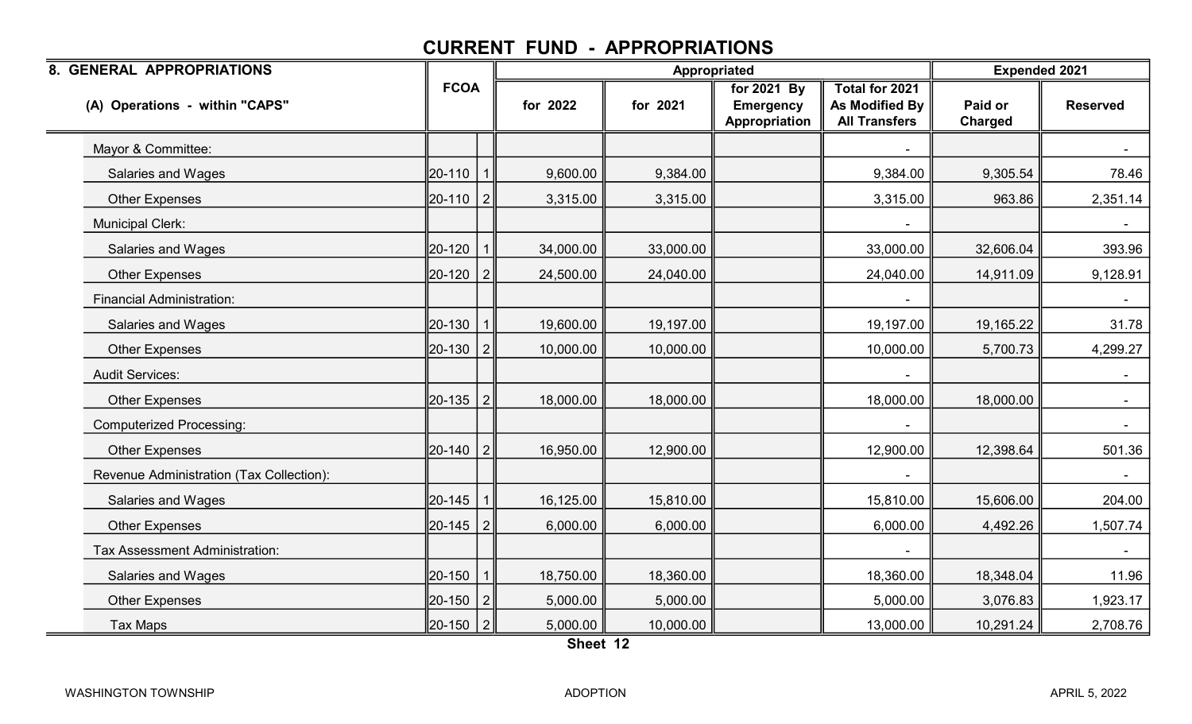| 8. GENERAL APPROPRIATIONS                |          |                | Appropriated |           |                                                  | <b>Expended 2021</b>                                            |                           |                 |
|------------------------------------------|----------|----------------|--------------|-----------|--------------------------------------------------|-----------------------------------------------------------------|---------------------------|-----------------|
| (A) Operations - within "CAPS"           |          | <b>FCOA</b>    |              | for 2021  | for 2021 By<br><b>Emergency</b><br>Appropriation | <b>Total for 2021</b><br>As Modified By<br><b>All Transfers</b> | Paid or<br><b>Charged</b> | <b>Reserved</b> |
| Mayor & Committee:                       |          |                |              |           |                                                  |                                                                 |                           |                 |
| <b>Salaries and Wages</b>                | 20-110   |                | 9,600.00     | 9,384.00  |                                                  | 9,384.00                                                        | 9,305.54                  | 78.46           |
| <b>Other Expenses</b>                    | 20-110   | $\overline{2}$ | 3,315.00     | 3,315.00  |                                                  | 3,315.00                                                        | 963.86                    | 2,351.14        |
| <b>Municipal Clerk:</b>                  |          |                |              |           |                                                  |                                                                 |                           | $\sim$          |
| <b>Salaries and Wages</b>                | 20-120   |                | 34,000.00    | 33,000.00 |                                                  | 33,000.00                                                       | 32,606.04                 | 393.96          |
| <b>Other Expenses</b>                    | 20-120   |                | 24,500.00    | 24,040.00 |                                                  | 24,040.00                                                       | 14,911.09                 | 9,128.91        |
| <b>Financial Administration:</b>         |          |                |              |           |                                                  |                                                                 |                           |                 |
| <b>Salaries and Wages</b>                | 20-130   |                | 19,600.00    | 19,197.00 |                                                  | 19,197.00                                                       | 19,165.22                 | 31.78           |
| <b>Other Expenses</b>                    | 20-130   |                | 10,000.00    | 10,000.00 |                                                  | 10,000.00                                                       | 5,700.73                  | 4,299.27        |
| <b>Audit Services:</b>                   |          |                |              |           |                                                  |                                                                 |                           | $\sim$          |
| <b>Other Expenses</b>                    | 20-135   | $\overline{2}$ | 18,000.00    | 18,000.00 |                                                  | 18,000.00                                                       | 18,000.00                 | $\sim$          |
| <b>Computerized Processing:</b>          |          |                |              |           |                                                  |                                                                 |                           | $\sim$          |
| <b>Other Expenses</b>                    | 20-140   | $\overline{2}$ | 16,950.00    | 12,900.00 |                                                  | 12,900.00                                                       | 12,398.64                 | 501.36          |
| Revenue Administration (Tax Collection): |          |                |              |           |                                                  |                                                                 |                           |                 |
| <b>Salaries and Wages</b>                | 20-145   |                | 16,125.00    | 15,810.00 |                                                  | 15,810.00                                                       | 15,606.00                 | 204.00          |
| <b>Other Expenses</b>                    | 20-145   | 2              | 6,000.00     | 6,000.00  |                                                  | 6,000.00                                                        | 4,492.26                  | 1,507.74        |
| Tax Assessment Administration:           |          |                |              |           |                                                  |                                                                 |                           | $\sim$ $-$      |
| Salaries and Wages                       | 20-150   |                | 18,750.00    | 18,360.00 |                                                  | 18,360.00                                                       | 18,348.04                 | 11.96           |
| <b>Other Expenses</b>                    | 20-150   | $\overline{2}$ | 5,000.00     | 5,000.00  |                                                  | 5,000.00                                                        | 3,076.83                  | 1,923.17        |
| Tax Maps                                 | 20-150 2 |                | 5,000.00     | 10,000.00 |                                                  | 13,000.00                                                       | 10,291.24                 | 2,708.76        |

Sheet 12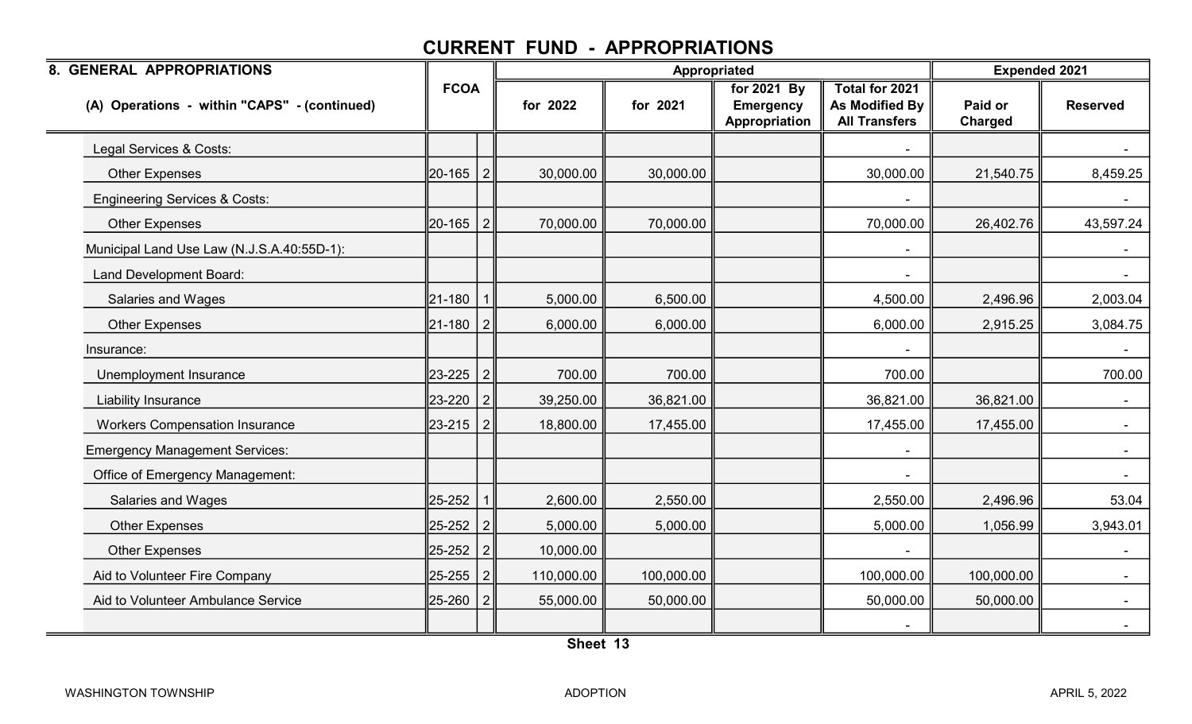| 8. GENERAL APPROPRIATIONS                    |                |                |            |            | Appropriated                                     |                                                                 | <b>Expended 2021</b> |                 |
|----------------------------------------------|----------------|----------------|------------|------------|--------------------------------------------------|-----------------------------------------------------------------|----------------------|-----------------|
| (A) Operations - within "CAPS" - (continued) | <b>FCOA</b>    |                | for 2022   | for 2021   | for 2021 By<br><b>Emergency</b><br>Appropriation | Total for 2021<br><b>As Modified By</b><br><b>All Transfers</b> | Paid or<br>Charged   | <b>Reserved</b> |
| Legal Services & Costs:                      |                |                |            |            |                                                  |                                                                 |                      |                 |
| <b>Other Expenses</b>                        | 20-165 2       |                | 30,000.00  | 30,000.00  |                                                  | 30,000.00                                                       | 21,540.75            | 8,459.25        |
| <b>Engineering Services &amp; Costs:</b>     |                |                |            |            |                                                  |                                                                 |                      |                 |
| <b>Other Expenses</b>                        | $ 20 - 165 $ 2 |                | 70,000.00  | 70,000.00  |                                                  | 70,000.00                                                       | 26,402.76            | 43,597.24       |
| Municipal Land Use Law (N.J.S.A.40:55D-1):   |                |                |            |            |                                                  |                                                                 |                      | $\sim$          |
| Land Development Board:                      |                |                |            |            |                                                  |                                                                 |                      |                 |
| <b>Salaries and Wages</b>                    | 21-180         | $\mathbf{1}$   | 5,000.00   | 6,500.00   |                                                  | 4,500.00                                                        | 2,496.96             | 2,003.04        |
| <b>Other Expenses</b>                        | 21-180         | $\overline{2}$ | 6,000.00   | 6,000.00   |                                                  | 6,000.00                                                        | 2,915.25             | 3,084.75        |
| Insurance:                                   |                |                |            |            |                                                  |                                                                 |                      | $\sim$          |
| Unemployment Insurance                       | 23-225 2       |                | 700.00     | 700.00     |                                                  | 700.00                                                          |                      | 700.00          |
| Liability Insurance                          | 23-220         | 2              | 39,250.00  | 36,821.00  |                                                  | 36,821.00                                                       | 36,821.00            | $\sim$          |
| <b>Workers Compensation Insurance</b>        | 23-215         | 2              | 18,800.00  | 17,455.00  |                                                  | 17,455.00                                                       | 17,455.00            | $\sim$          |
| <b>Emergency Management Services:</b>        |                |                |            |            |                                                  |                                                                 |                      |                 |
| Office of Emergency Management:              |                |                |            |            |                                                  |                                                                 |                      |                 |
| <b>Salaries and Wages</b>                    | 25-252         |                | 2,600.00   | 2,550.00   |                                                  | 2,550.00                                                        | 2,496.96             | 53.04           |
| <b>Other Expenses</b>                        | 25-252         | $\vert$ 2      | 5,000.00   | 5,000.00   |                                                  | 5,000.00                                                        | 1,056.99             | 3,943.01        |
| <b>Other Expenses</b>                        | 25-252 2       |                | 10,000.00  |            |                                                  |                                                                 |                      | $\sim$          |
| Aid to Volunteer Fire Company                | 25-255         | $\overline{2}$ | 110,000.00 | 100,000.00 |                                                  | 100,000.00                                                      | 100,000.00           |                 |
| Aid to Volunteer Ambulance Service           | 25-260         | $\overline{2}$ | 55,000.00  | 50,000.00  |                                                  | 50,000.00                                                       | 50,000.00            |                 |
|                                              |                |                |            |            |                                                  |                                                                 |                      |                 |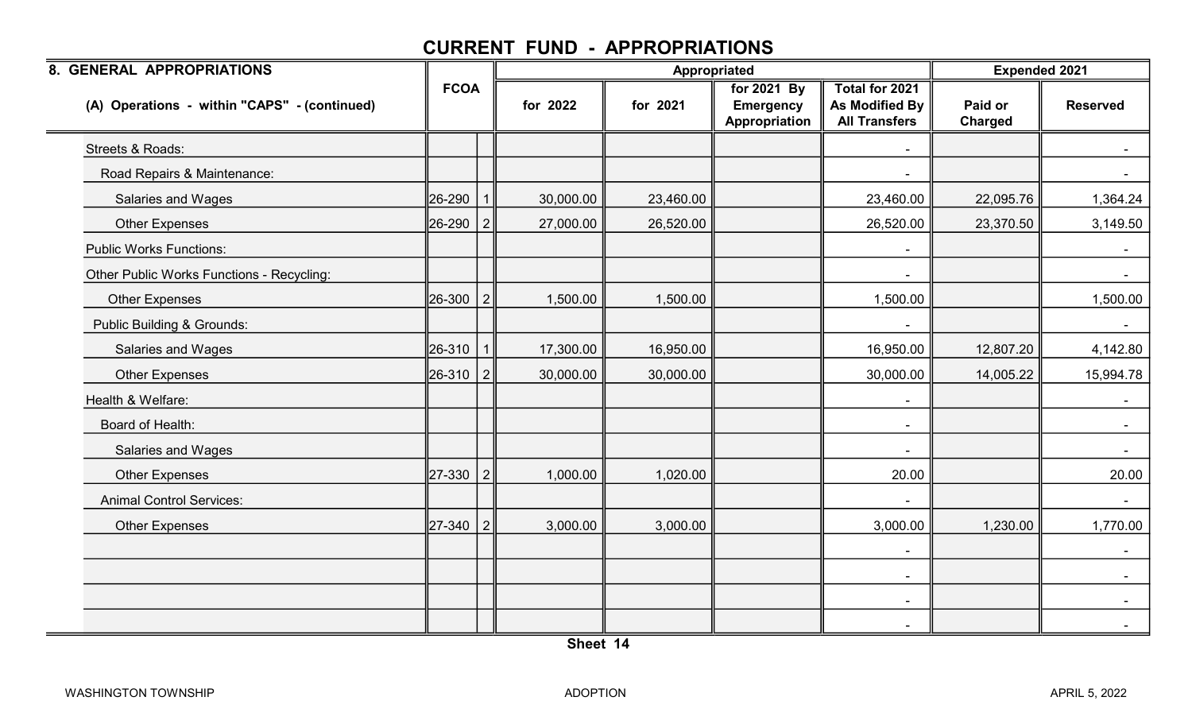| 8. GENERAL APPROPRIATIONS                    |             |                |           | Appropriated |                                                  |                                                                 | <b>Expended 2021</b> |                 |
|----------------------------------------------|-------------|----------------|-----------|--------------|--------------------------------------------------|-----------------------------------------------------------------|----------------------|-----------------|
| (A) Operations - within "CAPS" - (continued) | <b>FCOA</b> |                | for 2022  | for 2021     | for 2021 By<br><b>Emergency</b><br>Appropriation | Total for 2021<br><b>As Modified By</b><br><b>All Transfers</b> | Paid or<br>Charged   | <b>Reserved</b> |
| Streets & Roads:                             |             |                |           |              |                                                  |                                                                 |                      |                 |
| Road Repairs & Maintenance:                  |             |                |           |              |                                                  |                                                                 |                      |                 |
| Salaries and Wages                           | 26-290      |                | 30,000.00 | 23,460.00    |                                                  | 23,460.00                                                       | 22,095.76            | 1,364.24        |
| <b>Other Expenses</b>                        | 26-290      | 2              | 27,000.00 | 26,520.00    |                                                  | 26,520.00                                                       | 23,370.50            | 3,149.50        |
| <b>Public Works Functions:</b>               |             |                |           |              |                                                  |                                                                 |                      |                 |
| Other Public Works Functions - Recycling:    |             |                |           |              |                                                  |                                                                 |                      |                 |
| <b>Other Expenses</b>                        | 26-300      | 2              | 1,500.00  | 1,500.00     |                                                  | 1,500.00                                                        |                      | 1,500.00        |
| Public Building & Grounds:                   |             |                |           |              |                                                  | $\blacksquare$                                                  |                      | $\sim$          |
| Salaries and Wages                           | 26-310      |                | 17,300.00 | 16,950.00    |                                                  | 16,950.00                                                       | 12,807.20            | 4,142.80        |
| <b>Other Expenses</b>                        | 26-310      | $\overline{2}$ | 30,000.00 | 30,000.00    |                                                  | 30,000.00                                                       | 14,005.22            | 15,994.78       |
| Health & Welfare:                            |             |                |           |              |                                                  |                                                                 |                      | $\sim$          |
| Board of Health:                             |             |                |           |              |                                                  | $\blacksquare$                                                  |                      | $\sim$          |
| <b>Salaries and Wages</b>                    |             |                |           |              |                                                  |                                                                 |                      |                 |
| <b>Other Expenses</b>                        | 27-330      | 2              | 1,000.00  | 1,020.00     |                                                  | 20.00                                                           |                      | 20.00           |
| <b>Animal Control Services:</b>              |             |                |           |              |                                                  |                                                                 |                      | $\sim$          |
| <b>Other Expenses</b>                        | 27-340      | 2              | 3,000.00  | 3,000.00     |                                                  | 3,000.00                                                        | 1,230.00             | 1,770.00        |
|                                              |             |                |           |              |                                                  | $\blacksquare$                                                  |                      | $\sim$          |
|                                              |             |                |           |              |                                                  | $\sim$                                                          |                      |                 |
|                                              |             |                |           |              |                                                  | $\blacksquare$                                                  |                      |                 |
|                                              |             |                |           |              |                                                  |                                                                 |                      |                 |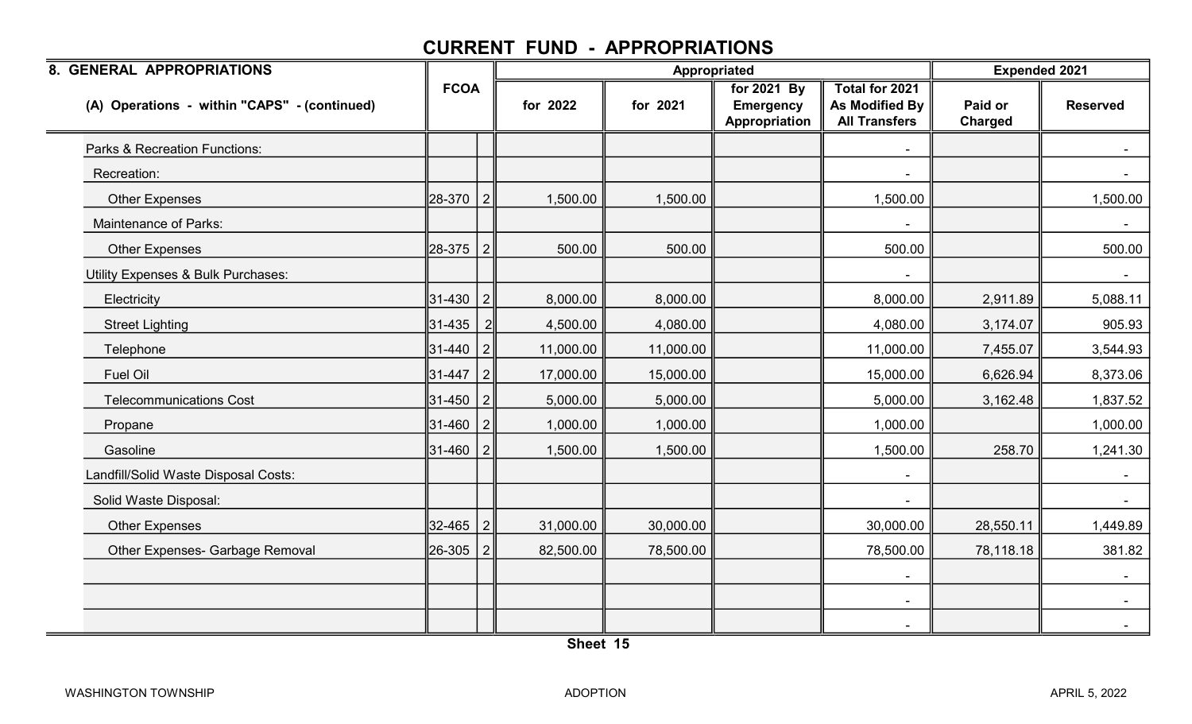| 8. GENERAL APPROPRIATIONS                    |             |                |           | <b>Appropriated</b> |                                                  |                                                          | <b>Expended 2021</b> |                 |
|----------------------------------------------|-------------|----------------|-----------|---------------------|--------------------------------------------------|----------------------------------------------------------|----------------------|-----------------|
| (A) Operations - within "CAPS" - (continued) | <b>FCOA</b> |                | for 2022  | for 2021            | for 2021 By<br><b>Emergency</b><br>Appropriation | Total for 2021<br>As Modified By<br><b>All Transfers</b> | Paid or<br>Charged   | <b>Reserved</b> |
| Parks & Recreation Functions:                |             |                |           |                     |                                                  |                                                          |                      |                 |
| Recreation:                                  |             |                |           |                     |                                                  |                                                          |                      |                 |
| <b>Other Expenses</b>                        | 28-370      | $\overline{2}$ | 1,500.00  | 1,500.00            |                                                  | 1,500.00                                                 |                      | 1,500.00        |
| Maintenance of Parks:                        |             |                |           |                     |                                                  | $\overline{\phantom{a}}$                                 |                      | $\sim$ $\sim$   |
| <b>Other Expenses</b>                        | 28-375      | $\vert$ 2      | 500.00    | 500.00              |                                                  | 500.00                                                   |                      | 500.00          |
| Utility Expenses & Bulk Purchases:           |             |                |           |                     |                                                  |                                                          |                      |                 |
| Electricity                                  | 31-430      | $\overline{2}$ | 8,000.00  | 8,000.00            |                                                  | 8,000.00                                                 | 2,911.89             | 5,088.11        |
| <b>Street Lighting</b>                       | 31-435      | $\overline{2}$ | 4,500.00  | 4,080.00            |                                                  | 4,080.00                                                 | 3,174.07             | 905.93          |
| Telephone                                    | 31-440      | $\overline{2}$ | 11,000.00 | 11,000.00           |                                                  | 11,000.00                                                | 7,455.07             | 3,544.93        |
| Fuel Oil                                     | 31-447      | $\vert$ 2      | 17,000.00 | 15,000.00           |                                                  | 15,000.00                                                | 6,626.94             | 8,373.06        |
| <b>Telecommunications Cost</b>               | 31-450      | $\overline{2}$ | 5,000.00  | 5,000.00            |                                                  | 5,000.00                                                 | 3,162.48             | 1,837.52        |
| Propane                                      | 31-460      | 2              | 1,000.00  | 1,000.00            |                                                  | 1,000.00                                                 |                      | 1,000.00        |
| Gasoline                                     | 31-460      | $\vert$ 2      | 1,500.00  | 1,500.00            |                                                  | 1,500.00                                                 | 258.70               | 1,241.30        |
| Landfill/Solid Waste Disposal Costs:         |             |                |           |                     |                                                  |                                                          |                      |                 |
| Solid Waste Disposal:                        |             |                |           |                     |                                                  |                                                          |                      | $\sim$          |
| <b>Other Expenses</b>                        | 32-465      | $\vert$ 2      | 31,000.00 | 30,000.00           |                                                  | 30,000.00                                                | 28,550.11            | 1,449.89        |
| Other Expenses- Garbage Removal              | 26-305      | 2              | 82,500.00 | 78,500.00           |                                                  | 78,500.00                                                | 78,118.18            | 381.82          |
|                                              |             |                |           |                     |                                                  |                                                          |                      |                 |
|                                              |             |                |           |                     |                                                  | $\blacksquare$                                           |                      | $\sim$          |
|                                              |             |                |           |                     |                                                  |                                                          |                      | $\sim$          |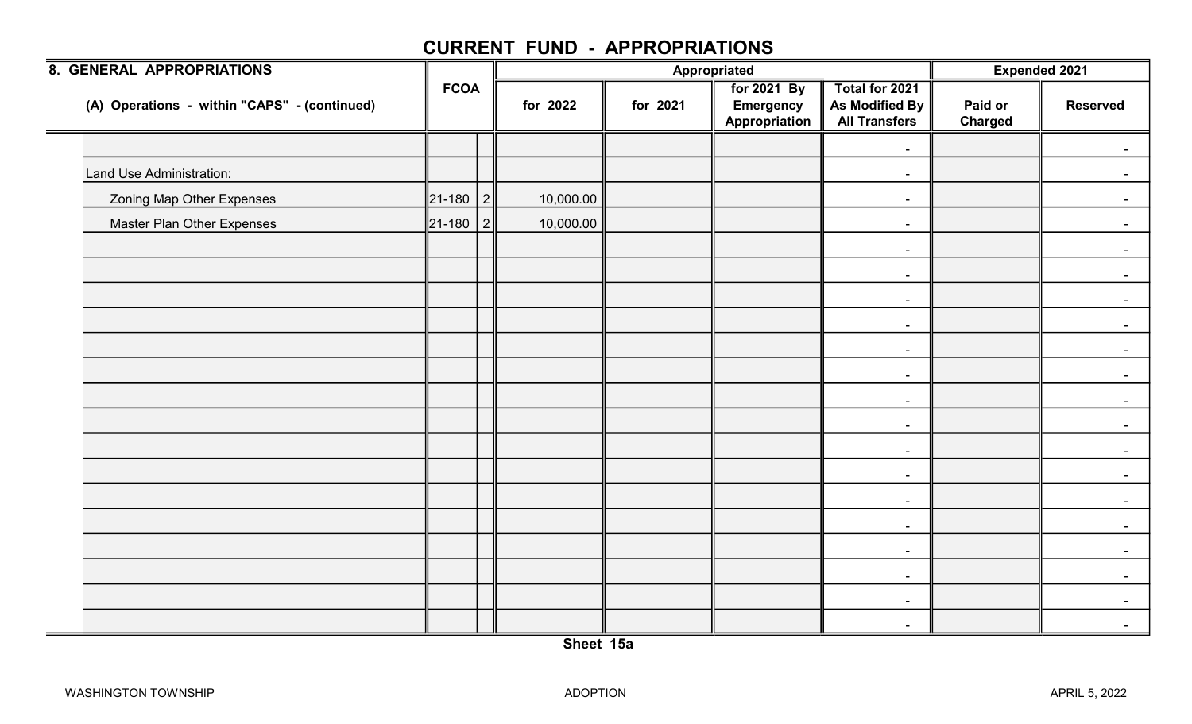| 8. GENERAL APPROPRIATIONS                    |                |                |           |          | Appropriated                                     |                                                          | Expended 2021             |                 |
|----------------------------------------------|----------------|----------------|-----------|----------|--------------------------------------------------|----------------------------------------------------------|---------------------------|-----------------|
| (A) Operations - within "CAPS" - (continued) | <b>FCOA</b>    |                | for 2022  | for 2021 | for 2021 By<br><b>Emergency</b><br>Appropriation | Total for 2021<br>As Modified By<br><b>All Transfers</b> | Paid or<br><b>Charged</b> | <b>Reserved</b> |
|                                              |                |                |           |          |                                                  | $\sim$                                                   |                           |                 |
| Land Use Administration:                     |                |                |           |          |                                                  | $\blacksquare$                                           |                           |                 |
| <b>Zoning Map Other Expenses</b>             | $\ 21 - 180\ $ | $\overline{2}$ | 10,000.00 |          |                                                  | $\blacksquare$                                           |                           | $\sim$          |
| Master Plan Other Expenses                   | $\ 21 - 180\ $ | $\vert$ 2      | 10,000.00 |          |                                                  | $\blacksquare$                                           |                           | $\sim$          |
|                                              |                |                |           |          |                                                  | $\sim$                                                   |                           |                 |
|                                              |                |                |           |          |                                                  | $\blacksquare$                                           |                           |                 |
|                                              |                |                |           |          |                                                  | $\sim$                                                   |                           | $\sim$ .        |
|                                              |                |                |           |          |                                                  | $\blacksquare$                                           |                           | $\blacksquare$  |
|                                              |                |                |           |          |                                                  | $\sim$                                                   |                           |                 |
|                                              |                |                |           |          |                                                  | $\blacksquare$                                           |                           |                 |
|                                              |                |                |           |          |                                                  | $\sim$                                                   |                           | $\sim$          |
|                                              |                |                |           |          |                                                  | $\sim$                                                   |                           | $\blacksquare$  |
|                                              |                |                |           |          |                                                  | $\blacksquare$                                           |                           | $\sim$          |
|                                              |                |                |           |          |                                                  | $\blacksquare$                                           |                           |                 |
|                                              |                |                |           |          |                                                  | $\blacksquare$                                           |                           | $\sim$ $-$      |
|                                              |                |                |           |          |                                                  | $\sim$                                                   |                           |                 |
|                                              |                |                |           |          |                                                  | $\sim$                                                   |                           |                 |
|                                              |                |                |           |          |                                                  | $\sim$                                                   |                           | $\sim$          |
|                                              |                |                |           |          |                                                  | $\sim$                                                   |                           | $\sim$ 10 $\,$  |
|                                              |                |                |           |          |                                                  | $\sim$                                                   |                           | $\sim$          |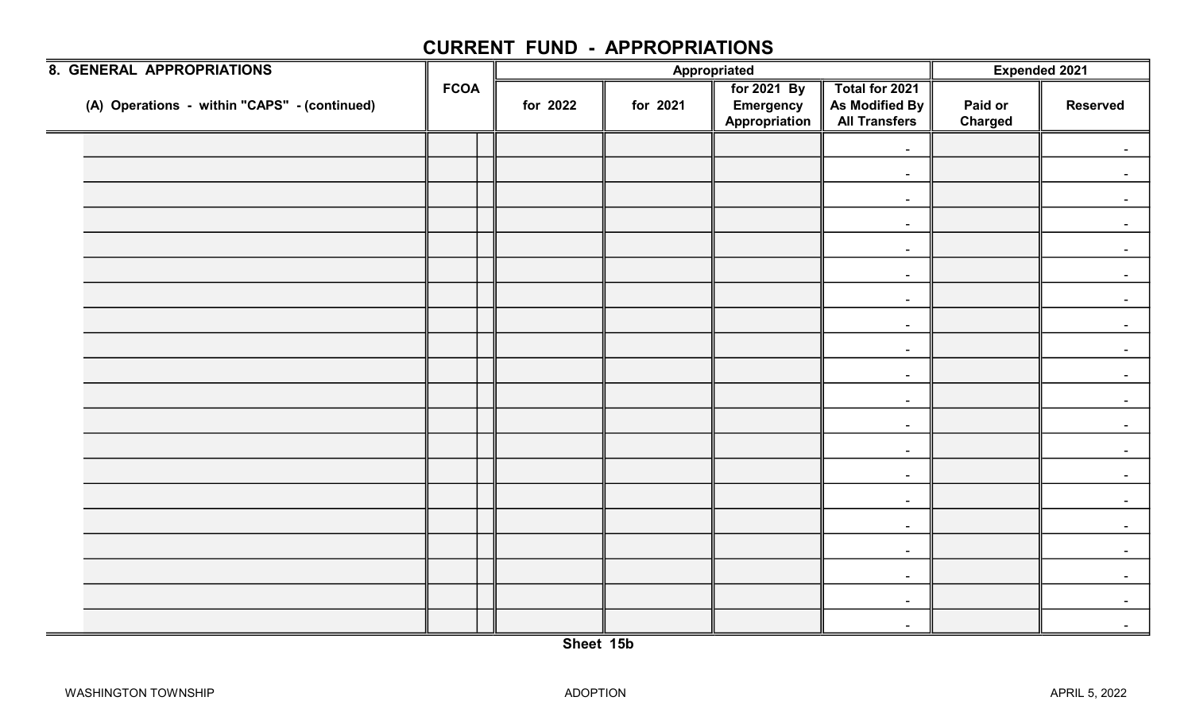| 8. GENERAL APPROPRIATIONS                    |             |          |          | Appropriated                                     |                                                          | Expended 2021             |                 |
|----------------------------------------------|-------------|----------|----------|--------------------------------------------------|----------------------------------------------------------|---------------------------|-----------------|
| (A) Operations - within "CAPS" - (continued) | <b>FCOA</b> | for 2022 | for 2021 | for 2021 By<br><b>Emergency</b><br>Appropriation | Total for 2021<br>As Modified By<br><b>All Transfers</b> | Paid or<br><b>Charged</b> | <b>Reserved</b> |
|                                              |             |          |          |                                                  | $\blacksquare$                                           |                           |                 |
|                                              |             |          |          |                                                  | $\blacksquare$                                           |                           |                 |
|                                              |             |          |          |                                                  | $\blacksquare$                                           |                           |                 |
|                                              |             |          |          |                                                  | $\sim$                                                   |                           |                 |
|                                              |             |          |          |                                                  | $\sim$                                                   |                           |                 |
|                                              |             |          |          |                                                  | $\blacksquare$                                           |                           |                 |
|                                              |             |          |          |                                                  | $\blacksquare$                                           |                           |                 |
|                                              |             |          |          |                                                  | $\sim$                                                   |                           |                 |
|                                              |             |          |          |                                                  | $\blacksquare$                                           |                           |                 |
|                                              |             |          |          |                                                  | $\blacksquare$                                           |                           |                 |
|                                              |             |          |          |                                                  | $\sim$                                                   |                           |                 |
|                                              |             |          |          |                                                  | $\blacksquare$                                           |                           |                 |
|                                              |             |          |          |                                                  | $\sim$                                                   |                           |                 |
|                                              |             |          |          |                                                  | $\blacksquare$                                           |                           |                 |
|                                              |             |          |          |                                                  | $\sim$                                                   |                           |                 |
|                                              |             |          |          |                                                  | $\sim$                                                   |                           |                 |
|                                              |             |          |          |                                                  | $\sim$                                                   |                           |                 |
|                                              |             |          |          |                                                  | $\blacksquare$                                           |                           |                 |
|                                              |             |          |          |                                                  | $\blacksquare$                                           |                           | $\blacksquare$  |
|                                              |             |          |          |                                                  | $\sim$                                                   |                           | $\sim$          |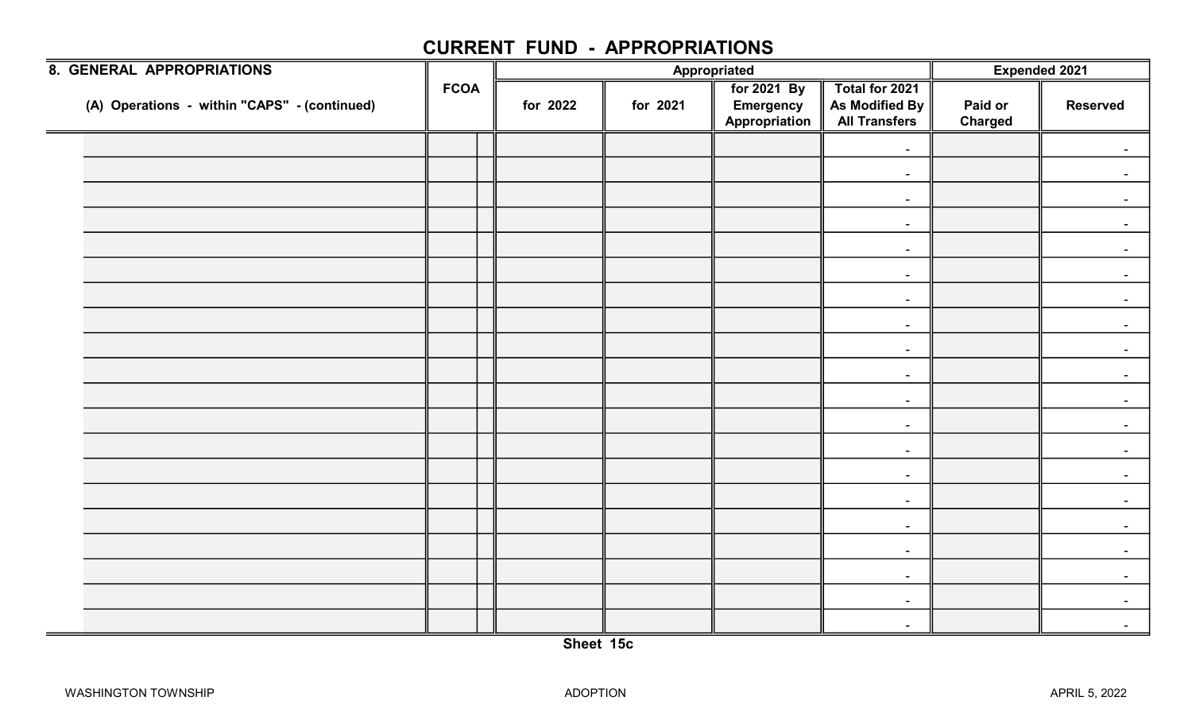| 8. GENERAL APPROPRIATIONS                    |             |          |          | Appropriated                                     |                                                          | Expended 2021             |                 |
|----------------------------------------------|-------------|----------|----------|--------------------------------------------------|----------------------------------------------------------|---------------------------|-----------------|
| (A) Operations - within "CAPS" - (continued) | <b>FCOA</b> | for 2022 | for 2021 | for 2021 By<br><b>Emergency</b><br>Appropriation | Total for 2021<br>As Modified By<br><b>All Transfers</b> | Paid or<br><b>Charged</b> | <b>Reserved</b> |
|                                              |             |          |          |                                                  | $\blacksquare$                                           |                           |                 |
|                                              |             |          |          |                                                  | $\blacksquare$                                           |                           |                 |
|                                              |             |          |          |                                                  | $\blacksquare$                                           |                           |                 |
|                                              |             |          |          |                                                  | $\sim$                                                   |                           |                 |
|                                              |             |          |          |                                                  | $\sim$                                                   |                           |                 |
|                                              |             |          |          |                                                  | $\blacksquare$                                           |                           |                 |
|                                              |             |          |          |                                                  | $\blacksquare$                                           |                           |                 |
|                                              |             |          |          |                                                  | $\sim$                                                   |                           |                 |
|                                              |             |          |          |                                                  | $\blacksquare$                                           |                           |                 |
|                                              |             |          |          |                                                  | $\blacksquare$                                           |                           |                 |
|                                              |             |          |          |                                                  | $\sim$                                                   |                           |                 |
|                                              |             |          |          |                                                  | $\blacksquare$                                           |                           |                 |
|                                              |             |          |          |                                                  | $\sim$                                                   |                           |                 |
|                                              |             |          |          |                                                  | $\blacksquare$                                           |                           |                 |
|                                              |             |          |          |                                                  | $\sim$                                                   |                           |                 |
|                                              |             |          |          |                                                  | $\sim$                                                   |                           |                 |
|                                              |             |          |          |                                                  | $\sim$                                                   |                           |                 |
|                                              |             |          |          |                                                  | $\blacksquare$                                           |                           |                 |
|                                              |             |          |          |                                                  | $\blacksquare$                                           |                           | $\blacksquare$  |
|                                              |             |          |          |                                                  | $\sim$                                                   |                           | $\sim$          |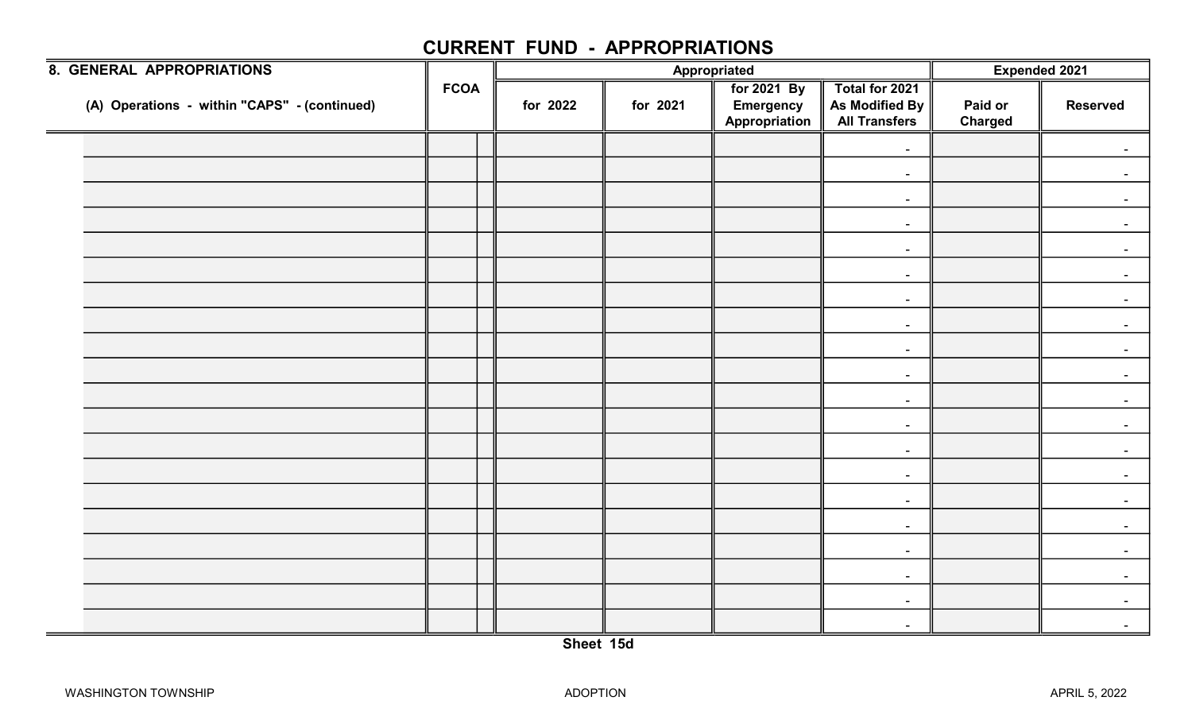| 8. GENERAL APPROPRIATIONS                    |             |          |          | Appropriated                                     |                                                          | Expended 2021             |                 |
|----------------------------------------------|-------------|----------|----------|--------------------------------------------------|----------------------------------------------------------|---------------------------|-----------------|
| (A) Operations - within "CAPS" - (continued) | <b>FCOA</b> | for 2022 | for 2021 | for 2021 By<br><b>Emergency</b><br>Appropriation | Total for 2021<br>As Modified By<br><b>All Transfers</b> | Paid or<br><b>Charged</b> | <b>Reserved</b> |
|                                              |             |          |          |                                                  | $\blacksquare$                                           |                           |                 |
|                                              |             |          |          |                                                  | $\blacksquare$                                           |                           |                 |
|                                              |             |          |          |                                                  | $\blacksquare$                                           |                           |                 |
|                                              |             |          |          |                                                  | $\sim$                                                   |                           |                 |
|                                              |             |          |          |                                                  | $\sim$                                                   |                           |                 |
|                                              |             |          |          |                                                  | $\blacksquare$                                           |                           |                 |
|                                              |             |          |          |                                                  | $\blacksquare$                                           |                           |                 |
|                                              |             |          |          |                                                  | $\sim$                                                   |                           |                 |
|                                              |             |          |          |                                                  | $\blacksquare$                                           |                           |                 |
|                                              |             |          |          |                                                  | $\blacksquare$                                           |                           |                 |
|                                              |             |          |          |                                                  | $\sim$                                                   |                           |                 |
|                                              |             |          |          |                                                  | $\blacksquare$                                           |                           |                 |
|                                              |             |          |          |                                                  | $\sim$                                                   |                           |                 |
|                                              |             |          |          |                                                  | $\blacksquare$                                           |                           |                 |
|                                              |             |          |          |                                                  | $\sim$                                                   |                           |                 |
|                                              |             |          |          |                                                  | $\sim$                                                   |                           |                 |
|                                              |             |          |          |                                                  | $\sim$                                                   |                           |                 |
|                                              |             |          |          |                                                  | $\blacksquare$                                           |                           |                 |
|                                              |             |          |          |                                                  | $\blacksquare$                                           |                           | $\blacksquare$  |
|                                              |             |          |          |                                                  | $\sim$                                                   |                           | $\sim$          |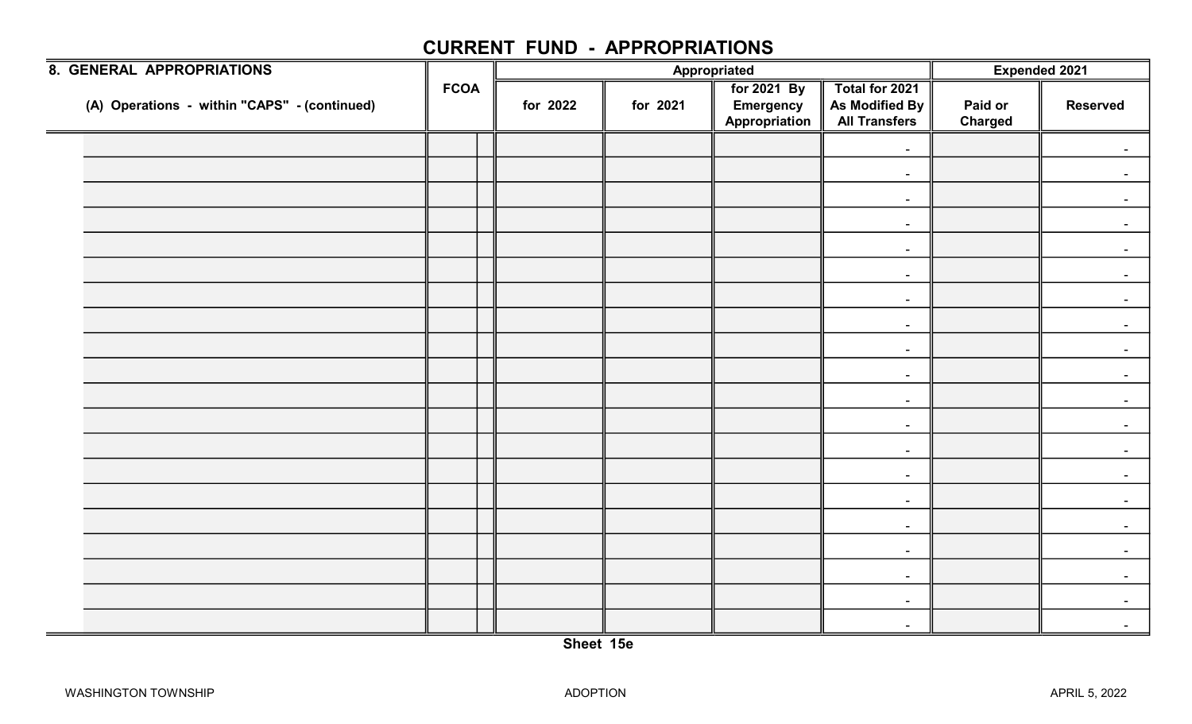| 8. GENERAL APPROPRIATIONS                    |             |          |          | Appropriated                                     |                                                          | Expended 2021             |                 |
|----------------------------------------------|-------------|----------|----------|--------------------------------------------------|----------------------------------------------------------|---------------------------|-----------------|
| (A) Operations - within "CAPS" - (continued) | <b>FCOA</b> | for 2022 | for 2021 | for 2021 By<br><b>Emergency</b><br>Appropriation | Total for 2021<br>As Modified By<br><b>All Transfers</b> | Paid or<br><b>Charged</b> | <b>Reserved</b> |
|                                              |             |          |          |                                                  | $\blacksquare$                                           |                           |                 |
|                                              |             |          |          |                                                  | $\blacksquare$                                           |                           |                 |
|                                              |             |          |          |                                                  | $\blacksquare$                                           |                           |                 |
|                                              |             |          |          |                                                  | $\sim$                                                   |                           |                 |
|                                              |             |          |          |                                                  | $\sim$                                                   |                           |                 |
|                                              |             |          |          |                                                  | $\blacksquare$                                           |                           |                 |
|                                              |             |          |          |                                                  | $\blacksquare$                                           |                           |                 |
|                                              |             |          |          |                                                  | $\sim$                                                   |                           |                 |
|                                              |             |          |          |                                                  | $\blacksquare$                                           |                           |                 |
|                                              |             |          |          |                                                  | $\blacksquare$                                           |                           |                 |
|                                              |             |          |          |                                                  | $\sim$                                                   |                           |                 |
|                                              |             |          |          |                                                  | $\blacksquare$                                           |                           |                 |
|                                              |             |          |          |                                                  | $\sim$                                                   |                           |                 |
|                                              |             |          |          |                                                  | $\blacksquare$                                           |                           |                 |
|                                              |             |          |          |                                                  | $\sim$                                                   |                           |                 |
|                                              |             |          |          |                                                  | $\sim$                                                   |                           |                 |
|                                              |             |          |          |                                                  | $\sim$                                                   |                           |                 |
|                                              |             |          |          |                                                  | $\blacksquare$                                           |                           |                 |
|                                              |             |          |          |                                                  | $\blacksquare$                                           |                           | $\blacksquare$  |
|                                              |             |          |          |                                                  | $\sim$                                                   |                           | $\sim$          |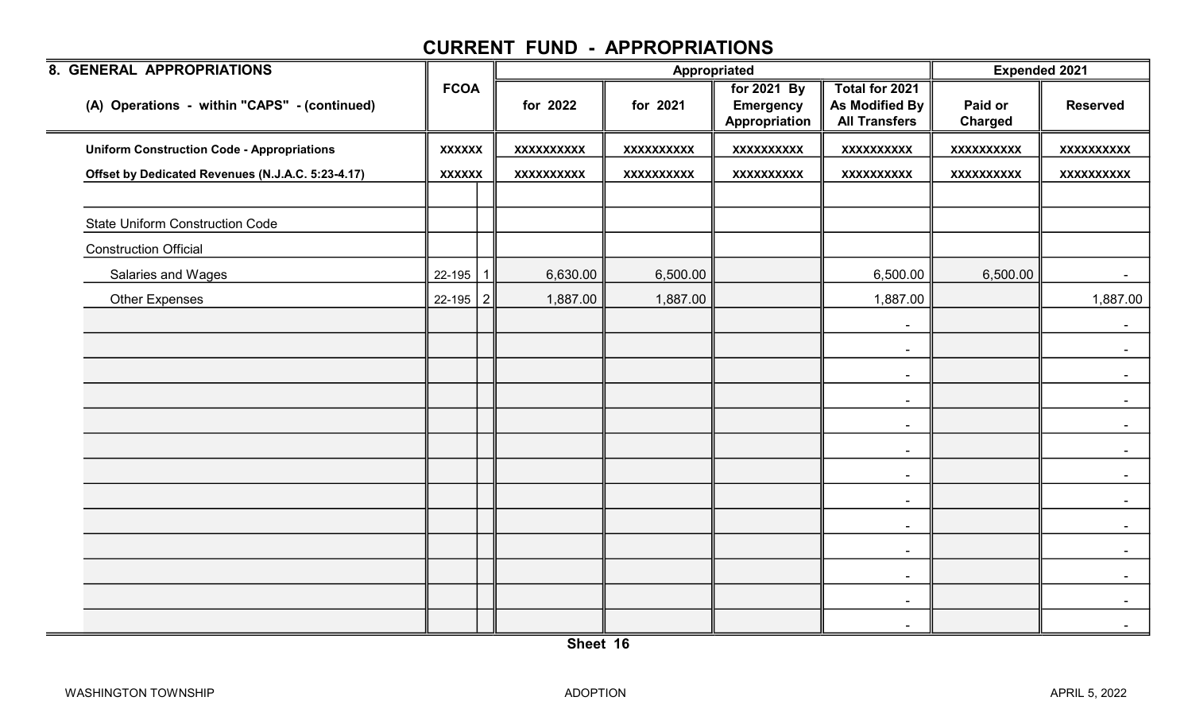| 8. GENERAL APPROPRIATIONS                         |                |             |                   |                   | Appropriated                                     |                                                          | <b>Expended 2021</b> |                   |  |
|---------------------------------------------------|----------------|-------------|-------------------|-------------------|--------------------------------------------------|----------------------------------------------------------|----------------------|-------------------|--|
| (A) Operations - within "CAPS" - (continued)      | <b>FCOA</b>    |             | for 2022          | for 2021          | for 2021 By<br><b>Emergency</b><br>Appropriation | Total for 2021<br>As Modified By<br><b>All Transfers</b> | Paid or<br>Charged   | <b>Reserved</b>   |  |
| <b>Uniform Construction Code - Appropriations</b> | <b>XXXXXX</b>  |             | <b>XXXXXXXXXX</b> | <b>XXXXXXXXXX</b> | <b>XXXXXXXXXX</b>                                | <b>XXXXXXXXXX</b>                                        | <b>XXXXXXXXXX</b>    | <b>XXXXXXXXXX</b> |  |
| Offset by Dedicated Revenues (N.J.A.C. 5:23-4.17) | <b>XXXXXX</b>  |             | <b>XXXXXXXXXX</b> | <b>XXXXXXXXXX</b> | <b>XXXXXXXXXX</b>                                | <b>XXXXXXXXXX</b>                                        | <b>XXXXXXXXXX</b>    | <b>XXXXXXXXXX</b> |  |
|                                                   |                |             |                   |                   |                                                  |                                                          |                      |                   |  |
| <b>State Uniform Construction Code</b>            |                |             |                   |                   |                                                  |                                                          |                      |                   |  |
| <b>Construction Official</b>                      |                |             |                   |                   |                                                  |                                                          |                      |                   |  |
| Salaries and Wages                                | $22 - 195$     | $\mathbf 1$ | 6,630.00          | 6,500.00          |                                                  | 6,500.00                                                 | 6,500.00             |                   |  |
| <b>Other Expenses</b>                             | $22 - 195$   2 |             | 1,887.00          | 1,887.00          |                                                  | 1,887.00                                                 |                      | 1,887.00          |  |
|                                                   |                |             |                   |                   |                                                  | $\blacksquare$                                           |                      | $\sim$ $-$        |  |
|                                                   |                |             |                   |                   |                                                  | $\blacksquare$                                           |                      | $\sim$            |  |
|                                                   |                |             |                   |                   |                                                  | $\blacksquare$                                           |                      | $\sim$            |  |
|                                                   |                |             |                   |                   |                                                  | $\blacksquare$                                           |                      | $\blacksquare$    |  |
|                                                   |                |             |                   |                   |                                                  | $\blacksquare$                                           |                      | $\sim$            |  |
|                                                   |                |             |                   |                   |                                                  | $\blacksquare$                                           |                      | $\sim$            |  |
|                                                   |                |             |                   |                   |                                                  | $\overline{\phantom{a}}$                                 |                      |                   |  |
|                                                   |                |             |                   |                   |                                                  | $\overline{\phantom{a}}$                                 |                      | $\blacksquare$    |  |
|                                                   |                |             |                   |                   |                                                  | $\blacksquare$                                           |                      | $\sim$            |  |
|                                                   |                |             |                   |                   |                                                  | $\blacksquare$                                           |                      | $\sim$            |  |
|                                                   |                |             |                   |                   |                                                  | $\sim$                                                   |                      |                   |  |
|                                                   |                |             |                   |                   |                                                  | $\overline{\phantom{a}}$                                 |                      | $\blacksquare$    |  |
|                                                   |                |             |                   |                   |                                                  | $\overline{\phantom{a}}$                                 |                      | $\blacksquare$    |  |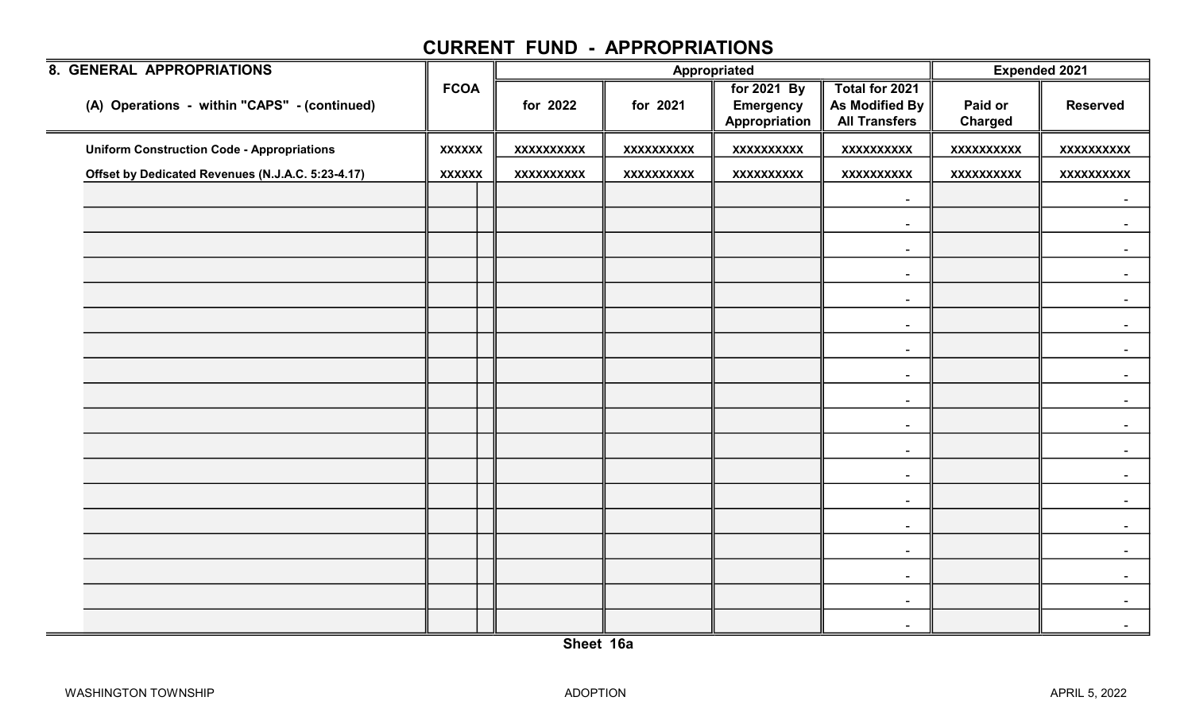| <b>8. GENERAL APPROPRIATIONS</b>                  |               |                   |                   | Appropriated                                     |                                                          | <b>Expended 2021</b>      |                   |
|---------------------------------------------------|---------------|-------------------|-------------------|--------------------------------------------------|----------------------------------------------------------|---------------------------|-------------------|
| (A) Operations - within "CAPS" - (continued)      | <b>FCOA</b>   | for 2022          | for 2021          | for 2021 By<br><b>Emergency</b><br>Appropriation | Total for 2021<br>As Modified By<br><b>All Transfers</b> | Paid or<br><b>Charged</b> | <b>Reserved</b>   |
| <b>Uniform Construction Code - Appropriations</b> | <b>XXXXXX</b> | <b>XXXXXXXXXX</b> | <b>XXXXXXXXXX</b> | <b>XXXXXXXXXX</b>                                | <b>XXXXXXXXXX</b>                                        | <b>XXXXXXXXXX</b>         | <b>XXXXXXXXXX</b> |
| Offset by Dedicated Revenues (N.J.A.C. 5:23-4.17) | <b>XXXXXX</b> | <b>XXXXXXXXXX</b> | <b>XXXXXXXXXX</b> | <b>XXXXXXXXXX</b>                                | <b>XXXXXXXXXX</b>                                        | <b>XXXXXXXXXX</b>         | <b>XXXXXXXXXX</b> |
|                                                   |               |                   |                   |                                                  | $\blacksquare$                                           |                           | $\sim$            |
|                                                   |               |                   |                   |                                                  | $\blacksquare$                                           |                           |                   |
|                                                   |               |                   |                   |                                                  | $\sim$                                                   |                           |                   |
|                                                   |               |                   |                   |                                                  | $\blacksquare$                                           |                           |                   |
|                                                   |               |                   |                   |                                                  | $\sim$                                                   |                           |                   |
|                                                   |               |                   |                   |                                                  | $\sim$                                                   |                           |                   |
|                                                   |               |                   |                   |                                                  | $\sim$                                                   |                           |                   |
|                                                   |               |                   |                   |                                                  |                                                          |                           |                   |
|                                                   |               |                   |                   |                                                  | $\blacksquare$                                           |                           |                   |
|                                                   |               |                   |                   |                                                  | $\sim$                                                   |                           |                   |
|                                                   |               |                   |                   |                                                  | $\blacksquare$                                           |                           |                   |
|                                                   |               |                   |                   |                                                  | $\sim$                                                   |                           |                   |
|                                                   |               |                   |                   |                                                  | $\blacksquare$                                           |                           |                   |
|                                                   |               |                   |                   |                                                  | $\sim$                                                   |                           |                   |
|                                                   |               |                   |                   |                                                  | $\sim$                                                   |                           |                   |
|                                                   |               |                   |                   |                                                  | $\blacksquare$                                           |                           |                   |
|                                                   |               |                   |                   |                                                  | $\overline{\phantom{a}}$                                 |                           |                   |
|                                                   |               |                   |                   |                                                  | $\blacksquare$                                           |                           | $\blacksquare$    |
|                                                   |               |                   |                   |                                                  | $\sim$                                                   |                           | $\blacksquare$    |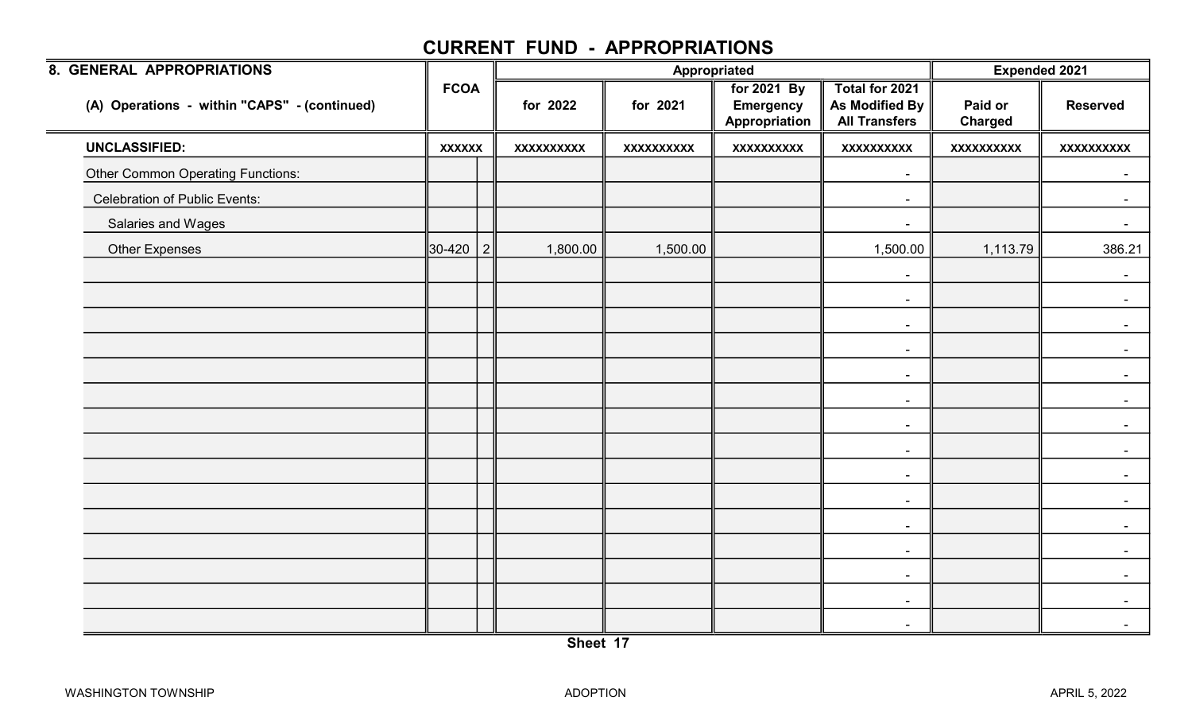| 8. GENERAL APPROPRIATIONS                    |               |                   | Appropriated      |                                                  |                                                                 | <b>Expended 2021</b>      |                   |  |
|----------------------------------------------|---------------|-------------------|-------------------|--------------------------------------------------|-----------------------------------------------------------------|---------------------------|-------------------|--|
| (A) Operations - within "CAPS" - (continued) | <b>FCOA</b>   | for 2022          | for 2021          | for 2021 By<br><b>Emergency</b><br>Appropriation | Total for 2021<br><b>As Modified By</b><br><b>All Transfers</b> | Paid or<br><b>Charged</b> | <b>Reserved</b>   |  |
| <b>UNCLASSIFIED:</b>                         | <b>XXXXXX</b> | <b>XXXXXXXXXX</b> | <b>XXXXXXXXXX</b> | <b>XXXXXXXXXX</b>                                | <b>XXXXXXXXXX</b>                                               | <b>XXXXXXXXXX</b>         | <b>XXXXXXXXXX</b> |  |
| <b>Other Common Operating Functions:</b>     |               |                   |                   |                                                  | $\sim$                                                          |                           |                   |  |
| <b>Celebration of Public Events:</b>         |               |                   |                   |                                                  | $\blacksquare$                                                  |                           |                   |  |
| Salaries and Wages                           |               |                   |                   |                                                  | $\sim$                                                          |                           |                   |  |
| Other Expenses                               | 30-420   2    | 1,800.00          | 1,500.00          |                                                  | 1,500.00                                                        | 1,113.79                  | 386.21            |  |
|                                              |               |                   |                   |                                                  | $\qquad \qquad \blacksquare$                                    |                           |                   |  |
|                                              |               |                   |                   |                                                  | $\sim$                                                          |                           |                   |  |
|                                              |               |                   |                   |                                                  | $\blacksquare$                                                  |                           | $\sim$            |  |
|                                              |               |                   |                   |                                                  | $\blacksquare$                                                  |                           |                   |  |
|                                              |               |                   |                   |                                                  | $\sim$                                                          |                           |                   |  |
|                                              |               |                   |                   |                                                  | $\blacksquare$                                                  |                           |                   |  |
|                                              |               |                   |                   |                                                  | $\sim$                                                          |                           |                   |  |
|                                              |               |                   |                   |                                                  | $\sim$                                                          |                           |                   |  |
|                                              |               |                   |                   |                                                  | $\overline{\phantom{a}}$                                        |                           |                   |  |
|                                              |               |                   |                   |                                                  | $\blacksquare$                                                  |                           |                   |  |
|                                              |               |                   |                   |                                                  | $\blacksquare$                                                  |                           |                   |  |
|                                              |               |                   |                   |                                                  | $\sim$                                                          |                           |                   |  |
|                                              |               |                   |                   |                                                  | $\blacksquare$                                                  |                           |                   |  |
|                                              |               |                   |                   |                                                  | $\blacksquare$                                                  |                           |                   |  |
|                                              |               |                   |                   |                                                  | $\sim$                                                          |                           |                   |  |
|                                              |               |                   |                   |                                                  |                                                                 |                           |                   |  |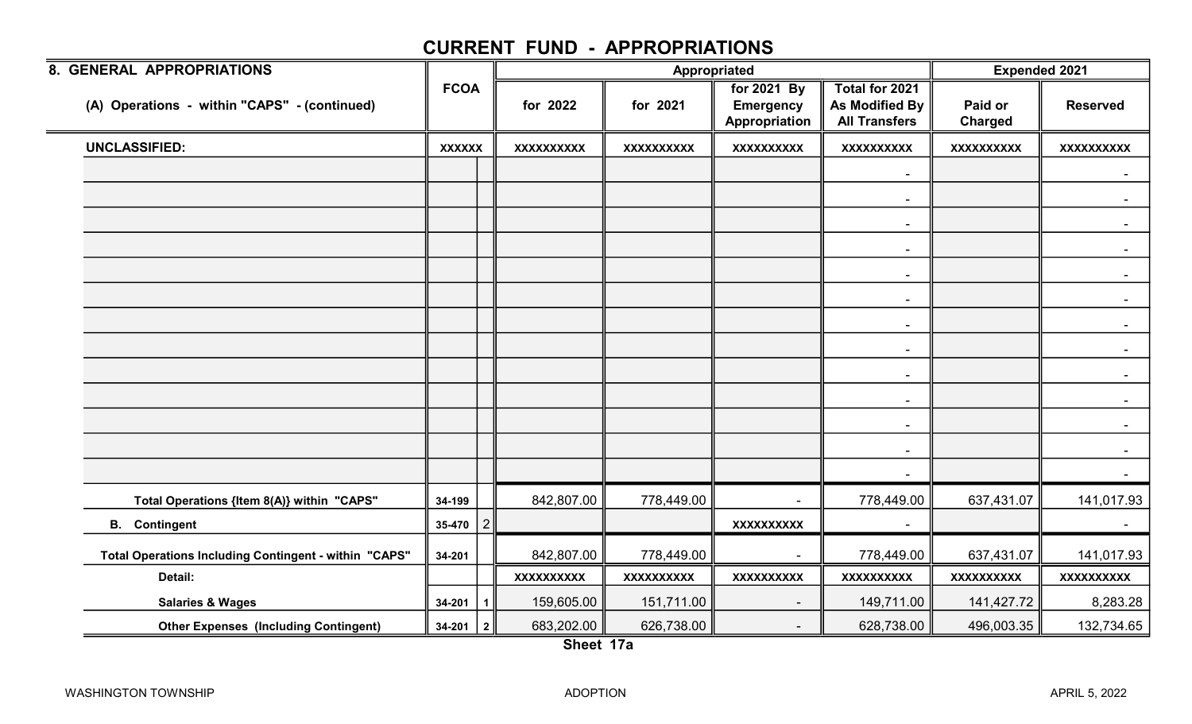| 8. GENERAL APPROPRIATIONS                             |               |                |                   |                   | Appropriated                                     |                                                          | <b>Expended 2021</b> |                   |
|-------------------------------------------------------|---------------|----------------|-------------------|-------------------|--------------------------------------------------|----------------------------------------------------------|----------------------|-------------------|
| (A) Operations - within "CAPS" - (continued)          | <b>FCOA</b>   |                | for 2022          | for 2021          | for 2021 By<br><b>Emergency</b><br>Appropriation | Total for 2021<br>As Modified By<br><b>All Transfers</b> | Paid or<br>Charged   | <b>Reserved</b>   |
| <b>UNCLASSIFIED:</b>                                  | <b>XXXXXX</b> |                | <b>XXXXXXXXXX</b> | <b>XXXXXXXXXX</b> | <b>XXXXXXXXXX</b>                                | <b>XXXXXXXXXX</b>                                        | <b>XXXXXXXXXX</b>    | <b>XXXXXXXXXX</b> |
|                                                       |               |                |                   |                   |                                                  | $\blacksquare$                                           |                      |                   |
|                                                       |               |                |                   |                   |                                                  | $\blacksquare$                                           |                      |                   |
|                                                       |               |                |                   |                   |                                                  | $\sim$                                                   |                      | $\sim$            |
|                                                       |               |                |                   |                   |                                                  | $\sim$                                                   |                      |                   |
|                                                       |               |                |                   |                   |                                                  | $\blacksquare$                                           |                      |                   |
|                                                       |               |                |                   |                   |                                                  | $\sim$                                                   |                      |                   |
|                                                       |               |                |                   |                   |                                                  | $\sim$                                                   |                      | $\sim$            |
|                                                       |               |                |                   |                   |                                                  | $\sim$                                                   |                      |                   |
|                                                       |               |                |                   |                   |                                                  |                                                          |                      |                   |
|                                                       |               |                |                   |                   |                                                  | $\sim$                                                   |                      |                   |
|                                                       |               |                |                   |                   |                                                  |                                                          |                      |                   |
|                                                       |               |                |                   |                   |                                                  | $\sim$                                                   |                      |                   |
|                                                       |               |                |                   |                   |                                                  | $\sim$                                                   |                      |                   |
|                                                       |               |                |                   |                   |                                                  |                                                          |                      |                   |
| Total Operations {Item 8(A)} within "CAPS"            | 34-199        |                | 842,807.00        | 778,449.00        |                                                  | 778,449.00                                               | 637,431.07           | 141,017.93        |
| <b>B.</b> Contingent                                  | 35-470        | $\overline{c}$ |                   |                   | <b>XXXXXXXXXX</b>                                |                                                          |                      |                   |
| Total Operations Including Contingent - within "CAPS" | 34-201        |                | 842,807.00        | 778,449.00        |                                                  | 778,449.00                                               | 637,431.07           | 141,017.93        |
| Detail:                                               |               |                | <b>XXXXXXXXXX</b> | XXXXXXXXX         | <b>XXXXXXXXXX</b>                                | <b>XXXXXXXXXX</b>                                        | <b>XXXXXXXXXX</b>    | <b>XXXXXXXXXX</b> |
| <b>Salaries &amp; Wages</b>                           | 34-201        | $\mathbf{1}$   | 159,605.00        | 151,711.00        | $\overline{\phantom{a}}$                         | 149,711.00                                               | 141,427.72           | 8,283.28          |
| <b>Other Expenses (Including Contingent)</b>          | $34-201$   2  |                | 683,202.00        | 626,738.00        | $\blacksquare$                                   | 628,738.00                                               | 496,003.35           | 132,734.65        |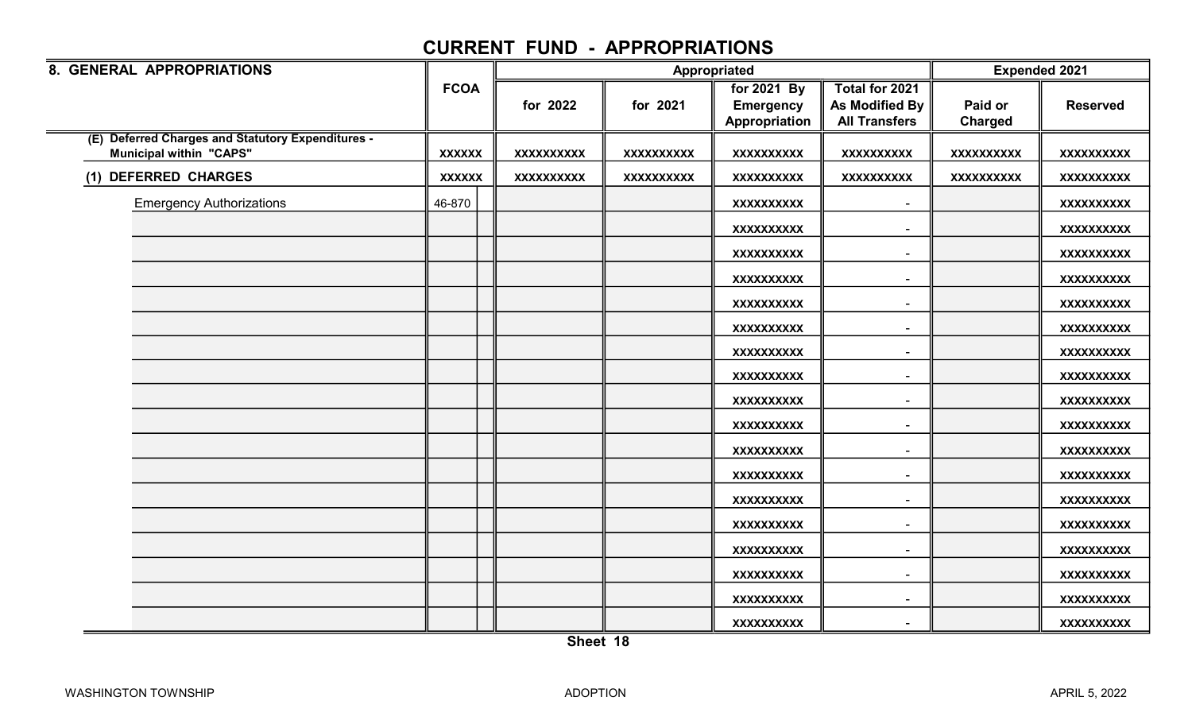| 8. GENERAL APPROPRIATIONS                                                           |               |                   |                   | Appropriated                    |                                  | <b>Expended 2021</b> |                   |
|-------------------------------------------------------------------------------------|---------------|-------------------|-------------------|---------------------------------|----------------------------------|----------------------|-------------------|
|                                                                                     | <b>FCOA</b>   | for 2022          | for 2021          | for 2021 By<br><b>Emergency</b> | Total for 2021<br>As Modified By | Paid or              | <b>Reserved</b>   |
|                                                                                     |               |                   |                   | Appropriation                   | <b>All Transfers</b>             | Charged              |                   |
| (E) Deferred Charges and Statutory Expenditures -<br><b>Municipal within "CAPS"</b> | <b>XXXXXX</b> | <b>XXXXXXXXXX</b> | <b>XXXXXXXXXX</b> | <b>XXXXXXXXXX</b>               | <b>XXXXXXXXXX</b>                | <b>XXXXXXXXXX</b>    | <b>XXXXXXXXXX</b> |
| (1) DEFERRED CHARGES                                                                | <b>XXXXXX</b> | <b>XXXXXXXXXX</b> | <b>XXXXXXXXXX</b> | <b>XXXXXXXXXX</b>               | <b>XXXXXXXXXX</b>                | <b>XXXXXXXXXX</b>    | <b>XXXXXXXXXX</b> |
| <b>Emergency Authorizations</b>                                                     | 46-870        |                   |                   | <b>XXXXXXXXXX</b>               | $\blacksquare$                   |                      | XXXXXXXXXX        |
|                                                                                     |               |                   |                   | <b>XXXXXXXXXX</b>               | $\overline{\phantom{0}}$         |                      | <b>XXXXXXXXXX</b> |
|                                                                                     |               |                   |                   | <b>XXXXXXXXXX</b>               | $\sim$                           |                      | XXXXXXXXXX        |
|                                                                                     |               |                   |                   | <b>XXXXXXXXXX</b>               | $\blacksquare$                   |                      | <b>XXXXXXXXXX</b> |
|                                                                                     |               |                   |                   | <b>XXXXXXXXXX</b>               | $\blacksquare$                   |                      | <b>XXXXXXXXXX</b> |
|                                                                                     |               |                   |                   | <b>XXXXXXXXXX</b>               | $\overline{\phantom{a}}$         |                      | <b>XXXXXXXXXX</b> |
|                                                                                     |               |                   |                   | <b>XXXXXXXXXX</b>               | $\blacksquare$                   |                      | XXXXXXXXXX        |
|                                                                                     |               |                   |                   | <b>XXXXXXXXXX</b>               | $\overline{\phantom{a}}$         |                      | <b>XXXXXXXXXX</b> |
|                                                                                     |               |                   |                   | <b>XXXXXXXXXX</b>               | $\sim$                           |                      | <b>XXXXXXXXXX</b> |
|                                                                                     |               |                   |                   | <b>XXXXXXXXXX</b>               | $\blacksquare$                   |                      | <b>XXXXXXXXXX</b> |
|                                                                                     |               |                   |                   | <b>XXXXXXXXXX</b>               |                                  |                      | <b>XXXXXXXXXX</b> |
|                                                                                     |               |                   |                   | <b>XXXXXXXXXX</b>               | $\blacksquare$                   |                      | <b>XXXXXXXXXX</b> |
|                                                                                     |               |                   |                   | <b>XXXXXXXXXX</b>               | $\blacksquare$                   |                      | <b>XXXXXXXXXX</b> |
|                                                                                     |               |                   |                   | <b>XXXXXXXXXX</b>               | $\sim$                           |                      | XXXXXXXXXX        |
|                                                                                     |               |                   |                   | <b>XXXXXXXXXX</b>               | $\overline{\phantom{a}}$         |                      | <b>XXXXXXXXXX</b> |
|                                                                                     |               |                   |                   | <b>XXXXXXXXXX</b>               | $\overline{\phantom{a}}$         |                      | <b>XXXXXXXXXX</b> |
|                                                                                     |               |                   |                   | <b>XXXXXXXXXX</b>               | $\blacksquare$                   |                      | <b>XXXXXXXXXX</b> |
|                                                                                     |               |                   |                   | <b>XXXXXXXXXX</b>               |                                  |                      | <b>XXXXXXXXXX</b> |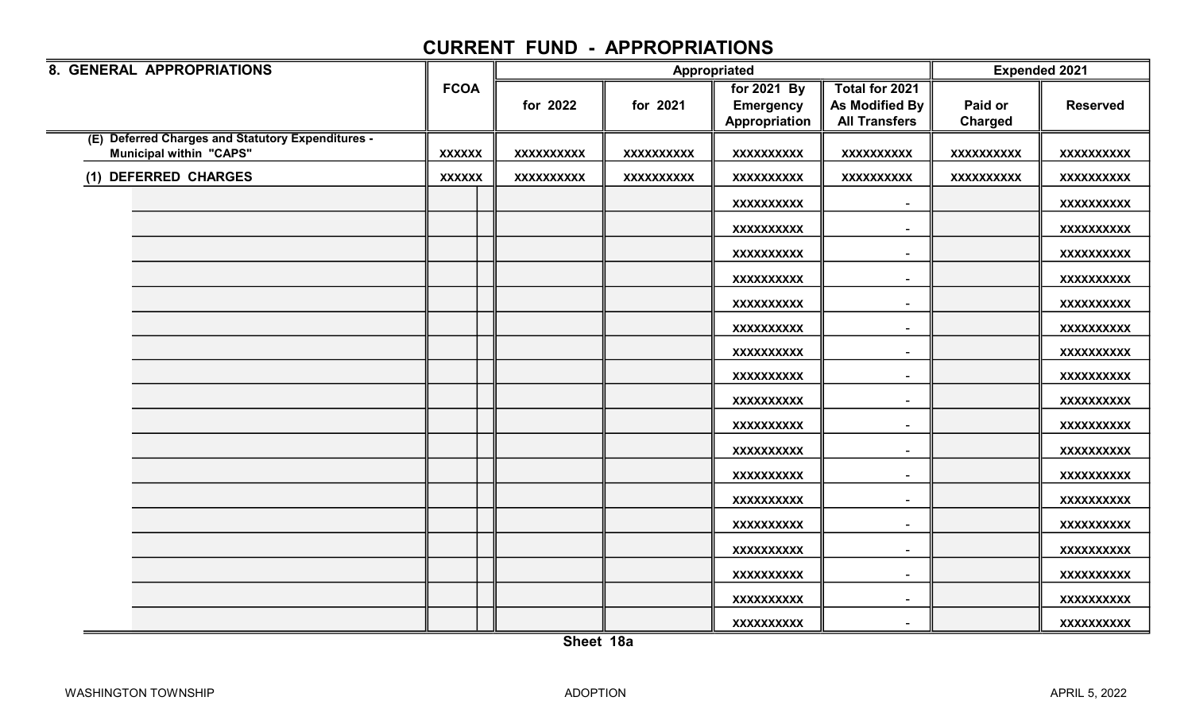| 8. GENERAL APPROPRIATIONS                                                           |               |                   |                   | Appropriated                                     |                                                                 | <b>Expended 2021</b>      |                   |
|-------------------------------------------------------------------------------------|---------------|-------------------|-------------------|--------------------------------------------------|-----------------------------------------------------------------|---------------------------|-------------------|
|                                                                                     | <b>FCOA</b>   | for 2022          | for 2021          | for 2021 By<br><b>Emergency</b><br>Appropriation | Total for 2021<br><b>As Modified By</b><br><b>All Transfers</b> | Paid or<br><b>Charged</b> | <b>Reserved</b>   |
| (E) Deferred Charges and Statutory Expenditures -<br><b>Municipal within "CAPS"</b> | <b>XXXXXX</b> | <b>XXXXXXXXXX</b> | <b>XXXXXXXXXX</b> | <b>XXXXXXXXXX</b>                                | <b>XXXXXXXXXX</b>                                               | <b>XXXXXXXXXX</b>         | XXXXXXXXXX        |
| (1) DEFERRED CHARGES                                                                | <b>XXXXXX</b> | <b>XXXXXXXXXX</b> | <b>XXXXXXXXXX</b> | <b>XXXXXXXXXX</b>                                | <b>XXXXXXXXXX</b>                                               | <b>XXXXXXXXXX</b>         | <b>XXXXXXXXXX</b> |
|                                                                                     |               |                   |                   | <b>XXXXXXXXXX</b>                                |                                                                 |                           | XXXXXXXXXX        |
|                                                                                     |               |                   |                   | <b>XXXXXXXXXX</b>                                |                                                                 |                           | <b>XXXXXXXXXX</b> |
|                                                                                     |               |                   |                   | <b>XXXXXXXXXX</b>                                | $\sim$                                                          |                           | XXXXXXXXXX        |
|                                                                                     |               |                   |                   | <b>XXXXXXXXXX</b>                                | $\overline{\phantom{a}}$                                        |                           | <b>XXXXXXXXXX</b> |
|                                                                                     |               |                   |                   | <b>XXXXXXXXXX</b>                                | $\sim$                                                          |                           | <b>XXXXXXXXXX</b> |
|                                                                                     |               |                   |                   | <b>XXXXXXXXXX</b>                                | $\overline{\phantom{a}}$                                        |                           | XXXXXXXXXX        |
|                                                                                     |               |                   |                   | <b>XXXXXXXXXX</b>                                |                                                                 |                           | XXXXXXXXXX        |
|                                                                                     |               |                   |                   | <b>XXXXXXXXXX</b>                                |                                                                 |                           | XXXXXXXXX         |
|                                                                                     |               |                   |                   | <b>XXXXXXXXXX</b>                                | $\sim$                                                          |                           | XXXXXXXXXX        |
|                                                                                     |               |                   |                   | <b>XXXXXXXXXX</b>                                | $\blacksquare$                                                  |                           | XXXXXXXXXX        |
|                                                                                     |               |                   |                   | <b>XXXXXXXXXX</b>                                |                                                                 |                           | XXXXXXXXXX        |
|                                                                                     |               |                   |                   | <b>XXXXXXXXXX</b>                                | $\overline{\phantom{a}}$                                        |                           | <b>XXXXXXXXXX</b> |
|                                                                                     |               |                   |                   | <b>XXXXXXXXXX</b>                                |                                                                 |                           | XXXXXXXXX         |
|                                                                                     |               |                   |                   | <b>XXXXXXXXXX</b>                                | $\overline{\phantom{a}}$                                        |                           | <b>XXXXXXXXXX</b> |
|                                                                                     |               |                   |                   | <b>XXXXXXXXXX</b>                                | $\overline{\phantom{a}}$                                        |                           | XXXXXXXXX         |
|                                                                                     |               |                   |                   | <b>XXXXXXXXXX</b>                                | $\sim$                                                          |                           | <b>XXXXXXXXXX</b> |
|                                                                                     |               |                   |                   | <b>XXXXXXXXXX</b>                                | $\sim$                                                          |                           | <b>XXXXXXXXXX</b> |
|                                                                                     |               |                   |                   | <b>XXXXXXXXXX</b>                                |                                                                 |                           | <b>XXXXXXXXXX</b> |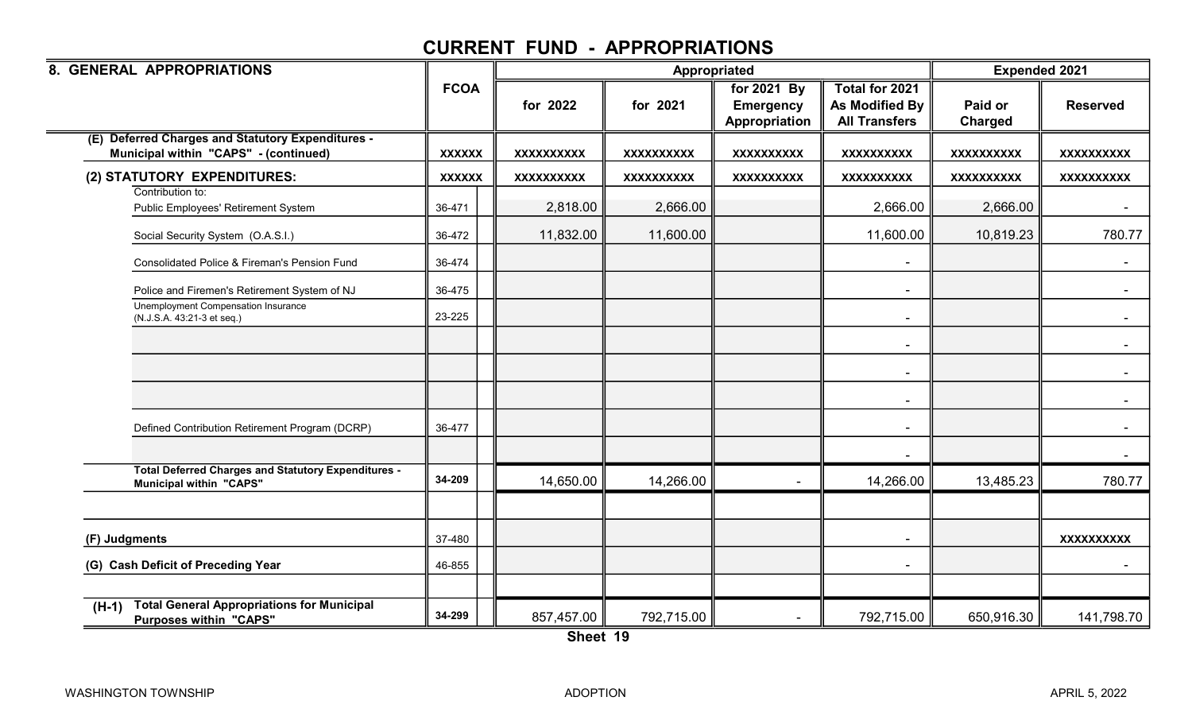| 8. GENERAL APPROPRIATIONS                                                                     |               |                   | Appropriated      |                                                  |                                                          | <b>Expended 2021</b> |                   |
|-----------------------------------------------------------------------------------------------|---------------|-------------------|-------------------|--------------------------------------------------|----------------------------------------------------------|----------------------|-------------------|
|                                                                                               | <b>FCOA</b>   | for 2022          | for 2021          | for 2021 By<br><b>Emergency</b><br>Appropriation | Total for 2021<br>As Modified By<br><b>All Transfers</b> | Paid or<br>Charged   | <b>Reserved</b>   |
| <b>Deferred Charges and Statutory Expenditures -</b><br>Municipal within "CAPS" - (continued) | <b>XXXXXX</b> | <b>XXXXXXXXXX</b> | <b>XXXXXXXXXX</b> | <b>XXXXXXXXXX</b>                                | <b>XXXXXXXXXX</b>                                        | <b>XXXXXXXXXX</b>    | <b>XXXXXXXXXX</b> |
| (2) STATUTORY EXPENDITURES:                                                                   | <b>XXXXXX</b> | <b>XXXXXXXXXX</b> | <b>XXXXXXXXXX</b> | <b>XXXXXXXXXX</b>                                | <b>XXXXXXXXXX</b>                                        | <b>XXXXXXXXXX</b>    | <b>XXXXXXXXXX</b> |
| Contribution to:<br>Public Employees' Retirement System                                       | 36-471        | 2,818.00          | 2,666.00          |                                                  | 2,666.00                                                 | 2,666.00             |                   |
| Social Security System (O.A.S.I.)                                                             | 36-472        | 11,832.00         | 11,600.00         |                                                  | 11,600.00                                                | 10,819.23            | 780.77            |
| Consolidated Police & Fireman's Pension Fund                                                  | 36-474        |                   |                   |                                                  |                                                          |                      |                   |
| Police and Firemen's Retirement System of NJ                                                  | 36-475        |                   |                   |                                                  | $\blacksquare$                                           |                      | $\sim$            |
| Unemployment Compensation Insurance<br>(N.J.S.A. 43:21-3 et seq.)                             | 23-225        |                   |                   |                                                  |                                                          |                      |                   |
|                                                                                               |               |                   |                   |                                                  |                                                          |                      |                   |
|                                                                                               |               |                   |                   |                                                  | $\sim$                                                   |                      |                   |
|                                                                                               |               |                   |                   |                                                  |                                                          |                      |                   |
| Defined Contribution Retirement Program (DCRP)                                                | 36-477        |                   |                   |                                                  | $\sim$                                                   |                      | $\sim$            |
|                                                                                               |               |                   |                   |                                                  |                                                          |                      |                   |
| <b>Total Deferred Charges and Statutory Expenditures -</b><br><b>Municipal within "CAPS"</b>  | 34-209        | 14,650.00         | 14,266.00         | $\mathbf{r}$                                     | 14,266.00                                                | 13,485.23            | 780.77            |
|                                                                                               |               |                   |                   |                                                  |                                                          |                      |                   |
| (F) Judgments                                                                                 | 37-480        |                   |                   |                                                  | $\blacksquare$                                           |                      | <b>XXXXXXXXXX</b> |
| (G) Cash Deficit of Preceding Year                                                            | 46-855        |                   |                   |                                                  | $\sim$                                                   |                      | $\sim$            |
| <b>Total General Appropriations for Municipal</b><br>$(H-1)$<br><b>Purposes within "CAPS"</b> | 34-299        | 857,457.00        | 792,715.00        |                                                  | 792,715.00                                               | 650,916.30           | 141,798.70        |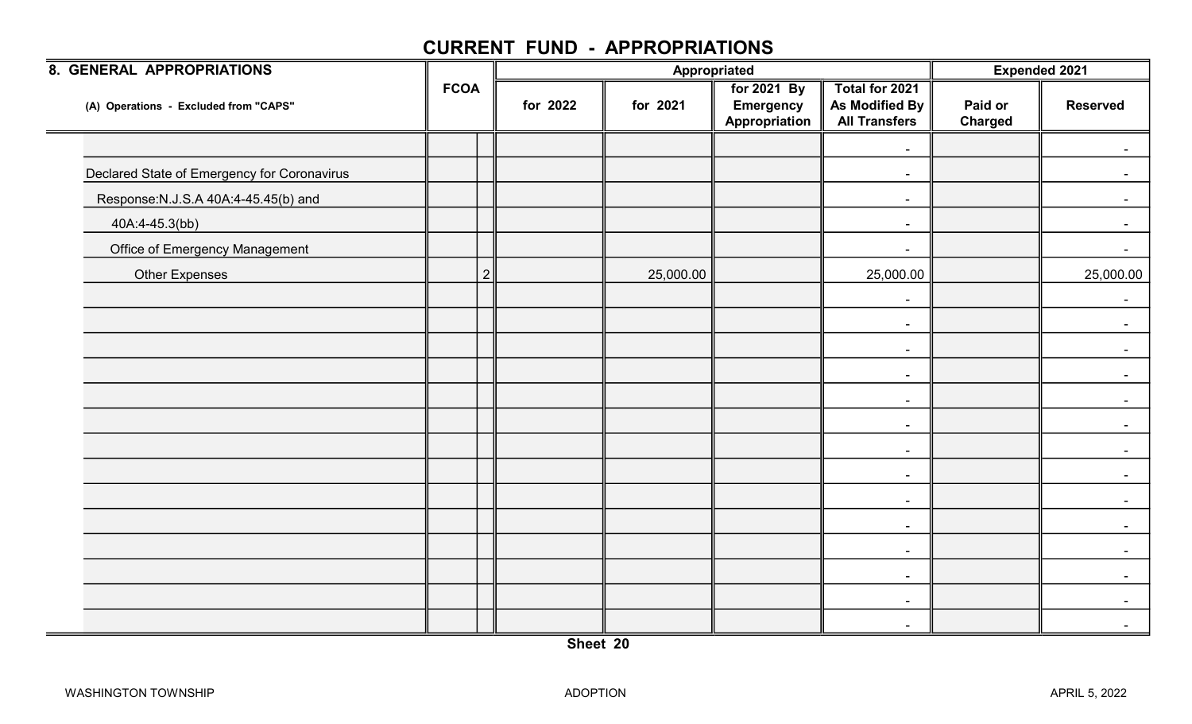| <b>8. GENERAL APPROPRIATIONS</b>            |             |                |           | Appropriated                                     |                                                                 |                           | <b>Expended 2021</b> |
|---------------------------------------------|-------------|----------------|-----------|--------------------------------------------------|-----------------------------------------------------------------|---------------------------|----------------------|
| (A) Operations - Excluded from "CAPS"       | <b>FCOA</b> | for 2022       | for 2021  | for 2021 By<br><b>Emergency</b><br>Appropriation | Total for 2021<br><b>As Modified By</b><br><b>All Transfers</b> | Paid or<br><b>Charged</b> | <b>Reserved</b>      |
|                                             |             |                |           |                                                  | $\blacksquare$                                                  |                           |                      |
| Declared State of Emergency for Coronavirus |             |                |           |                                                  | $\sim$                                                          |                           |                      |
| Response: N.J.S.A 40A: 4-45.45(b) and       |             |                |           |                                                  | $\blacksquare$                                                  |                           |                      |
| 40A:4-45.3(bb)                              |             |                |           |                                                  | $\blacksquare$                                                  |                           | $\blacksquare$       |
| <b>Office of Emergency Management</b>       |             |                |           |                                                  | $\blacksquare$                                                  |                           |                      |
| <b>Other Expenses</b>                       |             | $\overline{2}$ | 25,000.00 |                                                  | 25,000.00                                                       |                           | 25,000.00            |
|                                             |             |                |           |                                                  | $\blacksquare$                                                  |                           | $\blacksquare$       |
|                                             |             |                |           |                                                  | $\blacksquare$                                                  |                           | $\sim$               |
|                                             |             |                |           |                                                  | $\blacksquare$                                                  |                           |                      |
|                                             |             |                |           |                                                  | $\blacksquare$                                                  |                           |                      |
|                                             |             |                |           |                                                  | $\overline{\phantom{a}}$                                        |                           |                      |
|                                             |             |                |           |                                                  | $\sim$                                                          |                           | $\sim$               |
|                                             |             |                |           |                                                  | $\sim$                                                          |                           |                      |
|                                             |             |                |           |                                                  | $\sim$                                                          |                           |                      |
|                                             |             |                |           |                                                  | $\blacksquare$                                                  |                           |                      |
|                                             |             |                |           |                                                  | $\blacksquare$                                                  |                           | $\sim$               |
|                                             |             |                |           |                                                  | $\blacksquare$                                                  |                           | $\blacksquare$       |
|                                             |             |                |           |                                                  | $\blacksquare$                                                  |                           |                      |
|                                             |             |                |           |                                                  | $\overline{\phantom{a}}$                                        |                           |                      |
|                                             |             |                |           |                                                  | $\blacksquare$                                                  |                           | $\blacksquare$       |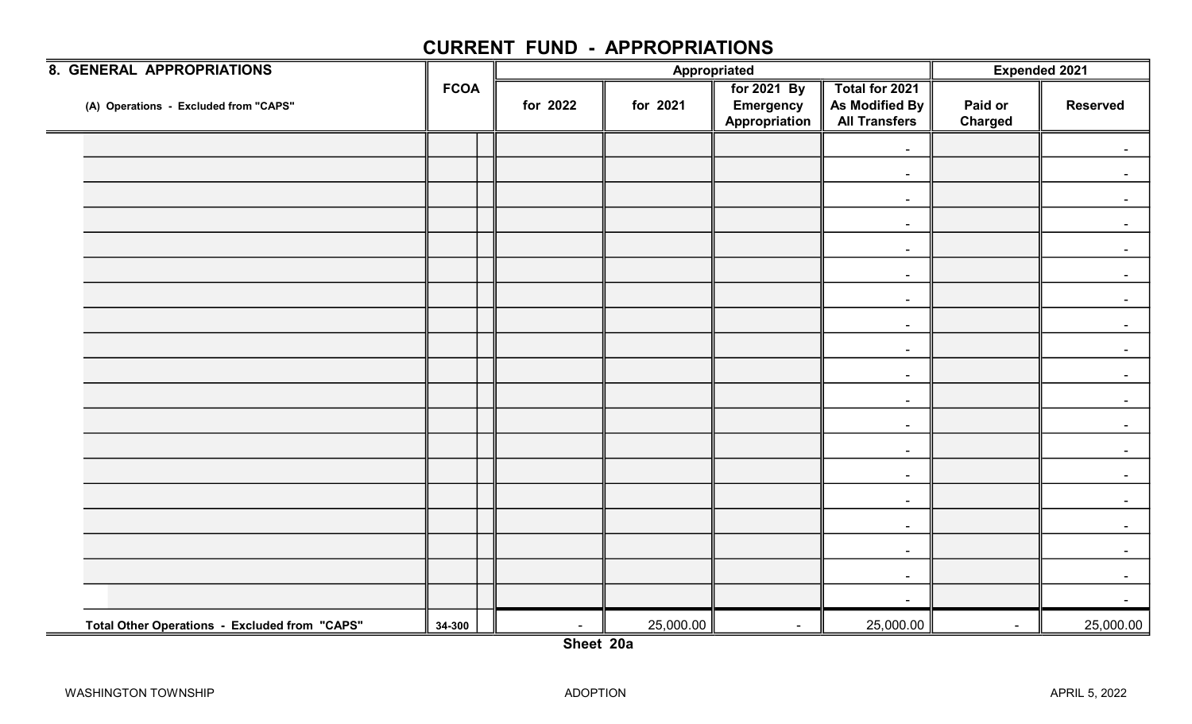| 8. GENERAL APPROPRIATIONS                            |             |          | Appropriated | <b>Expended 2021</b>                             |                                                          |                           |                 |
|------------------------------------------------------|-------------|----------|--------------|--------------------------------------------------|----------------------------------------------------------|---------------------------|-----------------|
| (A) Operations - Excluded from "CAPS"                | <b>FCOA</b> | for 2022 | for 2021     | for 2021 By<br><b>Emergency</b><br>Appropriation | Total for 2021<br>As Modified By<br><b>All Transfers</b> | Paid or<br><b>Charged</b> | <b>Reserved</b> |
|                                                      |             |          |              |                                                  | $\sim$                                                   |                           |                 |
|                                                      |             |          |              |                                                  | $\blacksquare$                                           |                           | $\sim$          |
|                                                      |             |          |              |                                                  | $\blacksquare$                                           |                           |                 |
|                                                      |             |          |              |                                                  | $\sim$                                                   |                           | $\sim$          |
|                                                      |             |          |              |                                                  | $\sim$                                                   |                           |                 |
|                                                      |             |          |              |                                                  | $\sim$                                                   |                           | $\sim$          |
|                                                      |             |          |              |                                                  | $\blacksquare$                                           |                           |                 |
|                                                      |             |          |              |                                                  | $\sim$                                                   |                           | $\sim$          |
|                                                      |             |          |              |                                                  | $\sim$                                                   |                           |                 |
|                                                      |             |          |              |                                                  | $\sim$                                                   |                           | $\blacksquare$  |
|                                                      |             |          |              |                                                  | $\blacksquare$                                           |                           | $\sim$          |
|                                                      |             |          |              |                                                  | $\sim$                                                   |                           | $\sim$          |
|                                                      |             |          |              |                                                  | $\sim$                                                   |                           |                 |
|                                                      |             |          |              |                                                  | $\sim$                                                   |                           | $\blacksquare$  |
|                                                      |             |          |              |                                                  | $\blacksquare$                                           |                           |                 |
|                                                      |             |          |              |                                                  | $\blacksquare$                                           |                           | $\sim$          |
|                                                      |             |          |              |                                                  | $\sim$                                                   |                           |                 |
|                                                      |             |          |              |                                                  | $\sim$                                                   |                           | $\sim$          |
|                                                      |             |          |              |                                                  | $\blacksquare$                                           |                           | $\sim$          |
| <b>Total Other Operations - Excluded from "CAPS"</b> | 34-300      | $\sim$   | 25,000.00    | $\sim$                                           | 25,000.00                                                | $\sim$                    | 25,000.00       |

Sheet 20a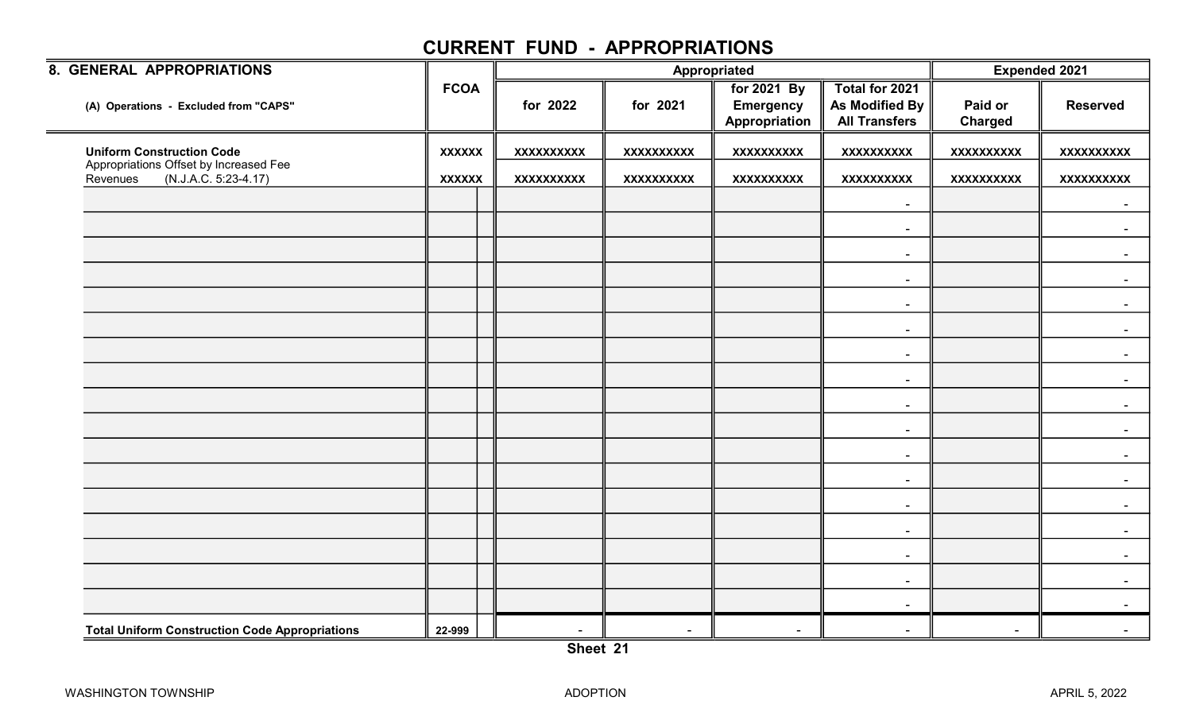| 8. GENERAL APPROPRIATIONS                                                  |               |                   |            | Appropriated                                     |                                                          | <b>Expended 2021</b>      |                   |  |
|----------------------------------------------------------------------------|---------------|-------------------|------------|--------------------------------------------------|----------------------------------------------------------|---------------------------|-------------------|--|
| (A) Operations - Excluded from "CAPS"                                      | <b>FCOA</b>   | for 2022          | for 2021   | for 2021 By<br><b>Emergency</b><br>Appropriation | Total for 2021<br>As Modified By<br><b>All Transfers</b> | Paid or<br><b>Charged</b> | <b>Reserved</b>   |  |
| <b>Uniform Construction Code</b>                                           | <b>XXXXXX</b> | <b>XXXXXXXXXX</b> | XXXXXXXXXX | XXXXXXXXXX                                       | <b>XXXXXXXXXX</b>                                        | <b>XXXXXXXXXX</b>         | <b>XXXXXXXXXX</b> |  |
| Appropriations Offset by Increased Fee<br>(N.J.A.C. 5:23-4.17)<br>Revenues | <b>XXXXXX</b> | <b>XXXXXXXXXX</b> | XXXXXXXXXX | <b>XXXXXXXXXX</b>                                | <b>XXXXXXXXXX</b>                                        | <b>XXXXXXXXXX</b>         | <b>XXXXXXXXXX</b> |  |
|                                                                            |               |                   |            |                                                  | $\sim$                                                   |                           |                   |  |
|                                                                            |               |                   |            |                                                  | $\sim$                                                   |                           |                   |  |
|                                                                            |               |                   |            |                                                  | $\sim$                                                   |                           |                   |  |
|                                                                            |               |                   |            |                                                  | $\sim$                                                   |                           | $\sim$            |  |
|                                                                            |               |                   |            |                                                  | $\sim$                                                   |                           |                   |  |
|                                                                            |               |                   |            |                                                  | $\sim$                                                   |                           |                   |  |
|                                                                            |               |                   |            |                                                  | $\overline{\phantom{a}}$                                 |                           |                   |  |
|                                                                            |               |                   |            |                                                  | $\sim$                                                   |                           | $\sim$            |  |
|                                                                            |               |                   |            |                                                  | $\sim$                                                   |                           |                   |  |
|                                                                            |               |                   |            |                                                  | $\blacksquare$                                           |                           |                   |  |
|                                                                            |               |                   |            |                                                  | $\overline{\phantom{a}}$                                 |                           |                   |  |
|                                                                            |               |                   |            |                                                  | $\sim$                                                   |                           |                   |  |
|                                                                            |               |                   |            |                                                  | $\sim$                                                   |                           | $\sim$            |  |
|                                                                            |               |                   |            |                                                  | $\sim$                                                   |                           |                   |  |
|                                                                            |               |                   |            |                                                  | $\sim$                                                   |                           |                   |  |
|                                                                            |               |                   |            |                                                  | $\sim$                                                   |                           |                   |  |
|                                                                            |               |                   |            |                                                  | $\sim$                                                   |                           |                   |  |
| <b>Total Uniform Construction Code Appropriations</b>                      | 22-999        | $\sim$            | $\sim$     | $\overline{\phantom{a}}$                         | $\blacksquare$                                           | $\overline{\phantom{a}}$  |                   |  |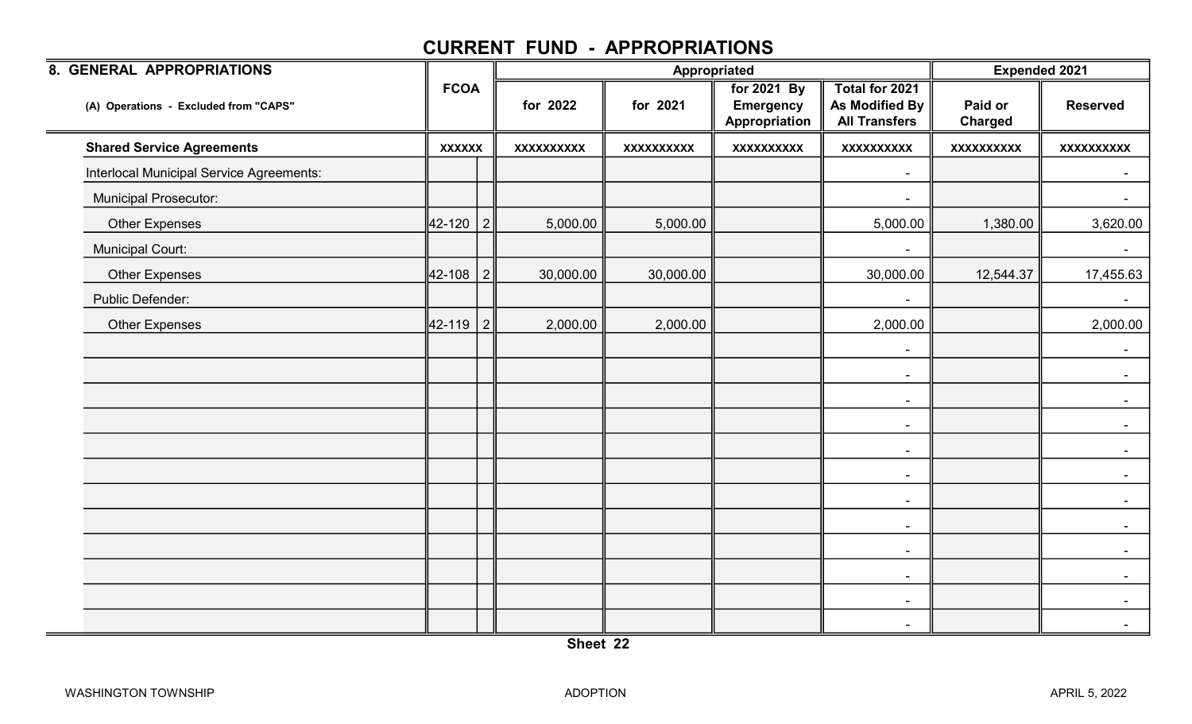| 8. GENERAL APPROPRIATIONS                |               |           |                   |                   | Appropriated                                     |                                                          | <b>Expended 2021</b>      |                   |  |
|------------------------------------------|---------------|-----------|-------------------|-------------------|--------------------------------------------------|----------------------------------------------------------|---------------------------|-------------------|--|
| (A) Operations - Excluded from "CAPS"    | <b>FCOA</b>   |           | for 2022          | for 2021          | for 2021 By<br><b>Emergency</b><br>Appropriation | Total for 2021<br>As Modified By<br><b>All Transfers</b> | Paid or<br><b>Charged</b> | <b>Reserved</b>   |  |
| <b>Shared Service Agreements</b>         | <b>XXXXXX</b> |           | <b>XXXXXXXXXX</b> | <b>XXXXXXXXXX</b> | <b>XXXXXXXXXX</b>                                | <b>XXXXXXXXXX</b>                                        | <b>XXXXXXXXXX</b>         | <b>XXXXXXXXXX</b> |  |
| Interlocal Municipal Service Agreements: |               |           |                   |                   |                                                  | $\blacksquare$                                           |                           | $\blacksquare$    |  |
| Municipal Prosecutor:                    |               |           |                   |                   |                                                  | $\blacksquare$                                           |                           | $\sim$            |  |
| <b>Other Expenses</b>                    | 42-120 2      |           | 5,000.00          | 5,000.00          |                                                  | 5,000.00                                                 | 1,380.00                  | 3,620.00          |  |
| <b>Municipal Court:</b>                  |               |           |                   |                   |                                                  | -                                                        |                           | $\sim$            |  |
| <b>Other Expenses</b>                    | 42-108        | $\vert$ 2 | 30,000.00         | 30,000.00         |                                                  | 30,000.00                                                | 12,544.37                 | 17,455.63         |  |
| Public Defender:                         |               |           |                   |                   |                                                  | $\blacksquare$                                           |                           | $\sim$            |  |
| <b>Other Expenses</b>                    | 42-119   2    |           | 2,000.00          | 2,000.00          |                                                  | 2,000.00                                                 |                           | 2,000.00          |  |
|                                          |               |           |                   |                   |                                                  | $\blacksquare$                                           |                           |                   |  |
|                                          |               |           |                   |                   |                                                  | $\sim$                                                   |                           | $\sim$            |  |
|                                          |               |           |                   |                   |                                                  | $\blacksquare$                                           |                           | $\sim$            |  |
|                                          |               |           |                   |                   |                                                  | $\sim$                                                   |                           | $\sim$            |  |
|                                          |               |           |                   |                   |                                                  | $\sim$                                                   |                           | $\sim$            |  |
|                                          |               |           |                   |                   |                                                  | $\blacksquare$                                           |                           | $\sim$            |  |
|                                          |               |           |                   |                   |                                                  | $\blacksquare$                                           |                           | $\sim$            |  |
|                                          |               |           |                   |                   |                                                  | $\blacksquare$                                           |                           | $\sim$            |  |
|                                          |               |           |                   |                   |                                                  | $\blacksquare$                                           |                           | $\sim$            |  |
|                                          |               |           |                   |                   |                                                  | $\blacksquare$                                           |                           | $\sim$            |  |
|                                          |               |           |                   |                   |                                                  | $\blacksquare$                                           |                           | $\sim$            |  |
|                                          |               |           |                   |                   |                                                  | $\blacksquare$                                           |                           | $\sim$            |  |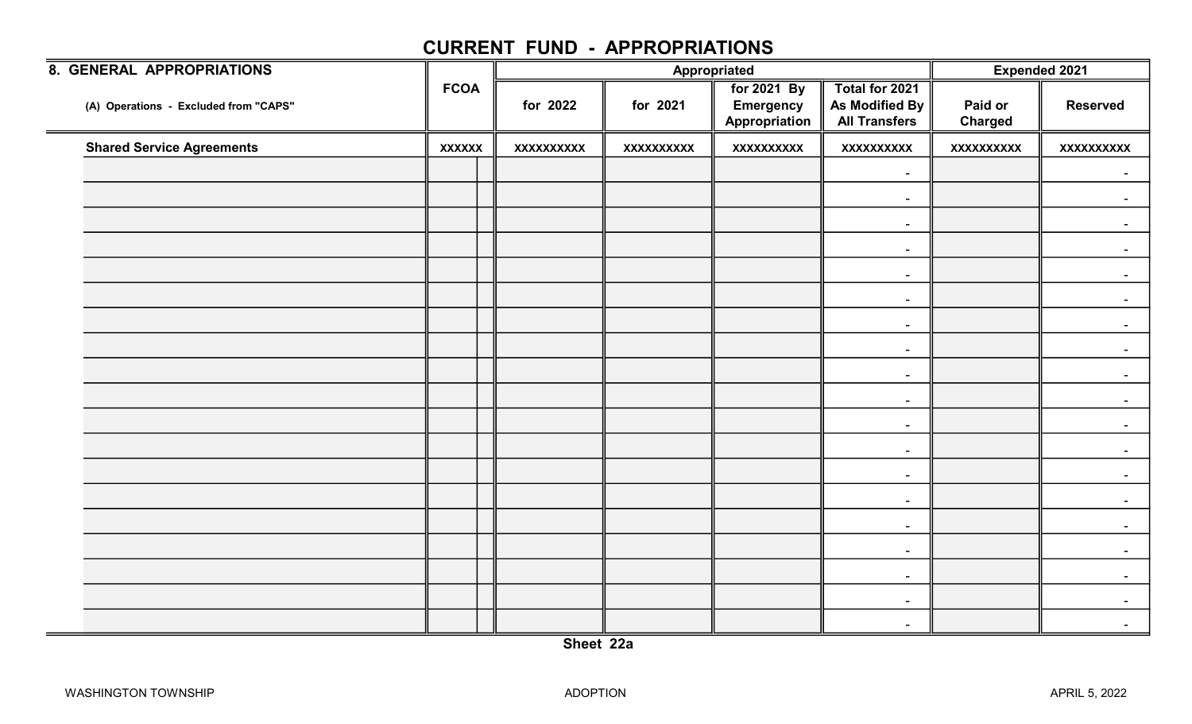| <b>8. GENERAL APPROPRIATIONS</b>      |               |                   |                   | Appropriated                                            |                                                                 |                           | <b>Expended 2021</b> |
|---------------------------------------|---------------|-------------------|-------------------|---------------------------------------------------------|-----------------------------------------------------------------|---------------------------|----------------------|
| (A) Operations - Excluded from "CAPS" | <b>FCOA</b>   | for 2022          | for 2021          | <b>For 2021 By</b><br><b>Emergency</b><br>Appropriation | Total for 2021<br><b>As Modified By</b><br><b>All Transfers</b> | Paid or<br><b>Charged</b> | <b>Reserved</b>      |
| <b>Shared Service Agreements</b>      | <b>XXXXXX</b> | <b>XXXXXXXXXX</b> | <b>XXXXXXXXXX</b> | <b>XXXXXXXXXX</b>                                       | <b>XXXXXXXXXX</b>                                               | <b>XXXXXXXXXX</b>         | <b>XXXXXXXXXX</b>    |
|                                       |               |                   |                   |                                                         | $\blacksquare$                                                  |                           | $\blacksquare$       |
|                                       |               |                   |                   |                                                         | $\sim$                                                          |                           |                      |
|                                       |               |                   |                   |                                                         | $\blacksquare$                                                  |                           | $\blacksquare$       |
|                                       |               |                   |                   |                                                         | $\blacksquare$                                                  |                           |                      |
|                                       |               |                   |                   |                                                         | $\blacksquare$                                                  |                           |                      |
|                                       |               |                   |                   |                                                         | $\blacksquare$                                                  |                           |                      |
|                                       |               |                   |                   |                                                         | $\blacksquare$                                                  |                           | $\sim$               |
|                                       |               |                   |                   |                                                         | $\blacksquare$                                                  |                           |                      |
|                                       |               |                   |                   |                                                         | $\blacksquare$                                                  |                           |                      |
|                                       |               |                   |                   |                                                         | $\blacksquare$                                                  |                           |                      |
|                                       |               |                   |                   |                                                         | $\sim$                                                          |                           | $\sim$               |
|                                       |               |                   |                   |                                                         | $\sim$                                                          |                           |                      |
|                                       |               |                   |                   |                                                         | $\blacksquare$                                                  |                           |                      |
|                                       |               |                   |                   |                                                         | $\blacksquare$                                                  |                           |                      |
|                                       |               |                   |                   |                                                         | $\blacksquare$                                                  |                           | $\blacksquare$       |
|                                       |               |                   |                   |                                                         | $\sim$                                                          |                           |                      |
|                                       |               |                   |                   |                                                         | $\blacksquare$                                                  |                           |                      |
|                                       |               |                   |                   |                                                         | $\blacksquare$                                                  |                           |                      |
|                                       |               |                   |                   |                                                         | $\sim$                                                          |                           |                      |
|                                       |               |                   |                   |                                                         |                                                                 |                           |                      |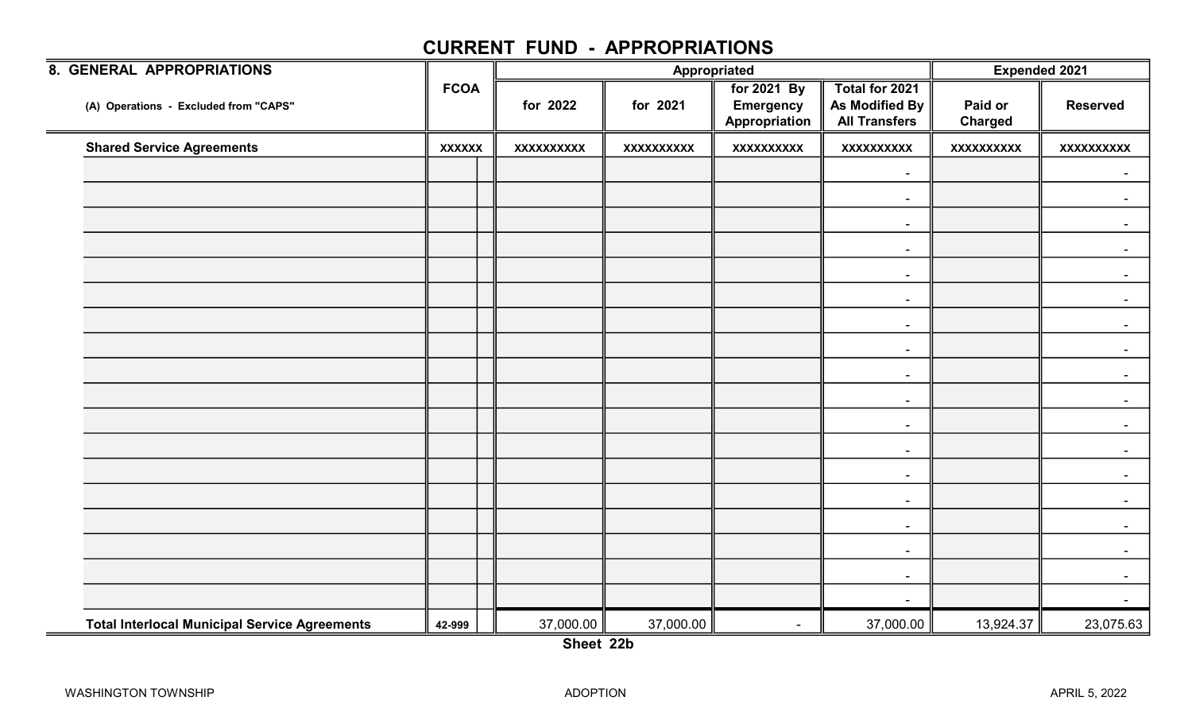| 8. GENERAL APPROPRIATIONS                                   |               |                   |                   | Appropriated                                     |                                                          | <b>Expended 2021</b>      |                   |  |
|-------------------------------------------------------------|---------------|-------------------|-------------------|--------------------------------------------------|----------------------------------------------------------|---------------------------|-------------------|--|
| (A) Operations - Excluded from "CAPS"                       | <b>FCOA</b>   | for 2022          | for 2021          | for 2021 By<br><b>Emergency</b><br>Appropriation | Total for 2021<br>As Modified By<br><b>All Transfers</b> | Paid or<br><b>Charged</b> | <b>Reserved</b>   |  |
| <b>Shared Service Agreements</b>                            | <b>XXXXXX</b> | <b>XXXXXXXXXX</b> | <b>XXXXXXXXXX</b> | XXXXXXXXX                                        | <b>XXXXXXXXXX</b>                                        | <b>XXXXXXXXXX</b>         | <b>XXXXXXXXXX</b> |  |
|                                                             |               |                   |                   |                                                  | $\blacksquare$                                           |                           | $\sim$            |  |
|                                                             |               |                   |                   |                                                  | $\overline{\phantom{a}}$                                 |                           |                   |  |
|                                                             |               |                   |                   |                                                  | $\blacksquare$                                           |                           | $\sim$            |  |
|                                                             |               |                   |                   |                                                  | $\blacksquare$                                           |                           |                   |  |
|                                                             |               |                   |                   |                                                  | $\sim$                                                   |                           |                   |  |
|                                                             |               |                   |                   |                                                  | $\blacksquare$                                           |                           |                   |  |
|                                                             |               |                   |                   |                                                  | $\sim$                                                   |                           | $\sim$            |  |
|                                                             |               |                   |                   |                                                  | $\sim$                                                   |                           |                   |  |
|                                                             |               |                   |                   |                                                  | $\sim$                                                   |                           |                   |  |
|                                                             |               |                   |                   |                                                  | $\sim$                                                   |                           |                   |  |
|                                                             |               |                   |                   |                                                  | $\sim$                                                   |                           | $\sim$            |  |
|                                                             |               |                   |                   |                                                  | $\blacksquare$                                           |                           |                   |  |
|                                                             |               |                   |                   |                                                  | $\sim$                                                   |                           |                   |  |
|                                                             |               |                   |                   |                                                  | $\blacksquare$                                           |                           |                   |  |
|                                                             |               |                   |                   |                                                  | $\sim$                                                   |                           | $\sim$            |  |
|                                                             |               |                   |                   |                                                  | $\sim$                                                   |                           |                   |  |
|                                                             |               |                   |                   |                                                  | $\sim$                                                   |                           |                   |  |
|                                                             |               |                   |                   |                                                  | $\blacksquare$                                           |                           |                   |  |
| <b>Total Interlocal Municipal Service Agreements</b><br>$=$ | 42-999        | 37,000.00         | 37,000.00         | $\blacksquare$                                   | 37,000.00                                                | 13,924.37                 | 23,075.63         |  |

Sheet 22b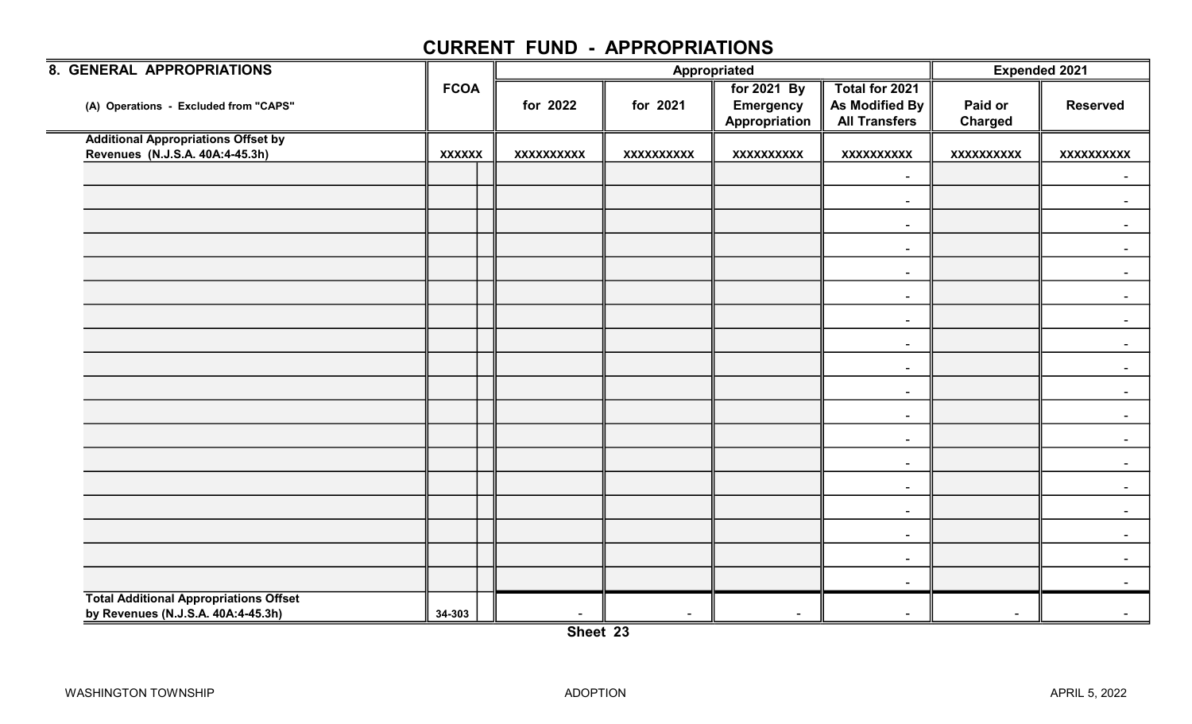| 8. GENERAL APPROPRIATIONS                                                           |               |                   | Appropriated      | <b>Expended 2021</b>                             |                                                          |                           |                   |
|-------------------------------------------------------------------------------------|---------------|-------------------|-------------------|--------------------------------------------------|----------------------------------------------------------|---------------------------|-------------------|
| (A) Operations - Excluded from "CAPS"                                               | <b>FCOA</b>   | for 2022          | for 2021          | for 2021 By<br><b>Emergency</b><br>Appropriation | Total for 2021<br>As Modified By<br><b>All Transfers</b> | Paid or<br><b>Charged</b> | <b>Reserved</b>   |
| <b>Additional Appropriations Offset by</b>                                          |               |                   |                   |                                                  |                                                          |                           |                   |
| Revenues (N.J.S.A. 40A:4-45.3h)                                                     | <b>XXXXXX</b> | <b>XXXXXXXXXX</b> | <b>XXXXXXXXXX</b> | XXXXXXXXXX                                       | <b>XXXXXXXXXX</b>                                        | <b>XXXXXXXXXX</b>         | <b>XXXXXXXXXX</b> |
|                                                                                     |               |                   |                   |                                                  | $\sim$                                                   |                           |                   |
|                                                                                     |               |                   |                   |                                                  | $\blacksquare$                                           |                           |                   |
|                                                                                     |               |                   |                   |                                                  | $\sim$                                                   |                           |                   |
|                                                                                     |               |                   |                   |                                                  | $\blacksquare$                                           |                           |                   |
|                                                                                     |               |                   |                   |                                                  | $\blacksquare$                                           |                           |                   |
|                                                                                     |               |                   |                   |                                                  | $\sim$                                                   |                           | $\sim$            |
|                                                                                     |               |                   |                   |                                                  | $\blacksquare$                                           |                           | $\sim$            |
|                                                                                     |               |                   |                   |                                                  | $\sim$                                                   |                           |                   |
|                                                                                     |               |                   |                   |                                                  | $\sim$                                                   |                           |                   |
|                                                                                     |               |                   |                   |                                                  | $\sim$                                                   |                           |                   |
|                                                                                     |               |                   |                   |                                                  | $\sim$                                                   |                           |                   |
|                                                                                     |               |                   |                   |                                                  | $\blacksquare$                                           |                           |                   |
|                                                                                     |               |                   |                   |                                                  | $\blacksquare$                                           |                           |                   |
|                                                                                     |               |                   |                   |                                                  | $\blacksquare$                                           |                           | $\sim$            |
|                                                                                     |               |                   |                   |                                                  | $\sim$                                                   |                           | $\sim$            |
|                                                                                     |               |                   |                   |                                                  | $\sim$                                                   |                           |                   |
|                                                                                     |               |                   |                   |                                                  | $\sim$                                                   |                           |                   |
|                                                                                     |               |                   |                   |                                                  | $\sim$                                                   |                           |                   |
| <b>Total Additional Appropriations Offset</b><br>by Revenues (N.J.S.A. 40A:4-45.3h) | 34-303        | $\sim$            |                   |                                                  |                                                          | $\blacksquare$            |                   |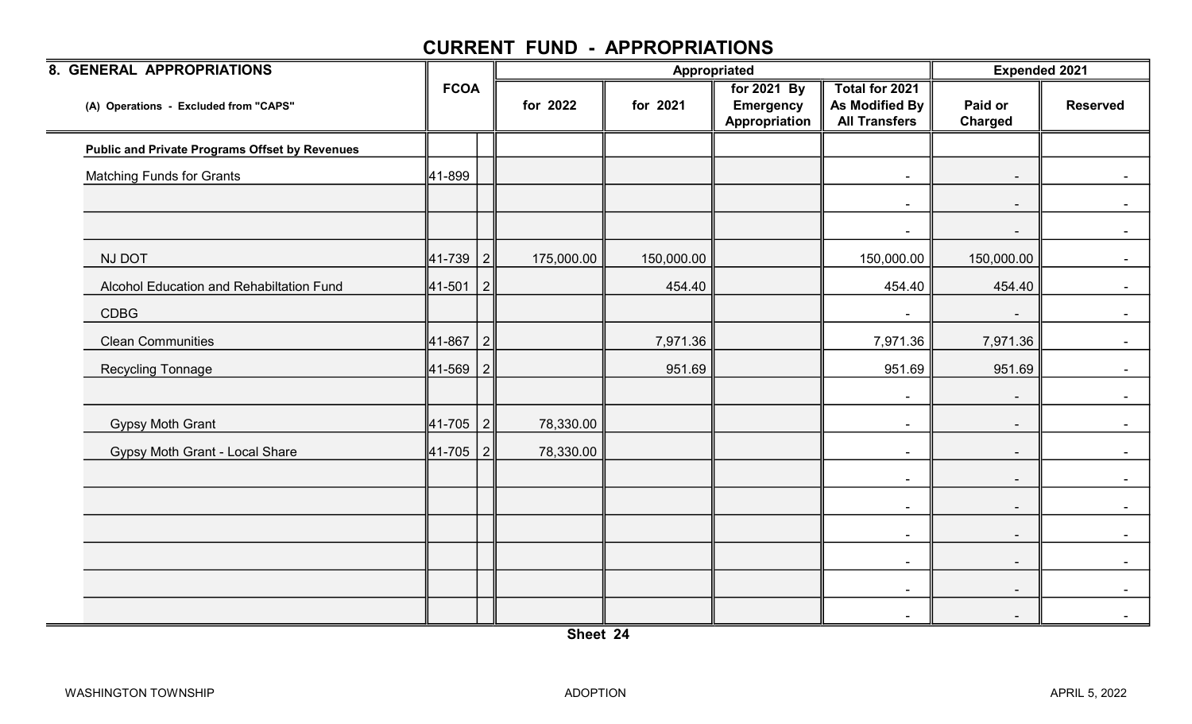| 8. GENERAL APPROPRIATIONS                             |              |           |            |            | Appropriated                                     |                                                          | <b>Expended 2021</b>     |                 |
|-------------------------------------------------------|--------------|-----------|------------|------------|--------------------------------------------------|----------------------------------------------------------|--------------------------|-----------------|
| (A) Operations - Excluded from "CAPS"                 | <b>FCOA</b>  |           | for 2022   | for 2021   | for 2021 By<br><b>Emergency</b><br>Appropriation | Total for 2021<br>As Modified By<br><b>All Transfers</b> | Paid or<br>Charged       | <b>Reserved</b> |
| <b>Public and Private Programs Offset by Revenues</b> |              |           |            |            |                                                  |                                                          |                          |                 |
| <b>Matching Funds for Grants</b>                      | 41-899       |           |            |            |                                                  | $\blacksquare$                                           | $\sim$                   | $\sim$ $-$      |
|                                                       |              |           |            |            |                                                  | $\blacksquare$                                           | $\sim$                   | $\sim$          |
|                                                       |              |           |            |            |                                                  | $\overline{\phantom{a}}$                                 |                          |                 |
| NJ DOT                                                | 41-739       | 2         | 175,000.00 | 150,000.00 |                                                  | 150,000.00                                               | 150,000.00               | $\sim$ $-$      |
| Alcohol Education and Rehabiltation Fund              | ∥41-501      | $\vert$ 2 |            | 454.40     |                                                  | 454.40                                                   | 454.40                   | $\blacksquare$  |
| <b>CDBG</b>                                           |              |           |            |            |                                                  | $\blacksquare$                                           | $\sim$                   | $\sim$          |
| <b>Clean Communities</b>                              | 41-867       | 2         |            | 7,971.36   |                                                  | 7,971.36                                                 | 7,971.36                 |                 |
| <b>Recycling Tonnage</b>                              | 41-569       | 2         |            | 951.69     |                                                  | 951.69                                                   | 951.69                   |                 |
|                                                       |              |           |            |            |                                                  | $\blacksquare$                                           | $\overline{\phantom{a}}$ | $\sim$          |
| <b>Gypsy Moth Grant</b>                               | $ 41 - 705 $ | 2         | 78,330.00  |            |                                                  | $\blacksquare$                                           |                          | $\blacksquare$  |
| <b>Gypsy Moth Grant - Local Share</b>                 | 41-705       | 2         | 78,330.00  |            |                                                  | $\blacksquare$                                           | $\blacksquare$           |                 |
|                                                       |              |           |            |            |                                                  | $\sim$                                                   | $\sim$                   | $\sim$ 10 $\pm$ |
|                                                       |              |           |            |            |                                                  | $\sim$                                                   | $\sim$                   | $\sim$          |
|                                                       |              |           |            |            |                                                  | $\blacksquare$                                           | $\overline{\phantom{a}}$ | $\sim$ $-$      |
|                                                       |              |           |            |            |                                                  | $\blacksquare$                                           | $\overline{\phantom{a}}$ | $\sim$          |
|                                                       |              |           |            |            |                                                  | $\blacksquare$                                           | $\sim$                   |                 |
|                                                       |              |           |            |            |                                                  | $\blacksquare$                                           | $\overline{\phantom{a}}$ |                 |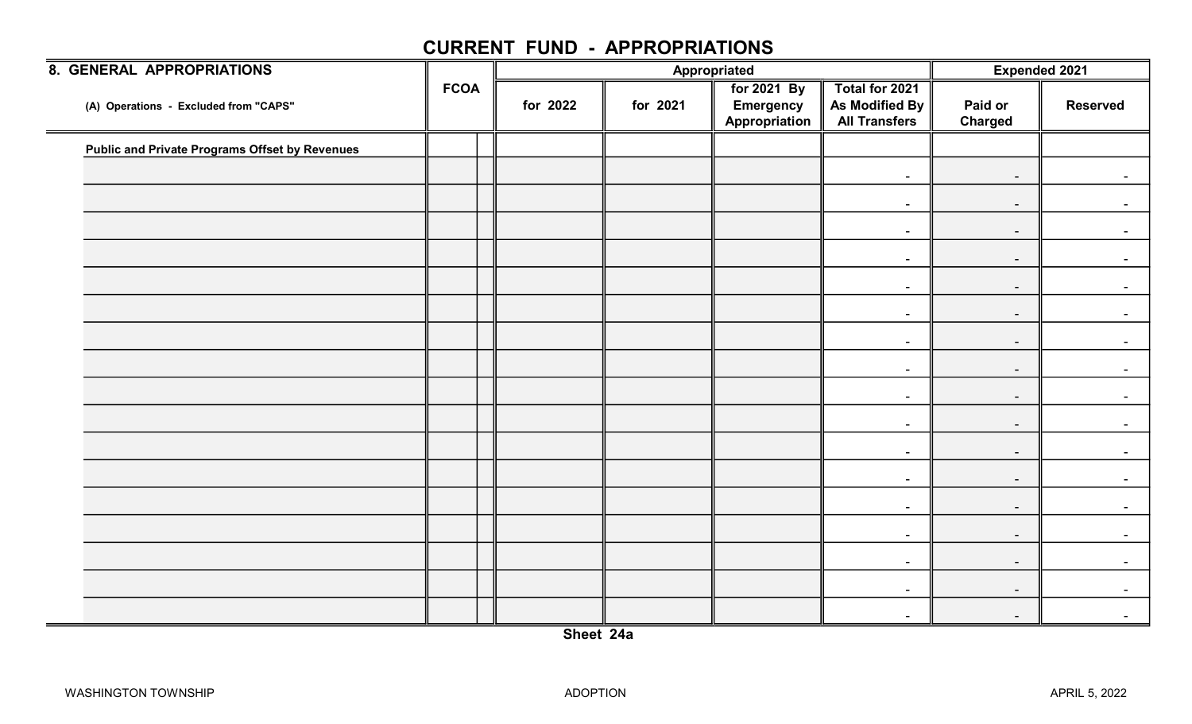| <b>8. GENERAL APPROPRIATIONS</b>                      |             |          |          | Appropriated                                            |                                                          | Expended 2021             |                          |
|-------------------------------------------------------|-------------|----------|----------|---------------------------------------------------------|----------------------------------------------------------|---------------------------|--------------------------|
| (A) Operations - Excluded from "CAPS"                 | <b>FCOA</b> | for 2022 | for 2021 | <b>For 2021 By</b><br><b>Emergency</b><br>Appropriation | Total for 2021<br>As Modified By<br><b>All Transfers</b> | Paid or<br><b>Charged</b> | <b>Reserved</b>          |
| <b>Public and Private Programs Offset by Revenues</b> |             |          |          |                                                         |                                                          |                           |                          |
|                                                       |             |          |          |                                                         | $\sim$                                                   | $\sim$                    |                          |
|                                                       |             |          |          |                                                         | $\blacksquare$                                           | $\sim$                    | $\blacksquare$           |
|                                                       |             |          |          |                                                         | $\blacksquare$                                           | $\sim$                    |                          |
|                                                       |             |          |          |                                                         | $\blacksquare$                                           | $\sim$                    | $\sim$ $-$               |
|                                                       |             |          |          |                                                         | $\sim$                                                   | $\sim$                    | $\overline{\phantom{a}}$ |
|                                                       |             |          |          |                                                         | $\blacksquare$                                           | $\sim$                    |                          |
|                                                       |             |          |          |                                                         | $\blacksquare$                                           | $\sim$                    | $\blacksquare$           |
|                                                       |             |          |          |                                                         | $\sim$                                                   | $\sim$                    |                          |
|                                                       |             |          |          |                                                         | $\blacksquare$                                           | $\sim$                    | $\sim$ $-$               |
|                                                       |             |          |          |                                                         | $\blacksquare$                                           |                           | $\blacksquare$           |
|                                                       |             |          |          |                                                         |                                                          | $\sim$                    |                          |
|                                                       |             |          |          |                                                         | $\blacksquare$                                           | $\sim$                    |                          |
|                                                       |             |          |          |                                                         | $\blacksquare$                                           | $\sim$                    | $\sim$ .                 |
|                                                       |             |          |          |                                                         | $\sim$                                                   | $\sim$                    | $\blacksquare$           |
|                                                       |             |          |          |                                                         | $\sim$                                                   | $\sim$                    | $\sim$                   |
|                                                       |             |          |          |                                                         | $\blacksquare$                                           | $\sim$                    | $\sim$                   |
|                                                       |             |          |          |                                                         | $\blacksquare$                                           | $\sim$                    |                          |
|                                                       |             |          |          |                                                         | $\sim$                                                   | $\sim$                    | $\overline{\phantom{a}}$ |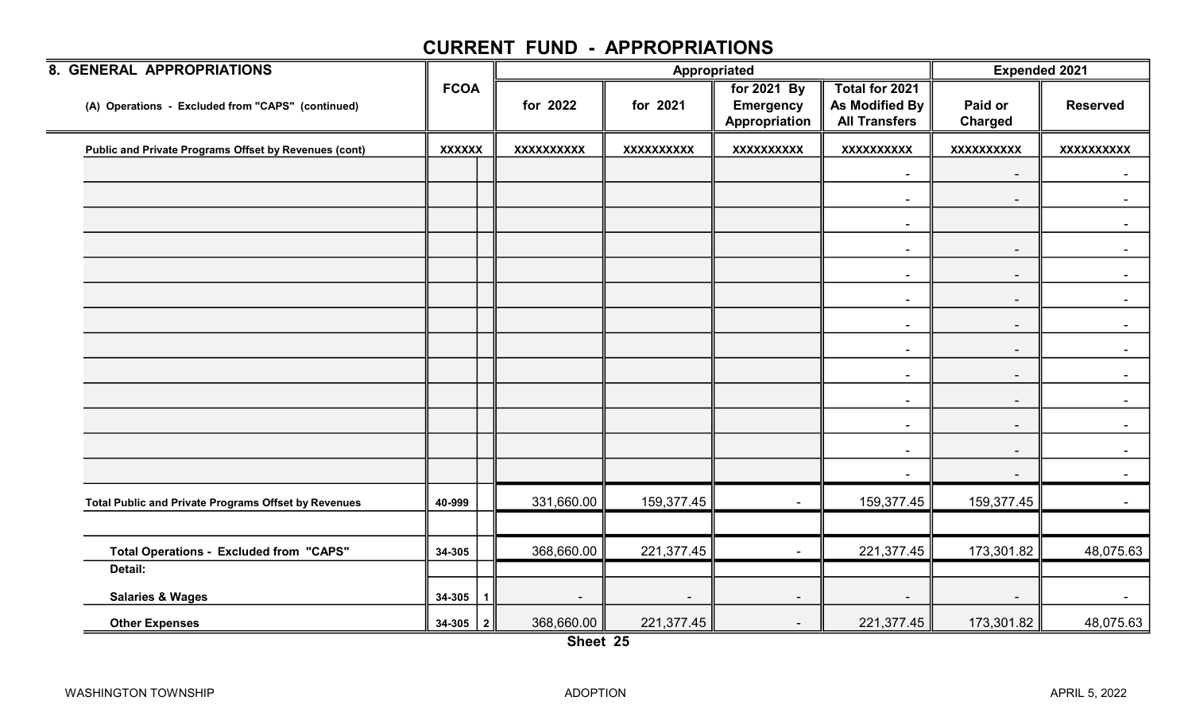| 8. GENERAL APPROPRIATIONS                             |                       |                          |                          | Appropriated                                     |                                                                 | <b>Expended 2021</b>      |                   |
|-------------------------------------------------------|-----------------------|--------------------------|--------------------------|--------------------------------------------------|-----------------------------------------------------------------|---------------------------|-------------------|
| (A) Operations - Excluded from "CAPS" (continued)     | <b>FCOA</b>           | for 2022                 | for 2021                 | for 2021 By<br><b>Emergency</b><br>Appropriation | Total for 2021<br><b>As Modified By</b><br><b>All Transfers</b> | Paid or<br><b>Charged</b> | <b>Reserved</b>   |
| Public and Private Programs Offset by Revenues (cont) | <b>XXXXXX</b>         | <b>XXXXXXXXXX</b>        | <b>XXXXXXXXXX</b>        | <b>XXXXXXXXXX</b>                                | <b>XXXXXXXXXX</b>                                               | <b>XXXXXXXXXX</b>         | <b>XXXXXXXXXX</b> |
|                                                       |                       |                          |                          |                                                  | $\sim$                                                          | $\blacksquare$            |                   |
|                                                       |                       |                          |                          |                                                  | $\sim$                                                          | $\overline{\phantom{a}}$  | $\sim$            |
|                                                       |                       |                          |                          |                                                  | $\sim$                                                          |                           |                   |
|                                                       |                       |                          |                          |                                                  | $\sim$                                                          | $\overline{\phantom{a}}$  |                   |
|                                                       |                       |                          |                          |                                                  | $\sim$                                                          | $\blacksquare$            |                   |
|                                                       |                       |                          |                          |                                                  | $\sim$                                                          | $\sim$                    | $\sim$            |
|                                                       |                       |                          |                          |                                                  | $\sim$                                                          | $\sim$                    |                   |
|                                                       |                       |                          |                          |                                                  | $\sim$                                                          | $\sim$                    |                   |
|                                                       |                       |                          |                          |                                                  | $\sim$                                                          | $\sim$                    |                   |
|                                                       |                       |                          |                          |                                                  | $\sim$                                                          | $\sim$                    | $\sim$            |
|                                                       |                       |                          |                          |                                                  | $\blacksquare$                                                  | $\sim$                    |                   |
|                                                       |                       |                          |                          |                                                  | $\sim$                                                          | $\sim$                    | $\sim$            |
|                                                       |                       |                          |                          |                                                  |                                                                 | $\blacksquare$            |                   |
| Total Public and Private Programs Offset by Revenues  | 40-999                | 331,660.00               | 159,377.45               | $\blacksquare$                                   | 159,377.45                                                      | 159,377.45                |                   |
|                                                       |                       |                          |                          |                                                  |                                                                 |                           |                   |
| <b>Total Operations - Excluded from "CAPS"</b>        | 34-305                | 368,660.00               | 221,377.45               | $\blacksquare$                                   | 221,377.45                                                      | 173,301.82                | 48,075.63         |
| Detail:                                               |                       |                          |                          |                                                  |                                                                 |                           |                   |
| <b>Salaries &amp; Wages</b>                           | 34-305<br>$\mathbf 1$ | $\overline{\phantom{a}}$ | $\overline{\phantom{a}}$ | $\sim$                                           | $\sim$                                                          | $\overline{\phantom{a}}$  |                   |
| <b>Other Expenses</b><br>=                            | $34-305$   2          | 368,660.00               | 221,377.45               | $\sim$                                           | 221,377.45                                                      | 173,301.82                | 48,075.63         |

Sheet 25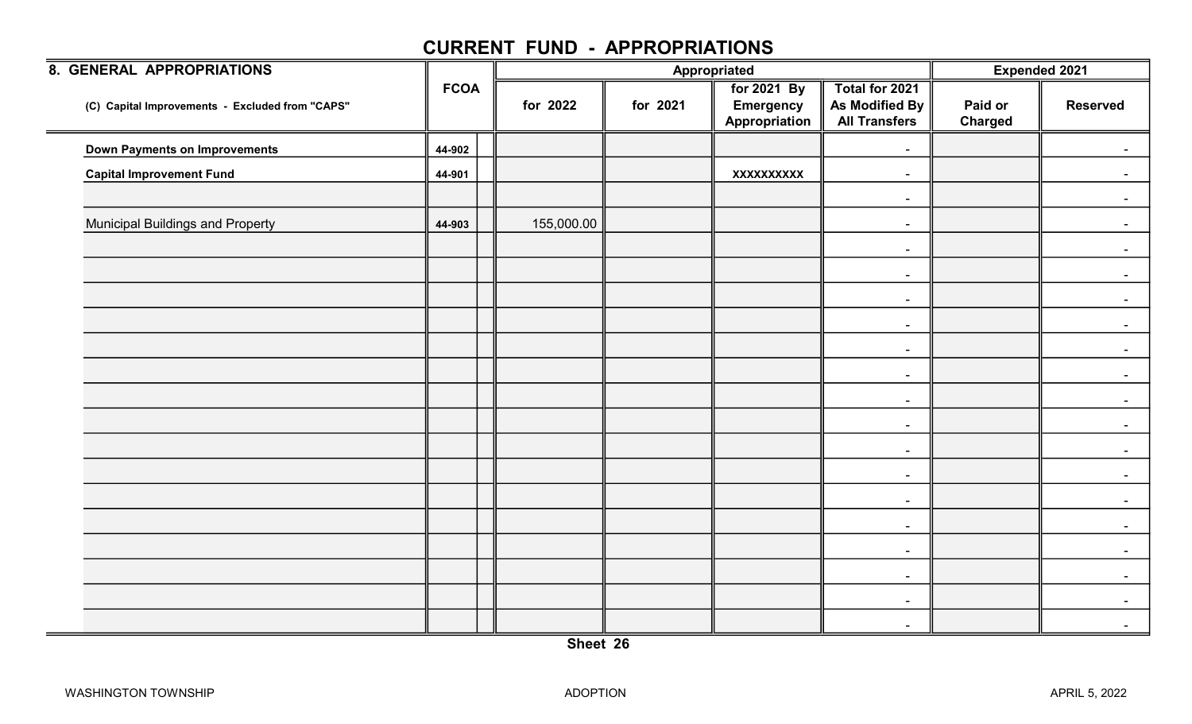| <b>8. GENERAL APPROPRIATIONS</b>                |             |            |          | Appropriated                                            |                                                          | <b>Expended 2021</b>      |                 |
|-------------------------------------------------|-------------|------------|----------|---------------------------------------------------------|----------------------------------------------------------|---------------------------|-----------------|
| (C) Capital Improvements - Excluded from "CAPS" | <b>FCOA</b> | for 2022   | for 2021 | <b>For 2021 By</b><br><b>Emergency</b><br>Appropriation | Total for 2021<br>As Modified By<br><b>All Transfers</b> | Paid or<br><b>Charged</b> | <b>Reserved</b> |
| Down Payments on Improvements                   | 44-902      |            |          |                                                         | $\blacksquare$                                           |                           |                 |
| <b>Capital Improvement Fund</b>                 | 44-901      |            |          | <b>XXXXXXXXXX</b>                                       | $\sim$                                                   |                           |                 |
|                                                 |             |            |          |                                                         | $\blacksquare$                                           |                           | $\blacksquare$  |
| <b>Municipal Buildings and Property</b>         | 44-903      | 155,000.00 |          |                                                         | $\sim$                                                   |                           | $\sim$          |
|                                                 |             |            |          |                                                         | $\blacksquare$                                           |                           | $\blacksquare$  |
|                                                 |             |            |          |                                                         | $\sim$                                                   |                           |                 |
|                                                 |             |            |          |                                                         | $\blacksquare$                                           |                           | $\blacksquare$  |
|                                                 |             |            |          |                                                         | $\sim$                                                   |                           | $\sim$          |
|                                                 |             |            |          |                                                         | $\blacksquare$                                           |                           | $\blacksquare$  |
|                                                 |             |            |          |                                                         | $\blacksquare$                                           |                           | $\sim$          |
|                                                 |             |            |          |                                                         | $\blacksquare$                                           |                           | $\blacksquare$  |
|                                                 |             |            |          |                                                         | $\blacksquare$                                           |                           | $\sim$          |
|                                                 |             |            |          |                                                         | $\blacksquare$                                           |                           | $\blacksquare$  |
|                                                 |             |            |          |                                                         | $\sim$                                                   |                           |                 |
|                                                 |             |            |          |                                                         | $\blacksquare$                                           |                           | $\blacksquare$  |
|                                                 |             |            |          |                                                         | $\sim$                                                   |                           | $\sim$          |
|                                                 |             |            |          |                                                         | $\blacksquare$                                           |                           | $\blacksquare$  |
|                                                 |             |            |          |                                                         | $\blacksquare$                                           |                           | $\blacksquare$  |
|                                                 |             |            |          |                                                         | $\blacksquare$                                           |                           | $\blacksquare$  |
|                                                 |             |            |          |                                                         | $\blacksquare$                                           |                           | $\blacksquare$  |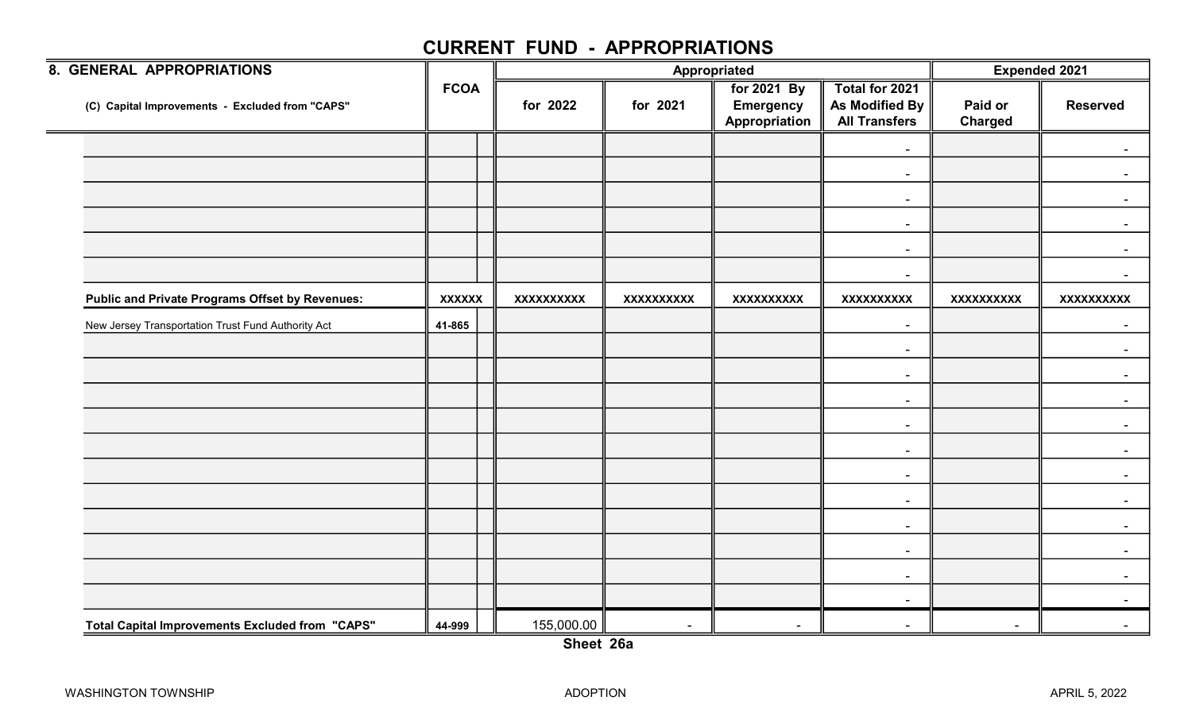| 8. GENERAL APPROPRIATIONS                              |               |                   |                   | <b>Appropriated</b>                              |                                                          | <b>Expended 2021</b> |                   |
|--------------------------------------------------------|---------------|-------------------|-------------------|--------------------------------------------------|----------------------------------------------------------|----------------------|-------------------|
| (C) Capital Improvements - Excluded from "CAPS"        | <b>FCOA</b>   | for 2022          | for 2021          | for 2021 By<br><b>Emergency</b><br>Appropriation | Total for 2021<br>As Modified By<br><b>All Transfers</b> | Paid or<br>Charged   | <b>Reserved</b>   |
|                                                        |               |                   |                   |                                                  | $\sim$                                                   |                      |                   |
|                                                        |               |                   |                   |                                                  | $\sim$                                                   |                      |                   |
|                                                        |               |                   |                   |                                                  | $\blacksquare$                                           |                      |                   |
|                                                        |               |                   |                   |                                                  | $\sim$                                                   |                      |                   |
|                                                        |               |                   |                   |                                                  | $\blacksquare$                                           |                      |                   |
|                                                        |               |                   |                   |                                                  | $\overline{\phantom{a}}$                                 |                      |                   |
| <b>Public and Private Programs Offset by Revenues:</b> | <b>XXXXXX</b> | <b>XXXXXXXXXX</b> | <b>XXXXXXXXXX</b> | <b>XXXXXXXXXX</b>                                | <b>XXXXXXXXXX</b>                                        | <b>XXXXXXXXXX</b>    | <b>XXXXXXXXXX</b> |
| New Jersey Transportation Trust Fund Authority Act     | 41-865        |                   |                   |                                                  | $\blacksquare$                                           |                      | $\sim$            |
|                                                        |               |                   |                   |                                                  | $\sim$                                                   |                      |                   |
|                                                        |               |                   |                   |                                                  | $\overline{\phantom{a}}$                                 |                      |                   |
|                                                        |               |                   |                   |                                                  | $\blacksquare$                                           |                      |                   |
|                                                        |               |                   |                   |                                                  | $\sim$                                                   |                      |                   |
|                                                        |               |                   |                   |                                                  | $\sim$                                                   |                      |                   |
|                                                        |               |                   |                   |                                                  | $\overline{\phantom{a}}$                                 |                      |                   |
|                                                        |               |                   |                   |                                                  | $\sim$                                                   |                      |                   |
|                                                        |               |                   |                   |                                                  | $\blacksquare$                                           |                      |                   |
|                                                        |               |                   |                   |                                                  | $\sim$                                                   |                      |                   |
|                                                        |               |                   |                   |                                                  | $\blacksquare$                                           |                      |                   |
|                                                        |               |                   |                   |                                                  | $\blacksquare$                                           |                      |                   |
| Total Capital Improvements Excluded from "CAPS"        | 44-999        | 155,000.00        | $\sim$            | $\sim$                                           | $\sim$                                                   | $\sim$               |                   |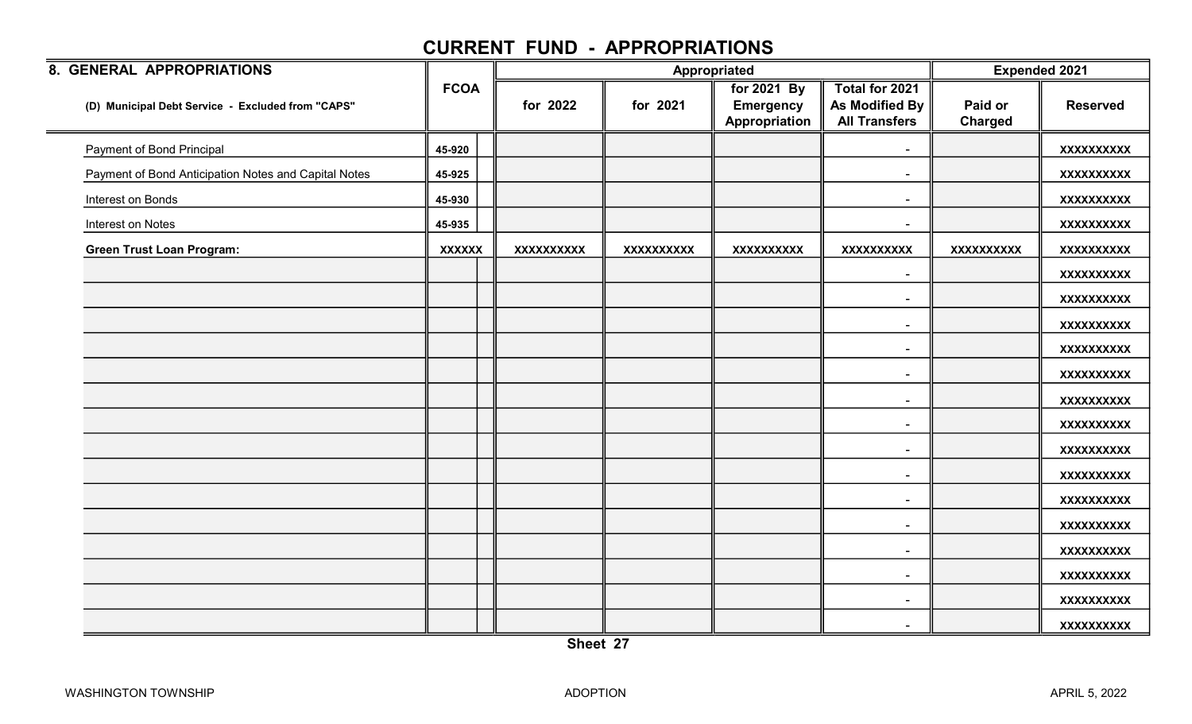| 8. GENERAL APPROPRIATIONS                            |               |                   |                   | Appropriated                                     |                                                                 | <b>Expended 2021</b>      |                   |
|------------------------------------------------------|---------------|-------------------|-------------------|--------------------------------------------------|-----------------------------------------------------------------|---------------------------|-------------------|
| (D) Municipal Debt Service - Excluded from "CAPS"    | <b>FCOA</b>   | for 2022          | for 2021          | for 2021 By<br><b>Emergency</b><br>Appropriation | Total for 2021<br><b>As Modified By</b><br><b>All Transfers</b> | Paid or<br><b>Charged</b> | <b>Reserved</b>   |
| Payment of Bond Principal                            | 45-920        |                   |                   |                                                  | $\blacksquare$                                                  |                           | <b>XXXXXXXXXX</b> |
| Payment of Bond Anticipation Notes and Capital Notes | 45-925        |                   |                   |                                                  | $\blacksquare$                                                  |                           | <b>XXXXXXXXXX</b> |
| Interest on Bonds                                    | 45-930        |                   |                   |                                                  | $\blacksquare$                                                  |                           | <b>XXXXXXXXXX</b> |
| Interest on Notes                                    | 45-935        |                   |                   |                                                  | $\overline{\phantom{a}}$                                        |                           | <b>XXXXXXXXXX</b> |
| <b>Green Trust Loan Program:</b>                     | <b>XXXXXX</b> | <b>XXXXXXXXXX</b> | <b>XXXXXXXXXX</b> | <b>XXXXXXXXXX</b>                                | <b>XXXXXXXXXX</b>                                               | XXXXXXXXXX                | XXXXXXXXXX        |
|                                                      |               |                   |                   |                                                  | $\blacksquare$                                                  |                           | <b>XXXXXXXXXX</b> |
|                                                      |               |                   |                   |                                                  | $\sim$                                                          |                           | <b>XXXXXXXXXX</b> |
|                                                      |               |                   |                   |                                                  | $\sim$                                                          |                           | <b>XXXXXXXXXX</b> |
|                                                      |               |                   |                   |                                                  | $\blacksquare$                                                  |                           | <b>XXXXXXXXXX</b> |
|                                                      |               |                   |                   |                                                  | $\sim$                                                          |                           | <b>XXXXXXXXXX</b> |
|                                                      |               |                   |                   |                                                  | $\blacksquare$                                                  |                           | <b>XXXXXXXXXX</b> |
|                                                      |               |                   |                   |                                                  | $\sim$                                                          |                           | <b>XXXXXXXXXX</b> |
|                                                      |               |                   |                   |                                                  | $\sim$                                                          |                           | <b>XXXXXXXXXX</b> |
|                                                      |               |                   |                   |                                                  | $\blacksquare$                                                  |                           | <b>XXXXXXXXXX</b> |
|                                                      |               |                   |                   |                                                  | $\blacksquare$                                                  |                           | <b>XXXXXXXXXX</b> |
|                                                      |               |                   |                   |                                                  | $\sim$                                                          |                           | <b>XXXXXXXXXX</b> |
|                                                      |               |                   |                   |                                                  | $\overline{\phantom{a}}$                                        |                           | <b>XXXXXXXXXX</b> |
|                                                      |               |                   |                   |                                                  | $\sim$                                                          |                           | <b>XXXXXXXXXX</b> |
|                                                      |               |                   |                   |                                                  | $\sim$                                                          |                           | <b>XXXXXXXXXX</b> |
|                                                      |               |                   |                   |                                                  | $\sim$                                                          |                           | <b>XXXXXXXXXX</b> |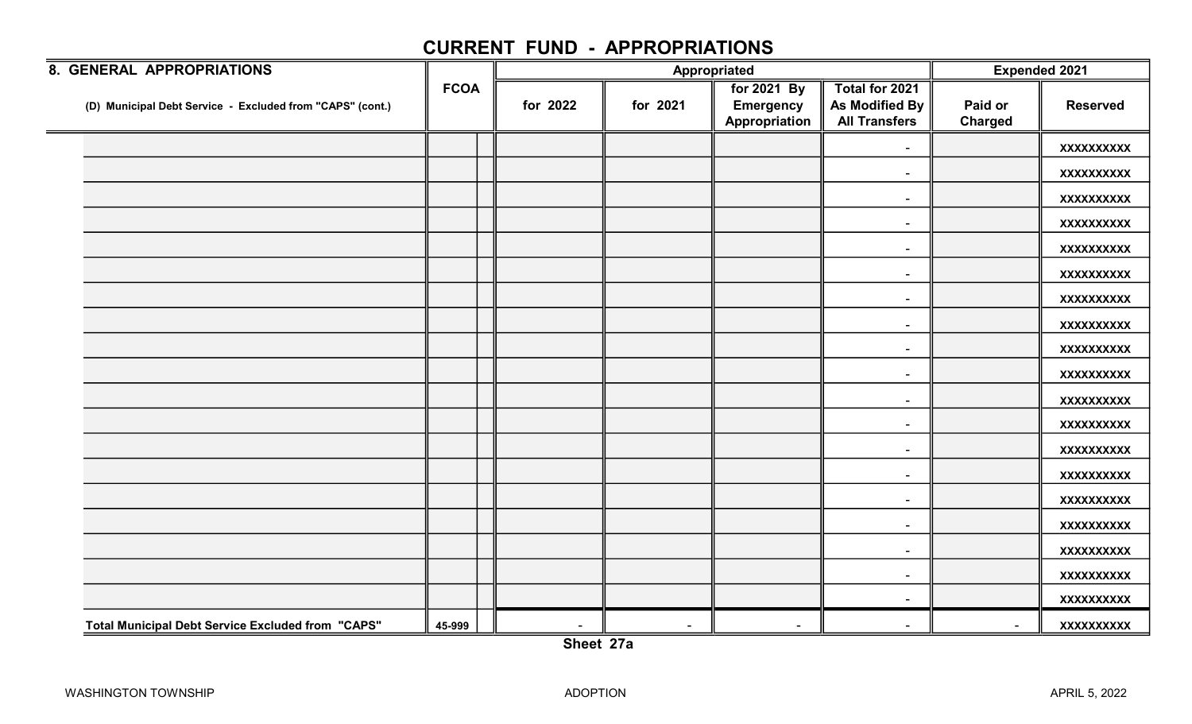| 8. GENERAL APPROPRIATIONS                                 |             | Appropriated |          |                                                  |                                                          | <b>Expended 2021</b>      |                   |
|-----------------------------------------------------------|-------------|--------------|----------|--------------------------------------------------|----------------------------------------------------------|---------------------------|-------------------|
| (D) Municipal Debt Service - Excluded from "CAPS" (cont.) | <b>FCOA</b> | for 2022     | for 2021 | for 2021 By<br><b>Emergency</b><br>Appropriation | Total for 2021<br>As Modified By<br><b>All Transfers</b> | Paid or<br><b>Charged</b> | <b>Reserved</b>   |
|                                                           |             |              |          |                                                  | $\sim$                                                   |                           | <b>XXXXXXXXXX</b> |
|                                                           |             |              |          |                                                  | $\sim$                                                   |                           | XXXXXXXXXX        |
|                                                           |             |              |          |                                                  |                                                          |                           | <b>XXXXXXXXXX</b> |
|                                                           |             |              |          |                                                  | $\sim$                                                   |                           | <b>XXXXXXXXXX</b> |
|                                                           |             |              |          |                                                  | $\sim$                                                   |                           | <b>XXXXXXXXXX</b> |
|                                                           |             |              |          |                                                  | $\overline{\phantom{a}}$                                 |                           | XXXXXXXXX         |
|                                                           |             |              |          |                                                  | $\overline{\phantom{a}}$                                 |                           | <b>XXXXXXXXXX</b> |
|                                                           |             |              |          |                                                  | $\sim$                                                   |                           | <b>XXXXXXXXXX</b> |
|                                                           |             |              |          |                                                  | $\sim$                                                   |                           | <b>XXXXXXXXXX</b> |
|                                                           |             |              |          |                                                  | $\sim$                                                   |                           | <b>XXXXXXXXXX</b> |
|                                                           |             |              |          |                                                  | $\overline{\phantom{a}}$                                 |                           | <b>XXXXXXXXXX</b> |
|                                                           |             |              |          |                                                  | $\sim$                                                   |                           | <b>XXXXXXXXXX</b> |
|                                                           |             |              |          |                                                  | $\sim$                                                   |                           | <b>XXXXXXXXXX</b> |
|                                                           |             |              |          |                                                  | $\sim$                                                   |                           | <b>XXXXXXXXXX</b> |
|                                                           |             |              |          |                                                  | $\sim$                                                   |                           | <b>XXXXXXXXXX</b> |
|                                                           |             |              |          |                                                  | $\sim$                                                   |                           | XXXXXXXXXX        |
|                                                           |             |              |          |                                                  | $\overline{\phantom{a}}$                                 |                           | <b>XXXXXXXXXX</b> |
|                                                           |             |              |          |                                                  | $\sim$                                                   |                           | <b>XXXXXXXXXX</b> |
|                                                           |             |              |          |                                                  | $\sim$                                                   |                           | <b>XXXXXXXXXX</b> |
| <b>Total Municipal Debt Service Excluded from "CAPS"</b>  | 45-999      | $\sim$       | $\sim$   | $\sim$                                           | $\sim$                                                   | $\sim$                    | <b>XXXXXXXXXX</b> |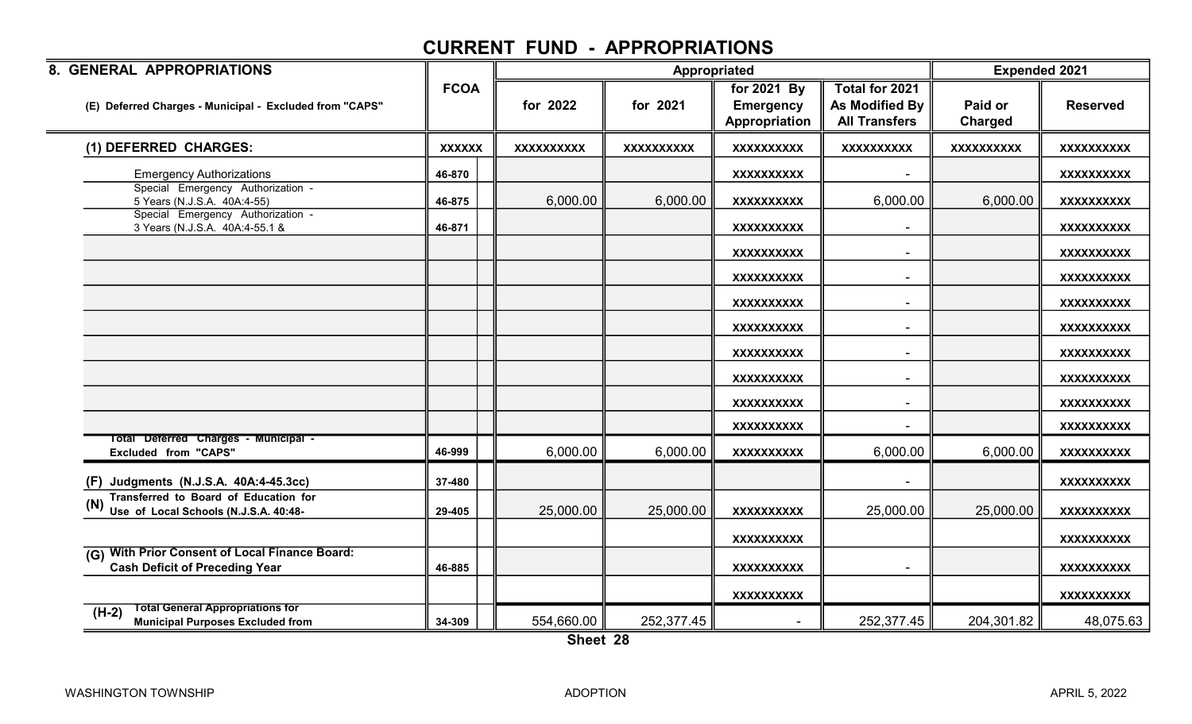| 8. GENERAL APPROPRIATIONS                                                                         |               |                   | Appropriated      |                                                  |                                                          | <b>Expended 2021</b>      |                   |
|---------------------------------------------------------------------------------------------------|---------------|-------------------|-------------------|--------------------------------------------------|----------------------------------------------------------|---------------------------|-------------------|
| (E) Deferred Charges - Municipal - Excluded from "CAPS"                                           | <b>FCOA</b>   | for 2022          | for 2021          | for 2021 By<br><b>Emergency</b><br>Appropriation | Total for 2021<br>As Modified By<br><b>All Transfers</b> | Paid or<br><b>Charged</b> | <b>Reserved</b>   |
| (1) DEFERRED CHARGES:                                                                             | <b>XXXXXX</b> | <b>XXXXXXXXXX</b> | <b>XXXXXXXXXX</b> | <b>XXXXXXXXXX</b>                                | <b>XXXXXXXXXX</b>                                        | <b>XXXXXXXXXX</b>         | <b>XXXXXXXXXX</b> |
| <b>Emergency Authorizations</b>                                                                   | 46-870        |                   |                   | <b>XXXXXXXXXX</b>                                |                                                          |                           | XXXXXXXXXX        |
| Special Emergency Authorization -<br>5 Years (N.J.S.A. 40A:4-55)                                  | 46-875        | 6,000.00          | 6,000.00          | <b>XXXXXXXXXX</b>                                | 6,000.00                                                 | 6,000.00                  | <b>XXXXXXXXXX</b> |
| Special Emergency Authorization -<br>3 Years (N.J.S.A. 40A:4-55.1 &                               | 46-871        |                   |                   | <b>XXXXXXXXXX</b>                                |                                                          |                           | <b>XXXXXXXXXX</b> |
|                                                                                                   |               |                   |                   | <b>XXXXXXXXXX</b>                                | $\overline{\phantom{a}}$                                 |                           | <b>XXXXXXXXXX</b> |
|                                                                                                   |               |                   |                   | <b>XXXXXXXXXX</b>                                | $\blacksquare$                                           |                           | <b>XXXXXXXXXX</b> |
|                                                                                                   |               |                   |                   | <b>XXXXXXXXXX</b>                                | $\overline{\phantom{a}}$                                 |                           | <b>XXXXXXXXXX</b> |
|                                                                                                   |               |                   |                   | <b>XXXXXXXXXX</b>                                | $\blacksquare$                                           |                           | <b>XXXXXXXXXX</b> |
|                                                                                                   |               |                   |                   | <b>XXXXXXXXXX</b>                                | $\blacksquare$                                           |                           | <b>XXXXXXXXXX</b> |
|                                                                                                   |               |                   |                   | <b>XXXXXXXXXX</b>                                | $\overline{\phantom{a}}$                                 |                           | <b>XXXXXXXXXX</b> |
|                                                                                                   |               |                   |                   | <b>XXXXXXXXXX</b>                                |                                                          |                           | <b>XXXXXXXXXX</b> |
|                                                                                                   |               |                   |                   | <b>XXXXXXXXXX</b>                                |                                                          |                           | <b>XXXXXXXXXX</b> |
| Total Deferred Charges - Municipal -<br>Excluded from "CAPS"                                      | 46-999        | 6,000.00          | 6,000.00          | <b>XXXXXXXXXX</b>                                | 6,000.00                                                 | 6,000.00                  | <b>XXXXXXXXXX</b> |
| (F) Judgments (N.J.S.A. 40A:4-45.3cc)                                                             | 37-480        |                   |                   |                                                  |                                                          |                           | <b>XXXXXXXXXX</b> |
| <b>Transferred to Board of Education for</b><br>Use of Local Schools (N.J.S.A. 40:48-             | 29-405        | 25,000.00         | 25,000.00         | <b>XXXXXXXXXX</b>                                | 25,000.00                                                | 25,000.00                 | <b>XXXXXXXXXX</b> |
|                                                                                                   |               |                   |                   | <b>XXXXXXXXXX</b>                                |                                                          |                           | <b>XXXXXXXXXX</b> |
| <b>With Prior Consent of Local Finance Board:</b><br>(G)<br><b>Cash Deficit of Preceding Year</b> | 46-885        |                   |                   | <b>XXXXXXXXXX</b>                                |                                                          |                           | <b>XXXXXXXXXX</b> |
|                                                                                                   |               |                   |                   | <b>XXXXXXXXXX</b>                                |                                                          |                           | XXXXXXXXXX        |
| <b>Total General Appropriations for</b><br>$(H-2)$<br><b>Municipal Purposes Excluded from</b>     | 34-309        | 554,660.00        | 252,377.45        |                                                  | 252,377.45                                               | 204,301.82                | 48,075.63         |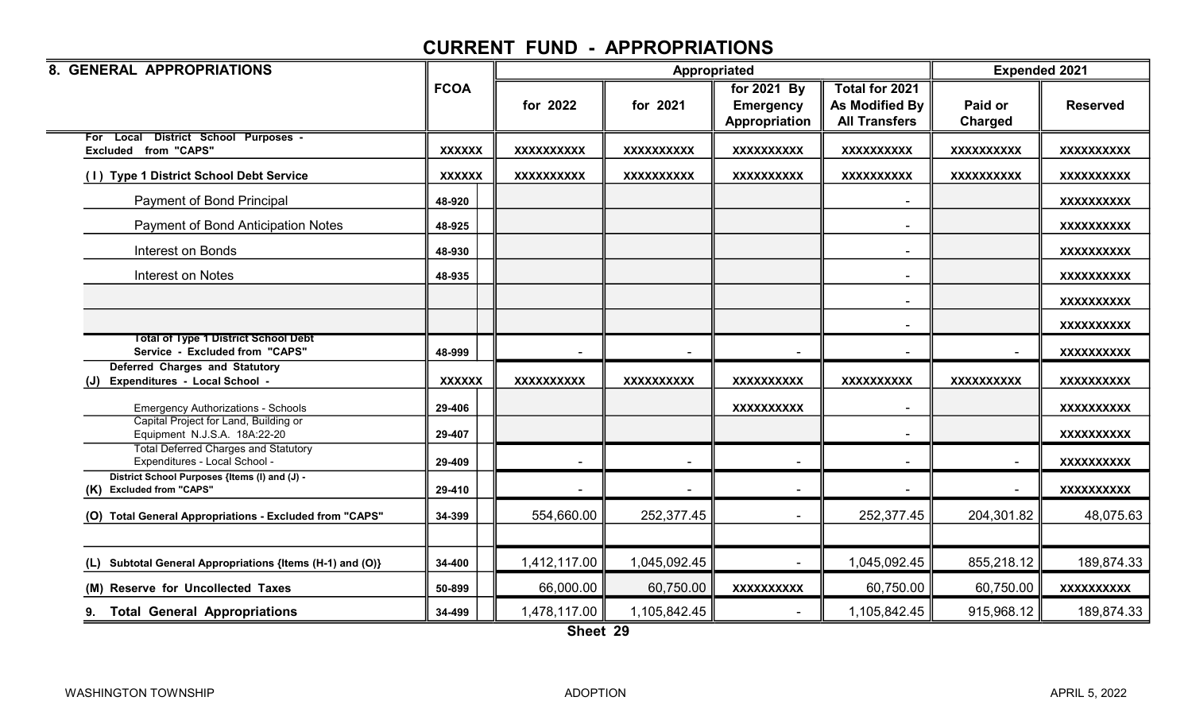| 8. GENERAL APPROPRIATIONS                                                     |               |                   |                   | Appropriated      |                          | <b>Expended 2021</b> |                   |
|-------------------------------------------------------------------------------|---------------|-------------------|-------------------|-------------------|--------------------------|----------------------|-------------------|
|                                                                               | <b>FCOA</b>   |                   |                   | for 2021 By       | <b>Total for 2021</b>    |                      |                   |
|                                                                               |               | for 2022          | for 2021          | <b>Emergency</b>  | As Modified By           | Paid or              | <b>Reserved</b>   |
|                                                                               |               |                   |                   | Appropriation     | <b>All Transfers</b>     | Charged              |                   |
| For Local District School Purposes -                                          |               |                   |                   |                   |                          |                      |                   |
| <b>Excluded from "CAPS"</b>                                                   | <b>XXXXXX</b> | <b>XXXXXXXXXX</b> | <b>XXXXXXXXXX</b> | <b>XXXXXXXXXX</b> | <b>XXXXXXXXXX</b>        | <b>XXXXXXXXXX</b>    | <b>XXXXXXXXXX</b> |
| <b>Type 1 District School Debt Service</b><br>(1)                             | <b>XXXXXX</b> | <b>XXXXXXXXXX</b> | <b>XXXXXXXXXX</b> | <b>XXXXXXXXXX</b> | <b>XXXXXXXXXX</b>        | <b>XXXXXXXXXX</b>    | <b>XXXXXXXXXX</b> |
| Payment of Bond Principal                                                     | 48-920        |                   |                   |                   | $\blacksquare$           |                      | <b>XXXXXXXXXX</b> |
| Payment of Bond Anticipation Notes                                            | 48-925        |                   |                   |                   |                          |                      | <b>XXXXXXXXXX</b> |
| Interest on Bonds                                                             | 48-930        |                   |                   |                   | $\sim$                   |                      | <b>XXXXXXXXXX</b> |
| Interest on Notes                                                             | 48-935        |                   |                   |                   | $\blacksquare$           |                      | <b>XXXXXXXXXX</b> |
|                                                                               |               |                   |                   |                   | $\overline{\phantom{0}}$ |                      | <b>XXXXXXXXXX</b> |
|                                                                               |               |                   |                   |                   | $\blacksquare$           |                      | <b>XXXXXXXXXX</b> |
| <b>Total of Type 1 District School Debt</b><br>Service - Excluded from "CAPS" | 48-999        |                   |                   |                   |                          |                      | XXXXXXXXXX        |
| <b>Deferred Charges and Statutory</b>                                         |               |                   |                   |                   |                          |                      |                   |
| Expenditures - Local School -<br>(J)                                          | <b>XXXXXX</b> | <b>XXXXXXXXXX</b> | <b>XXXXXXXXXX</b> | <b>XXXXXXXXXX</b> | <b>XXXXXXXXXX</b>        | <b>XXXXXXXXXX</b>    | <b>XXXXXXXXXX</b> |
| <b>Emergency Authorizations - Schools</b>                                     | 29-406        |                   |                   | <b>XXXXXXXXXX</b> |                          |                      | <b>XXXXXXXXXX</b> |
| Capital Project for Land, Building or<br>Equipment N.J.S.A. 18A:22-20         | 29-407        |                   |                   |                   | $\blacksquare$           |                      | <b>XXXXXXXXXX</b> |
| <b>Total Deferred Charges and Statutory</b><br>Expenditures - Local School -  | 29-409        |                   |                   |                   |                          |                      | <b>XXXXXXXXXX</b> |
| District School Purposes {Items (I) and (J) -<br>(K) Excluded from "CAPS"     | 29-410        |                   |                   |                   |                          |                      | <b>XXXXXXXXXX</b> |
| (O) Total General Appropriations - Excluded from "CAPS"                       | 34-399        | 554,660.00        | 252,377.45        |                   | 252,377.45               | 204,301.82           | 48,075.63         |
|                                                                               |               |                   |                   |                   |                          |                      |                   |
| Subtotal General Appropriations {Items (H-1) and (O)}<br>(L)                  | 34-400        | 1,412,117.00      | 1,045,092.45      |                   | 1,045,092.45             | 855,218.12           | 189,874.33        |
| (M) Reserve for Uncollected Taxes                                             | 50-899        | 66,000.00         | 60,750.00         | <b>XXXXXXXXXX</b> | 60,750.00                | 60,750.00            | <b>XXXXXXXXXX</b> |
| <b>Total General Appropriations</b>                                           | 34-499        | 1,478,117.00      | 1,105,842.45      |                   | 1,105,842.45             | 915,968.12           | 189,874.33        |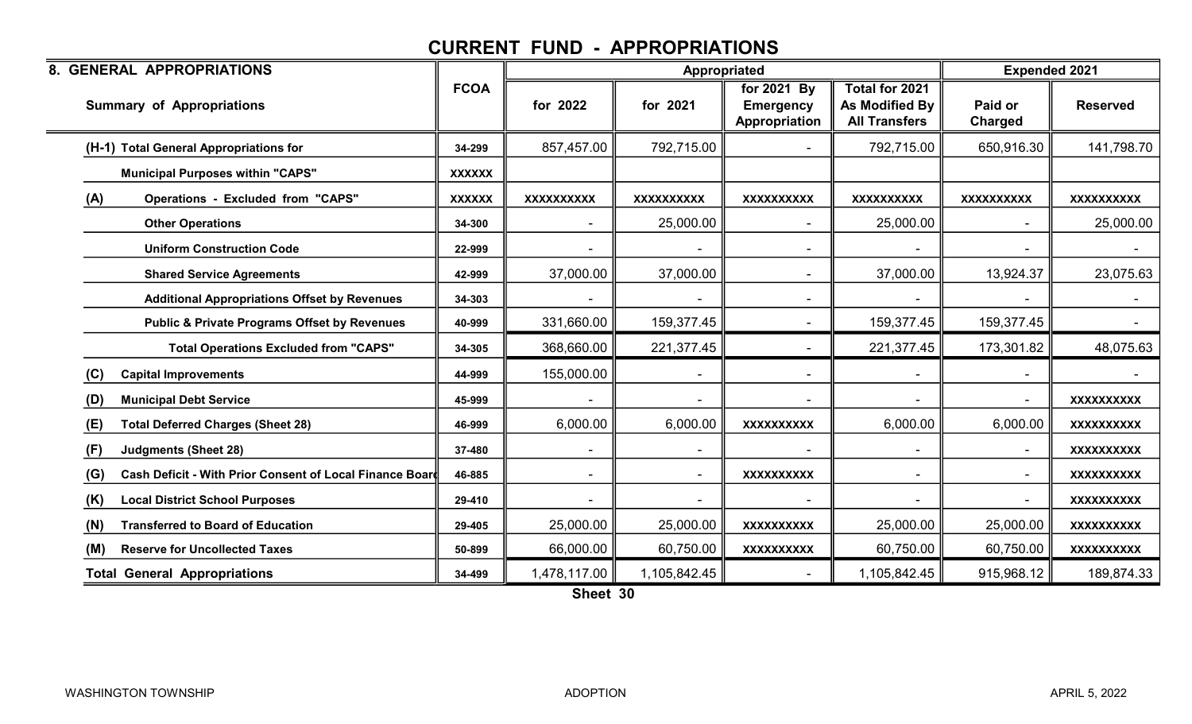| 8. GENERAL APPROPRIATIONS                                       |               |                   | Appropriated      |                                                  |                                                          | <b>Expended 2021</b>      |                   |
|-----------------------------------------------------------------|---------------|-------------------|-------------------|--------------------------------------------------|----------------------------------------------------------|---------------------------|-------------------|
| <b>Summary of Appropriations</b>                                | <b>FCOA</b>   | for 2022          | for 2021          | for 2021 By<br><b>Emergency</b><br>Appropriation | Total for 2021<br>As Modified By<br><b>All Transfers</b> | Paid or<br><b>Charged</b> | <b>Reserved</b>   |
| (H-1) Total General Appropriations for                          | 34-299        | 857,457.00        | 792,715.00        |                                                  | 792,715.00                                               | 650,916.30                | 141,798.70        |
| <b>Municipal Purposes within "CAPS"</b>                         | <b>XXXXXX</b> |                   |                   |                                                  |                                                          |                           |                   |
| (A)<br><b>Operations - Excluded from "CAPS"</b>                 | <b>XXXXXX</b> | <b>XXXXXXXXXX</b> | <b>XXXXXXXXXX</b> | <b>XXXXXXXXXX</b>                                | <b>XXXXXXXXXX</b>                                        | <b>XXXXXXXXXX</b>         | <b>XXXXXXXXXX</b> |
| <b>Other Operations</b>                                         | 34-300        |                   | 25,000.00         |                                                  | 25,000.00                                                |                           | 25,000.00         |
| <b>Uniform Construction Code</b>                                | 22-999        |                   |                   |                                                  |                                                          |                           |                   |
| <b>Shared Service Agreements</b>                                | 42-999        | 37,000.00         | 37,000.00         | $\sim$                                           | 37,000.00                                                | 13,924.37                 | 23,075.63         |
| <b>Additional Appropriations Offset by Revenues</b>             | 34-303        |                   |                   |                                                  |                                                          |                           |                   |
| <b>Public &amp; Private Programs Offset by Revenues</b>         | 40-999        | 331,660.00        | 159,377.45        |                                                  | 159,377.45                                               | 159,377.45                |                   |
| <b>Total Operations Excluded from "CAPS"</b>                    | 34-305        | 368,660.00        | 221,377.45        |                                                  | 221,377.45                                               | 173,301.82                | 48,075.63         |
| (C)<br><b>Capital Improvements</b>                              | 44-999        | 155,000.00        |                   |                                                  |                                                          |                           |                   |
| <b>Municipal Debt Service</b><br>(D)                            | 45-999        |                   |                   |                                                  |                                                          |                           | <b>XXXXXXXXXX</b> |
| <b>Total Deferred Charges (Sheet 28)</b><br>(E)                 | 46-999        | 6,000.00          | 6,000.00          | <b>XXXXXXXXXX</b>                                | 6,000.00                                                 | 6,000.00                  | <b>XXXXXXXXXX</b> |
| <b>Judgments (Sheet 28)</b><br>(F)                              | 37-480        |                   |                   |                                                  |                                                          |                           | <b>XXXXXXXXXX</b> |
| Cash Deficit - With Prior Consent of Local Finance Board<br>(G) | 46-885        |                   | $\blacksquare$    | <b>XXXXXXXXXX</b>                                |                                                          | $\blacksquare$            | <b>XXXXXXXXXX</b> |
| (K)<br><b>Local District School Purposes</b>                    | 29-410        |                   | ۰                 |                                                  |                                                          |                           | <b>XXXXXXXXXX</b> |
| <b>Transferred to Board of Education</b><br>(N)                 | 29-405        | 25,000.00         | 25,000.00         | <b>XXXXXXXXXX</b>                                | 25,000.00                                                | 25,000.00                 | <b>XXXXXXXXXX</b> |
| <b>Reserve for Uncollected Taxes</b><br>(M)                     | 50-899        | 66,000.00         | 60,750.00         | <b>XXXXXXXXXX</b>                                | 60,750.00                                                | 60,750.00                 | <b>XXXXXXXXXX</b> |
| <b>Total General Appropriations</b>                             | 34-499        | 1,478,117.00      | 1,105,842.45      |                                                  | 1,105,842.45                                             | 915,968.12                | 189,874.33        |

Sheet 30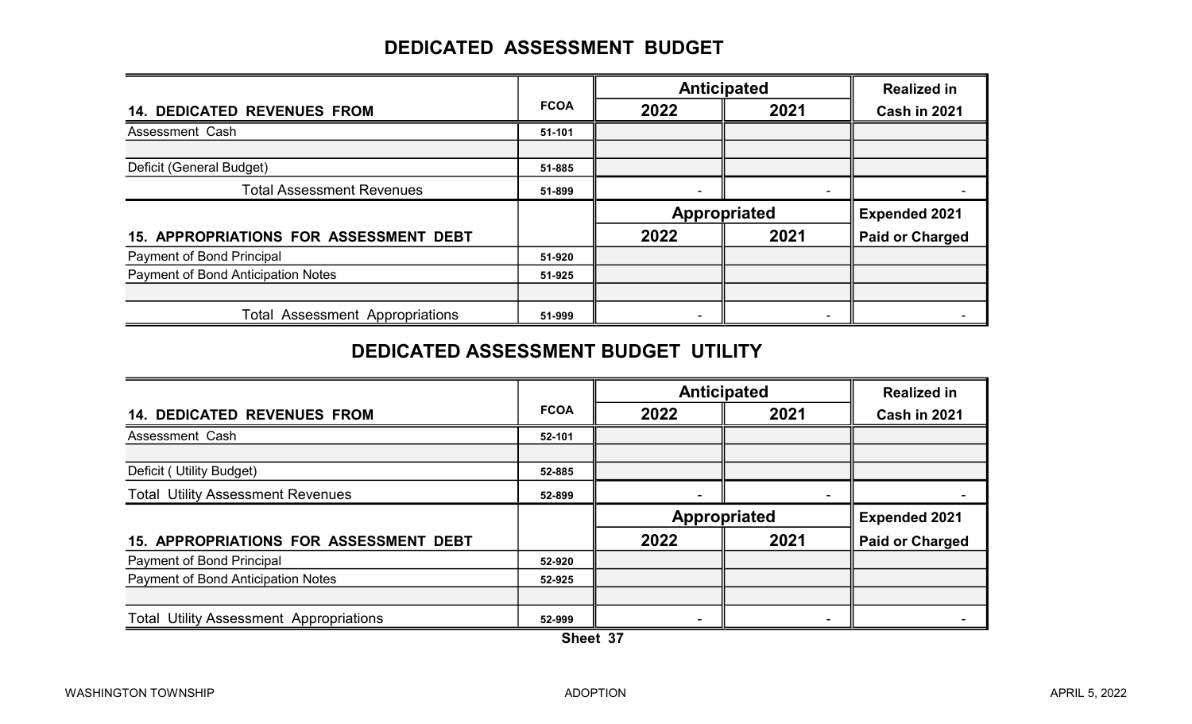### DEDICATED ASSESSMENT BUDGET

|                                        |             |      | <b>Anticipated</b> |                        |  |
|----------------------------------------|-------------|------|--------------------|------------------------|--|
| <b>14. DEDICATED REVENUES FROM</b>     | <b>FCOA</b> | 2022 | 2021               | Cash in 2021           |  |
| Assessment Cash                        | 51-101      |      |                    |                        |  |
|                                        |             |      |                    |                        |  |
| Deficit (General Budget)               | 51-885      |      |                    |                        |  |
| <b>Total Assessment Revenues</b>       | 51-899      |      |                    |                        |  |
|                                        |             |      | Appropriated       | <b>Expended 2021</b>   |  |
| 15. APPROPRIATIONS FOR ASSESSMENT DEBT |             | 2022 | 2021               | <b>Paid or Charged</b> |  |
| <b>Payment of Bond Principal</b>       | 51-920      |      |                    |                        |  |
| Payment of Bond Anticipation Notes     | 51-925      |      |                    |                        |  |
|                                        |             |      |                    |                        |  |
|                                        |             |      |                    |                        |  |

#### DEDICATED ASSESSMENT BUDGET UTILITY

|                                                |             |      | <b>Anticipated</b> | <b>Realized in</b>     |
|------------------------------------------------|-------------|------|--------------------|------------------------|
| <b>14. DEDICATED REVENUES FROM</b>             | <b>FCOA</b> | 2022 | 2021               | <b>Cash in 2021</b>    |
| Assessment Cash                                | 52-101      |      |                    |                        |
|                                                |             |      |                    |                        |
| Deficit (Utility Budget)                       | 52-885      |      |                    |                        |
| <b>Total Utility Assessment Revenues</b>       | 52-899      |      |                    |                        |
|                                                |             |      | Appropriated       | <b>Expended 2021</b>   |
| <b>15. APPROPRIATIONS FOR ASSESSMENT DEBT</b>  |             | 2022 | 2021               | <b>Paid or Charged</b> |
| <b>Payment of Bond Principal</b>               | 52-920      |      |                    |                        |
| Payment of Bond Anticipation Notes             | 52-925      |      |                    |                        |
|                                                |             |      |                    |                        |
| <b>Total Utility Assessment Appropriations</b> | 52-999      |      |                    |                        |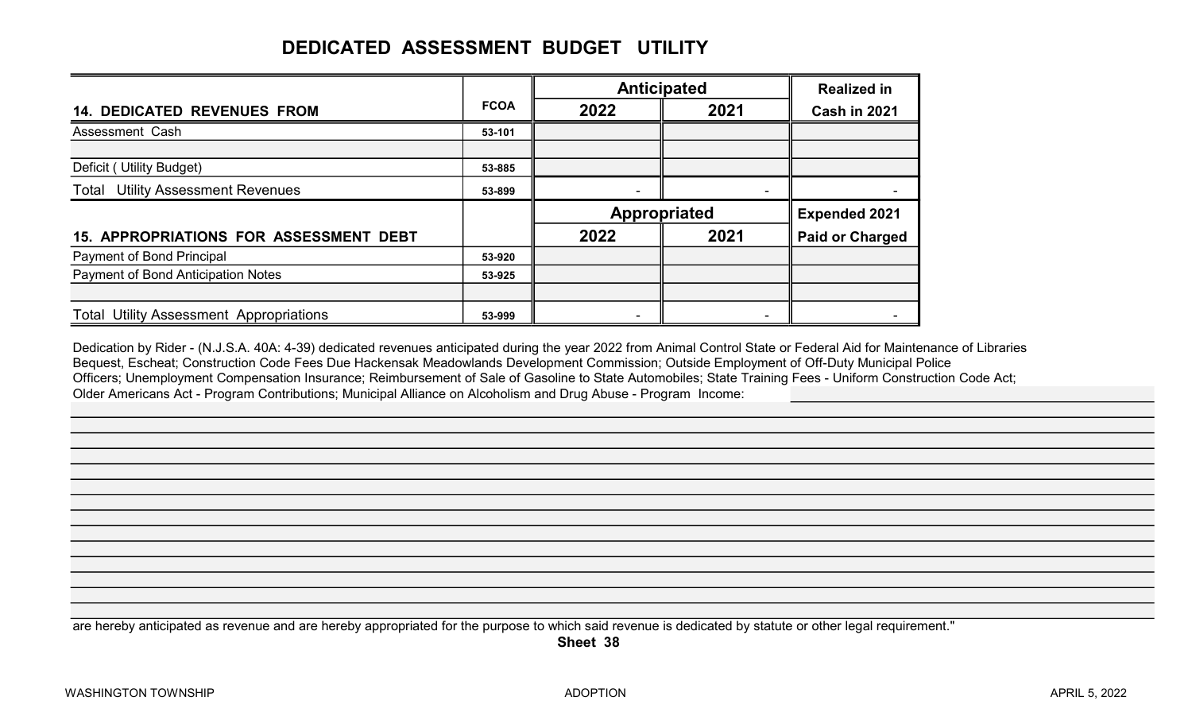# DEDICATED ASSESSMENT BUDGET UTILITY

|                                               |             |      | <b>Anticipated</b> | <b>Realized in</b>     |  |
|-----------------------------------------------|-------------|------|--------------------|------------------------|--|
| <b>14. DEDICATED REVENUES FROM</b>            | <b>FCOA</b> | 2022 | 2021               | <b>Cash in 2021</b>    |  |
| Assessment Cash                               | 53-101      |      |                    |                        |  |
|                                               |             |      |                    |                        |  |
| Deficit (Utility Budget)                      | 53-885      |      |                    |                        |  |
| <b>Total Utility Assessment Revenues</b>      | 53-899      |      | -                  |                        |  |
|                                               |             |      | Appropriated       | <b>Expended 2021</b>   |  |
| <b>15. APPROPRIATIONS FOR ASSESSMENT DEBT</b> |             | 2022 | 2021               | <b>Paid or Charged</b> |  |
|                                               |             |      |                    |                        |  |
| Payment of Bond Principal                     | 53-920      |      |                    |                        |  |
| Payment of Bond Anticipation Notes            | 53-925      |      |                    |                        |  |
|                                               |             |      |                    |                        |  |

Dedication by Rider - (N.J.S.A. 40A: 4-39) dedicated revenues anticipated during the year 2022 from Animal Control State or Federal Aid for Maintenance of Libraries Bequest, Escheat; Construction Code Fees Due Hackensak Meadowlands Development Commission; Outside Employment of Off-Duty Municipal Police Officers; Unemployment Compensation Insurance; Reimbursement of Sale of Gasoline to State Automobiles; State Training Fees - Uniform Construction Code Act; Older Americans Act - Program Contributions; Municipal Alliance on Alcoholism and Drug Abuse - Program Income:

are hereby anticipated as revenue and are hereby appropriated for the purpose to which said revenue is dedicated by statute or other legal requirement."

Sheet 38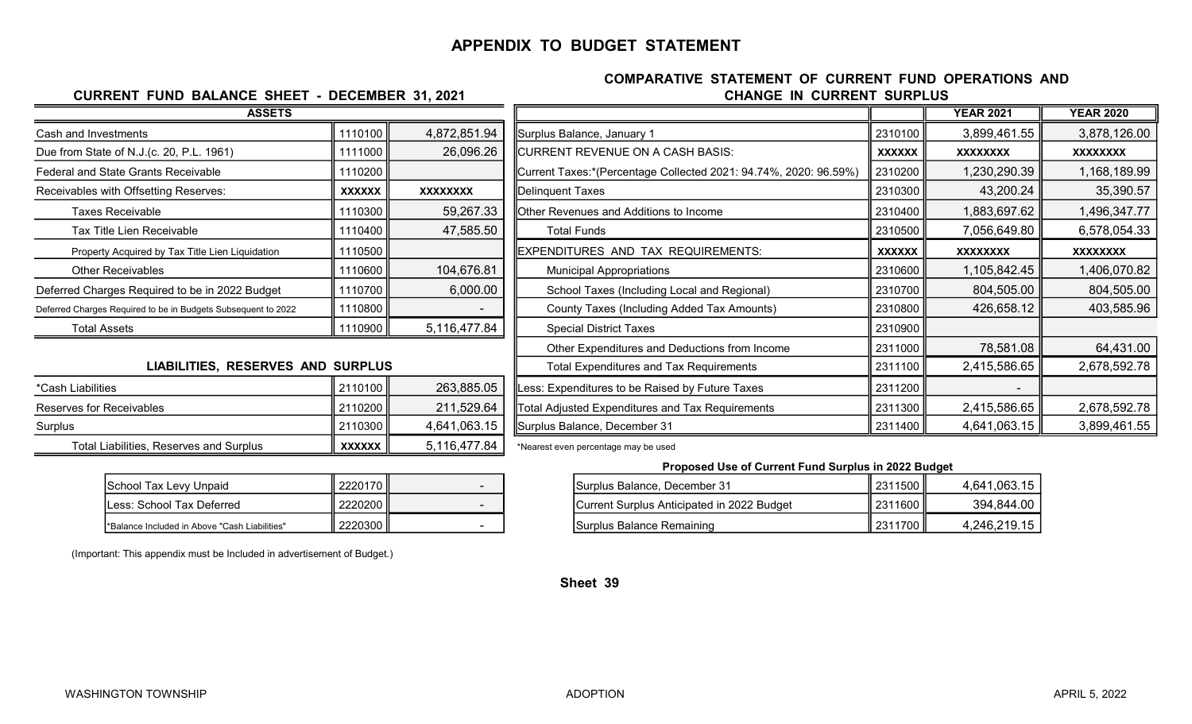#### APPENDIX TO BUDGET STATEMENT

#### CHANGE IN CURRENT SURPLUS COMPARATIVE STATEMENT OF CURRENT FUND OPERATIONS AND

| <b>CURRENT FUND BALANCE SHEET - DECEMBER 31, 2021</b>         |               | <b>CHANGE IN CURRENT SURP</b> |                                                                  |               |
|---------------------------------------------------------------|---------------|-------------------------------|------------------------------------------------------------------|---------------|
| <b>ASSETS</b>                                                 |               |                               |                                                                  |               |
| Cash and Investments                                          | 1110100       | 4,872,851.94                  | Surplus Balance, January 1                                       | 2310100       |
| Due from State of N.J.(c. 20, P.L. 1961)                      | 1111000       | 26,096.26                     | <b>CURRENT REVENUE ON A CASH BASIS:</b>                          | <b>XXXXXX</b> |
| <b>Federal and State Grants Receivable</b>                    | 1110200       |                               | Current Taxes:*(Percentage Collected 2021: 94.74%, 2020: 96.59%) | 2310200       |
| Receivables with Offsetting Reserves:                         | <b>XXXXXX</b> | <b>XXXXXXXX</b>               | <b>Delinquent Taxes</b>                                          | 2310300       |
| Taxes Receivable                                              | 1110300       | 59,267.33                     | Other Revenues and Additions to Income                           | 2310400       |
| Tax Title Lien Receivable                                     | 1110400       | 47,585.50                     | <b>Total Funds</b>                                               | 2310500       |
| Property Acquired by Tax Title Lien Liquidation               | 1110500       |                               | EXPENDITURES AND TAX REQUIREMENTS:                               | <b>XXXXXX</b> |
| <b>Other Receivables</b>                                      | 1110600       | 104,676.81                    | <b>Municipal Appropriations</b>                                  | 2310600       |
| Deferred Charges Required to be in 2022 Budget                | 1110700       | 6,000.00                      | School Taxes (Including Local and Regional)                      | 2310700       |
| Deferred Charges Required to be in Budgets Subsequent to 2022 | 1110800       |                               | County Taxes (Including Added Tax Amounts)                       | 2310800       |
| <b>Total Assets</b>                                           | 1110900       | 5,116,477.84                  | <b>Special District Taxes</b>                                    | 2310900       |
|                                                               |               |                               | Other Expenditures and Deductions from Income                    | 2311000       |
|                                                               |               |                               |                                                                  |               |

#### LIABILITIES, RESERVES AND SURPLUS

| *Cash Liabilities                              | II 2110100 II | 263,885.05   |
|------------------------------------------------|---------------|--------------|
| Reserves for Receivables                       | II 2110200 II | 211,529.64   |
| Surplus                                        | 2110300       | 4,641,063.15 |
| <b>Total Liabilities, Reserves and Surplus</b> | <b>XXXXXX</b> | 5,116,477.84 |

| School Tax Levy Unpaid                       | 2220170 ∥ |  |
|----------------------------------------------|-----------|--|
| ess: School Tax Deferred                     | 2220200   |  |
| Balance Included in Above "Cash Liabilities" | 2220300   |  |

(Important: This appendix must be Included in advertisement of Budget.)

| <b>ASSETS</b>                                                 |                           |                                        |                                                                  |               | <b>YEAR 2021</b> | <b>YEAR 2020</b> |
|---------------------------------------------------------------|---------------------------|----------------------------------------|------------------------------------------------------------------|---------------|------------------|------------------|
| Cash and Investments                                          | 1110100                   | 4,872,851.94                           | Surplus Balance, January 1                                       | 2310100       | 3,899,461.55     | 3,878,126.00     |
| Due from State of N.J.(c. 20, P.L. 1961)                      | 1111000                   | 26,096.26                              | CURRENT REVENUE ON A CASH BASIS:                                 | <b>XXXXXX</b> | <b>XXXXXXXX</b>  | <b>XXXXXXXX</b>  |
| <b>Federal and State Grants Receivable</b>                    | 1110200                   |                                        | Current Taxes:*(Percentage Collected 2021: 94.74%, 2020: 96.59%) | 2310200       | 1,230,290.39     | 1,168,189.99     |
| Receivables with Offsetting Reserves:                         | <b>XXXXXX</b>             | XXXXXXXX                               | Delinquent Taxes                                                 | 2310300       | 43,200.24        | 35,390.57        |
| Taxes Receivable                                              | 1110300                   | 59,267.33                              | Other Revenues and Additions to Income                           | 2310400       | 1,883,697.62     | 1,496,347.77     |
| Tax Title Lien Receivable                                     | 1110400                   | 47,585.50                              | <b>Total Funds</b>                                               | 2310500       | 7,056,649.80     | 6,578,054.33     |
| Property Acquired by Tax Title Lien Liquidation               | 1110500                   |                                        | EXPENDITURES AND TAX REQUIREMENTS:                               | <b>XXXXXX</b> | <b>XXXXXXXX</b>  | <b>XXXXXXXX</b>  |
| <b>Other Receivables</b>                                      | 1110600                   | 104,676.81                             | <b>Municipal Appropriations</b>                                  | 2310600       | 1,105,842.45     | 1,406,070.82     |
| Deferred Charges Required to be in 2022 Budget                | 1110700                   | 6,000.00                               | School Taxes (Including Local and Regional)                      | 2310700       | 804,505.00       | 804,505.00       |
| Deferred Charges Required to be in Budgets Subsequent to 2022 | 1110800                   |                                        | County Taxes (Including Added Tax Amounts)                       | 2310800       | 426,658.12       | 403,585.96       |
| <b>Total Assets</b>                                           | 1110900                   | 5,116,477.84                           | <b>Special District Taxes</b>                                    | 2310900       |                  |                  |
|                                                               |                           |                                        | Other Expenditures and Deductions from Income                    | 2311000       | 78,581.08        | 64,431.00        |
| <b>LIABILITIES, RESERVES AND SURPLUS</b>                      |                           |                                        | <b>Total Expenditures and Tax Requirements</b>                   | 2311100       | 2,415,586.65     | 2,678,592.78     |
| *Cash Liabilities                                             | 2110100                   | 263,885.05                             | Less: Expenditures to be Raised by Future Taxes                  | 2311200       |                  |                  |
| Reserves for Receivables                                      | 2110200                   | 211,529.64                             | Total Adjusted Expenditures and Tax Requirements                 | 2311300       | 2,415,586.65     | 2,678,592.78     |
| Surplus                                                       | 2110300                   | 4,641,063.15                           | Surplus Balance, December 31                                     | 2311400       | 4,641,063.15     | 3,899,461.55     |
|                                                               | <b>A CA CA CA CA CA C</b> | $F$ $A$ $A$ $C$ $A$ $\neg$ $T$ $C$ $A$ |                                                                  |               |                  |                  |

\*Nearest even percentage may be used

#### Proposed Use of Current Fund Surplus in 2022 Budget

| School Tax Levy Unpaid                        | 2220170 |  | Surplus Balance, December 31               | ! 2311500 | 4,641,063.15 |
|-----------------------------------------------|---------|--|--------------------------------------------|-----------|--------------|
| Less: School Tax Deferred                     | 2220200 |  | Current Surplus Anticipated in 2022 Budget | 2311600   | 394,844.00   |
| *Balance Included in Above "Cash Liabilities" | 2220300 |  | ISurplus Balance Remaining                 | 2311700   | 4,246,219.15 |

Sheet 39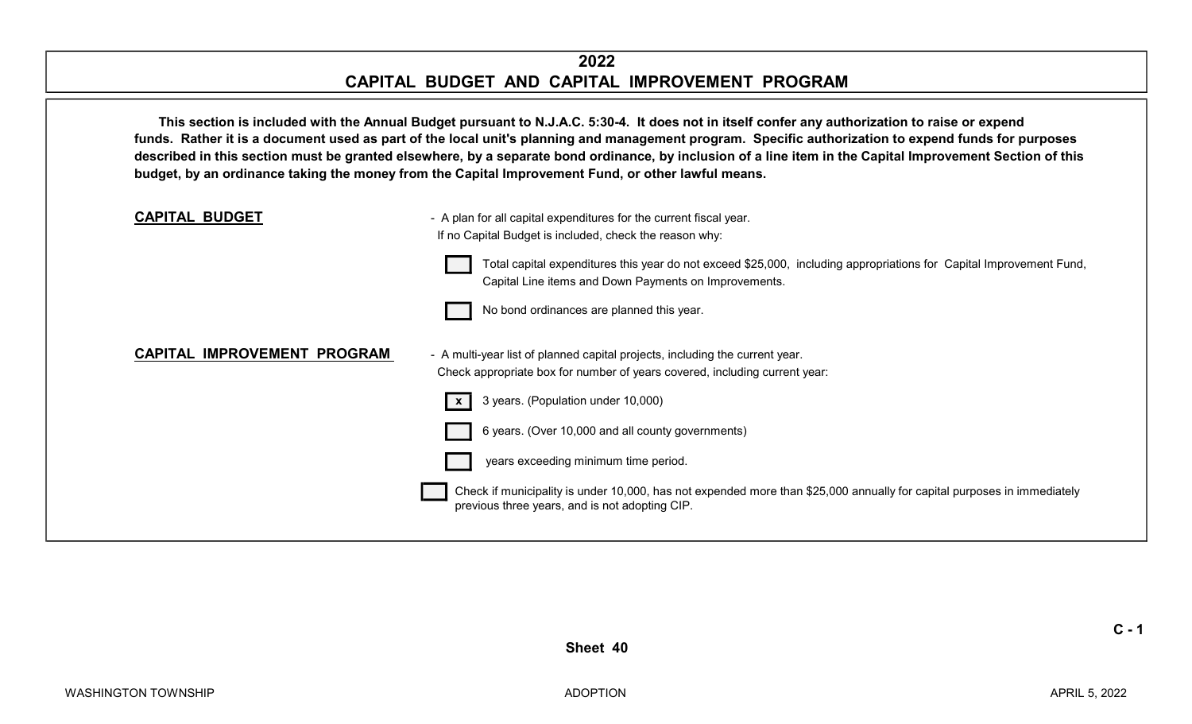#### 2022 CAPITAL BUDGET AND CAPITAL IMPROVEMENT PROGRAM

This section is included with the Annual Budget pursuant to N.J.A.C. 5:30-4. It does not in itself confer any authorization to raise or expend funds. Rather it is a document used as part of the local unit's planning and management program. Specific authorization to expend funds for purposes described in this section must be granted elsewhere, by a separate bond ordinance, by inclusion of a line item in the Capital Improvement Section of this budget, by an ordinance taking the money from the Capital Improvement Fund, or other lawful means.



 $C - 1$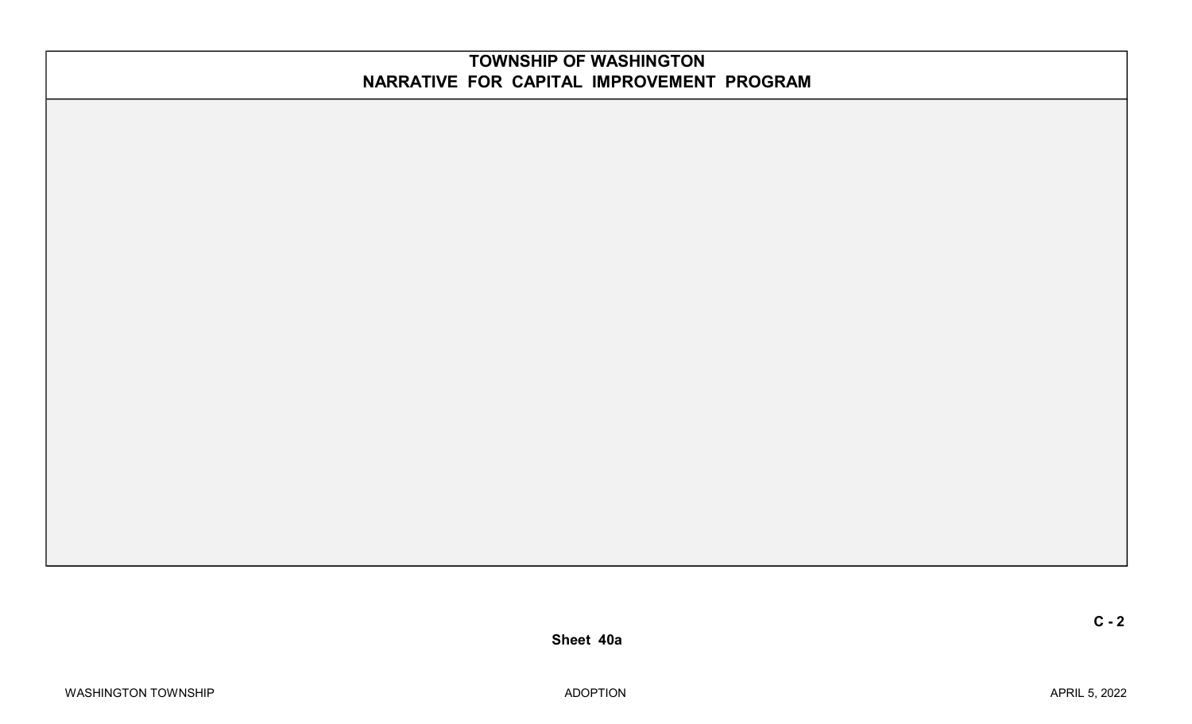#### TOWNSHIP OF WASHINGTON NARRATIVE FOR CAPITAL IMPROVEMENT PROGRAM

Sheet 40a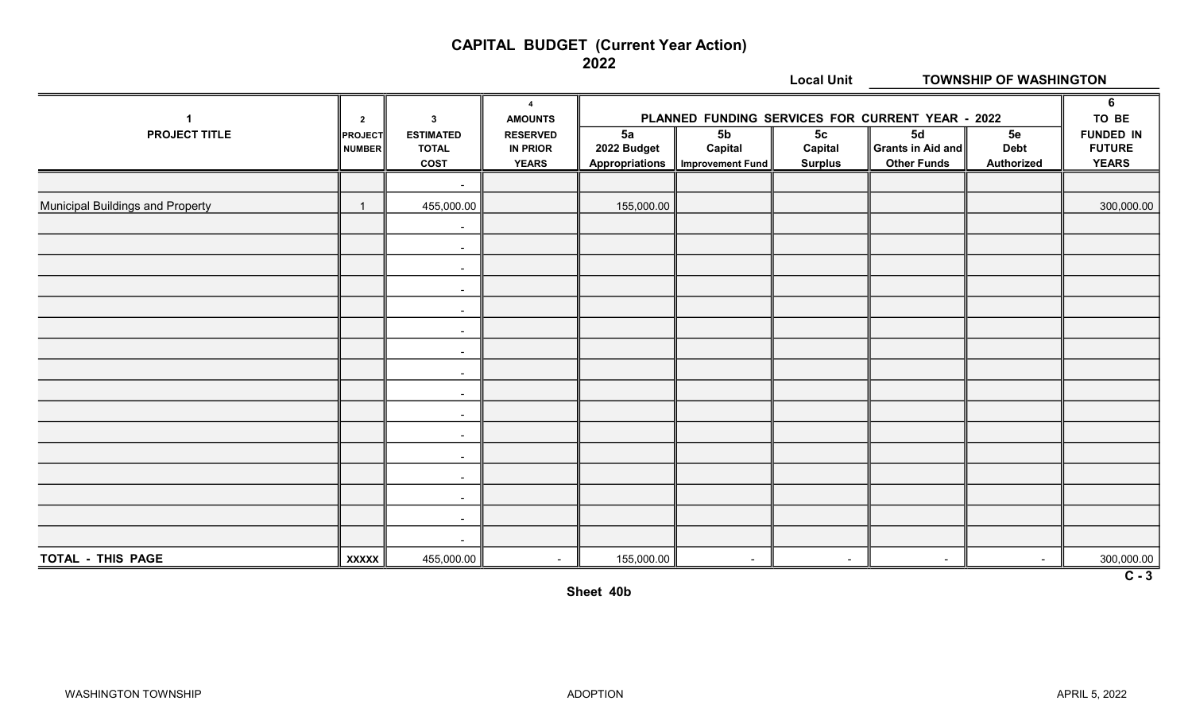#### CAPITAL BUDGET (Current Year Action)

2022

|                                         |                                     |                                                                 |                                                                                        |                                            |                                               | <b>Local Unit</b>                           | <b>TOWNSHIP OF WASHINGTON</b>                                                                                         |                                 |                                                                 |  |
|-----------------------------------------|-------------------------------------|-----------------------------------------------------------------|----------------------------------------------------------------------------------------|--------------------------------------------|-----------------------------------------------|---------------------------------------------|-----------------------------------------------------------------------------------------------------------------------|---------------------------------|-----------------------------------------------------------------|--|
| $\mathbf 1$<br><b>PROJECT TITLE</b>     | $\overline{2}$<br>PROJECT<br>NUMBER | $\mathbf{3}$<br><b>ESTIMATED</b><br><b>TOTAL</b><br><b>COST</b> | $\overline{4}$<br><b>AMOUNTS</b><br><b>RESERVED</b><br><b>IN PRIOR</b><br><b>YEARS</b> | 5a<br>2022 Budget<br><b>Appropriations</b> | 5 <sub>b</sub><br>Capital<br>Improvement Fund | 5 <sub>c</sub><br>Capital<br><b>Surplus</b> | PLANNED FUNDING SERVICES FOR CURRENT YEAR - 2022<br>$\overline{5d}$<br><b>Grants in Aid and</b><br><b>Other Funds</b> | 5e<br><b>Debt</b><br>Authorized | 6<br>TO BE<br><b>FUNDED IN</b><br><b>FUTURE</b><br><b>YEARS</b> |  |
|                                         |                                     | $\blacksquare$                                                  |                                                                                        |                                            |                                               |                                             |                                                                                                                       |                                 |                                                                 |  |
| <b>Municipal Buildings and Property</b> |                                     | 455,000.00                                                      |                                                                                        | 155,000.00                                 |                                               |                                             |                                                                                                                       |                                 | 300,000.00                                                      |  |
|                                         |                                     | $\blacksquare$                                                  |                                                                                        |                                            |                                               |                                             |                                                                                                                       |                                 |                                                                 |  |
|                                         |                                     | $\blacksquare$                                                  |                                                                                        |                                            |                                               |                                             |                                                                                                                       |                                 |                                                                 |  |
|                                         |                                     | $\sim$                                                          |                                                                                        |                                            |                                               |                                             |                                                                                                                       |                                 |                                                                 |  |
|                                         |                                     | $\sim$                                                          |                                                                                        |                                            |                                               |                                             |                                                                                                                       |                                 |                                                                 |  |
|                                         |                                     | $\sim$                                                          |                                                                                        |                                            |                                               |                                             |                                                                                                                       |                                 |                                                                 |  |
|                                         |                                     | $\overline{a}$                                                  |                                                                                        |                                            |                                               |                                             |                                                                                                                       |                                 |                                                                 |  |
|                                         |                                     | $\sim$                                                          |                                                                                        |                                            |                                               |                                             |                                                                                                                       |                                 |                                                                 |  |
|                                         |                                     | $\sim$                                                          |                                                                                        |                                            |                                               |                                             |                                                                                                                       |                                 |                                                                 |  |
|                                         |                                     | $\sim$                                                          |                                                                                        |                                            |                                               |                                             |                                                                                                                       |                                 |                                                                 |  |
|                                         |                                     | $\sim$                                                          |                                                                                        |                                            |                                               |                                             |                                                                                                                       |                                 |                                                                 |  |
|                                         |                                     | $\sim$                                                          |                                                                                        |                                            |                                               |                                             |                                                                                                                       |                                 |                                                                 |  |
|                                         |                                     | $\sim$                                                          |                                                                                        |                                            |                                               |                                             |                                                                                                                       |                                 |                                                                 |  |
|                                         |                                     | $\sim$                                                          |                                                                                        |                                            |                                               |                                             |                                                                                                                       |                                 |                                                                 |  |
|                                         |                                     | $\sim$                                                          |                                                                                        |                                            |                                               |                                             |                                                                                                                       |                                 |                                                                 |  |
|                                         |                                     | $\sim$                                                          |                                                                                        |                                            |                                               |                                             |                                                                                                                       |                                 |                                                                 |  |
|                                         |                                     | $\sim$                                                          |                                                                                        |                                            |                                               |                                             |                                                                                                                       |                                 |                                                                 |  |
| TOTAL - THIS PAGE                       | <b>XXXXX</b>                        | 455,000.00                                                      | $\overline{\phantom{a}}$                                                               | 155,000.00                                 | $\sim$                                        | $\sim$                                      | $\sim$                                                                                                                | $\sim$                          | 300,000.00                                                      |  |
|                                         |                                     |                                                                 |                                                                                        |                                            |                                               |                                             |                                                                                                                       |                                 | $\overline{C-3}$                                                |  |

Sheet 40b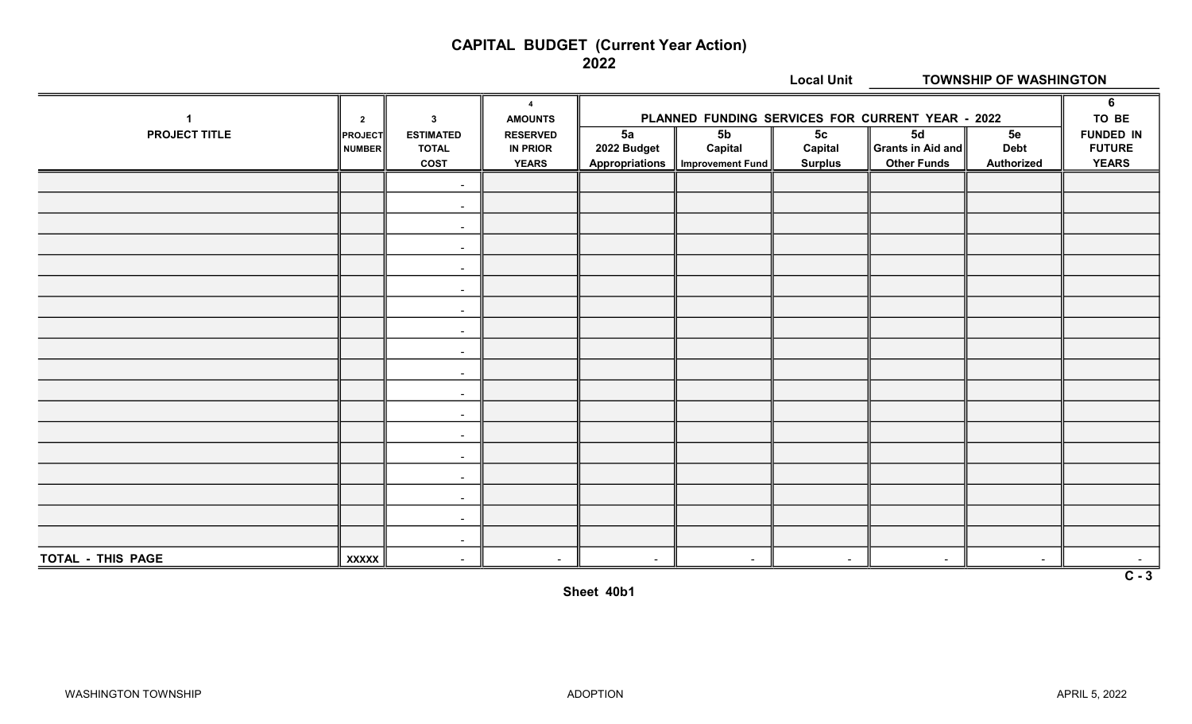#### CAPITAL BUDGET (Current Year Action)

2022

|                      |                |                          |                                  |                          |                         | <b>Local Unit</b> | <b>TOWNSHIP OF WASHINGTON</b>                    |                   |                  |  |
|----------------------|----------------|--------------------------|----------------------------------|--------------------------|-------------------------|-------------------|--------------------------------------------------|-------------------|------------------|--|
| $\mathbf{1}$         | $\overline{2}$ | $\mathbf{3}$             | $\overline{4}$<br><b>AMOUNTS</b> |                          |                         |                   | PLANNED FUNDING SERVICES FOR CURRENT YEAR - 2022 |                   | 6<br>TO BE       |  |
| <b>PROJECT TITLE</b> | <b>PROJECT</b> | <b>ESTIMATED</b>         | <b>RESERVED</b>                  | 5a                       | 5 <sub>b</sub>          | 5 <sub>c</sub>    | 5d                                               | 5e                | <b>FUNDED IN</b> |  |
|                      | <b>NUMBER</b>  | <b>TOTAL</b>             | <b>IN PRIOR</b>                  | 2022 Budget              | Capital                 | Capital           | Grants in Aid and                                | <b>Debt</b>       | <b>FUTURE</b>    |  |
|                      |                | <b>COST</b>              | <b>YEARS</b>                     | <b>Appropriations</b>    | <b>Improvement Fund</b> | <b>Surplus</b>    | <b>Other Funds</b>                               | <b>Authorized</b> | <b>YEARS</b>     |  |
|                      |                | $\blacksquare$           |                                  |                          |                         |                   |                                                  |                   |                  |  |
|                      |                | $\sim$                   |                                  |                          |                         |                   |                                                  |                   |                  |  |
|                      |                | $\blacksquare$           |                                  |                          |                         |                   |                                                  |                   |                  |  |
|                      |                | $\blacksquare$           |                                  |                          |                         |                   |                                                  |                   |                  |  |
|                      |                | $\blacksquare$           |                                  |                          |                         |                   |                                                  |                   |                  |  |
|                      |                | $\sim$                   |                                  |                          |                         |                   |                                                  |                   |                  |  |
|                      |                | $\blacksquare$           |                                  |                          |                         |                   |                                                  |                   |                  |  |
|                      |                | $\sim$                   |                                  |                          |                         |                   |                                                  |                   |                  |  |
|                      |                | $\sim$                   |                                  |                          |                         |                   |                                                  |                   |                  |  |
|                      |                | $\sim$                   |                                  |                          |                         |                   |                                                  |                   |                  |  |
|                      |                | $\sim$                   |                                  |                          |                         |                   |                                                  |                   |                  |  |
|                      |                | $\sim$                   |                                  |                          |                         |                   |                                                  |                   |                  |  |
|                      |                | $\sim$                   |                                  |                          |                         |                   |                                                  |                   |                  |  |
|                      |                | $\blacksquare$           |                                  |                          |                         |                   |                                                  |                   |                  |  |
|                      |                | $\sim$                   |                                  |                          |                         |                   |                                                  |                   |                  |  |
|                      |                | $\sim$                   |                                  |                          |                         |                   |                                                  |                   |                  |  |
|                      |                | $\overline{\phantom{a}}$ |                                  |                          |                         |                   |                                                  |                   |                  |  |
|                      |                | $\blacksquare$           |                                  |                          |                         |                   |                                                  |                   |                  |  |
| TOTAL - THIS PAGE    | <b>XXXXX</b>   | $\sim$                   | $\overline{\phantom{a}}$         | $\overline{\phantom{0}}$ | $\sim$                  | $\sim$            | $\sim$                                           | $\sim$            |                  |  |
|                      |                |                          |                                  |                          |                         |                   |                                                  |                   | $\overline{C-3}$ |  |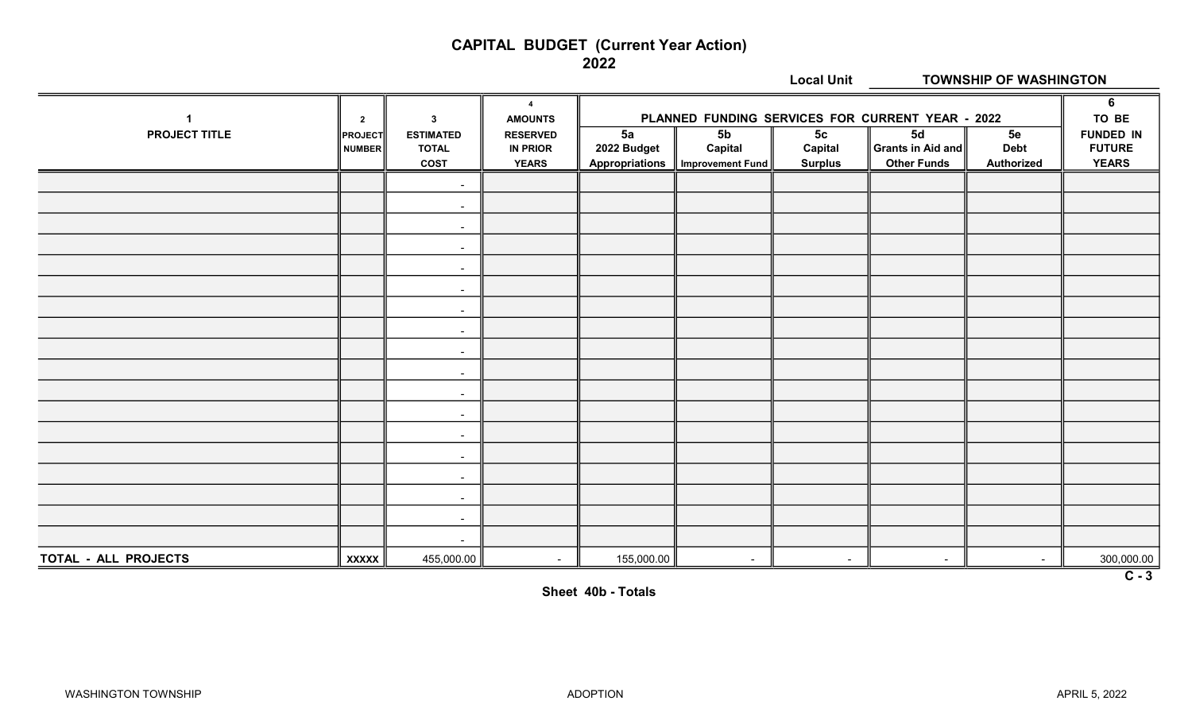#### CAPITAL BUDGET (Current Year Action)

2022

|                      |                |                          |                                  | <b>Local Unit</b><br><b>TOWNSHIP OF WASHINGTON</b> |                         |                |                                                  |                   |                  |
|----------------------|----------------|--------------------------|----------------------------------|----------------------------------------------------|-------------------------|----------------|--------------------------------------------------|-------------------|------------------|
| $\mathbf{1}$         | $\overline{2}$ | $\mathbf{3}$             | $\overline{4}$<br><b>AMOUNTS</b> |                                                    |                         |                | PLANNED FUNDING SERVICES FOR CURRENT YEAR - 2022 |                   | 6<br>TO BE       |
| <b>PROJECT TITLE</b> | <b>PROJECT</b> | <b>ESTIMATED</b>         | <b>RESERVED</b>                  | 5a                                                 | 5 <sub>b</sub>          | 5 <sub>c</sub> | 5d                                               | 5e                | <b>FUNDED IN</b> |
|                      | <b>NUMBER</b>  | <b>TOTAL</b>             | <b>IN PRIOR</b>                  | 2022 Budget                                        | Capital                 | Capital        | Grants in Aid and                                | <b>Debt</b>       | <b>FUTURE</b>    |
|                      |                | <b>COST</b>              | <b>YEARS</b>                     | <b>Appropriations</b>                              | <b>Improvement Fund</b> | <b>Surplus</b> | <b>Other Funds</b>                               | <b>Authorized</b> | <b>YEARS</b>     |
|                      |                | $\blacksquare$           |                                  |                                                    |                         |                |                                                  |                   |                  |
|                      |                | $\sim$                   |                                  |                                                    |                         |                |                                                  |                   |                  |
|                      |                | $\blacksquare$           |                                  |                                                    |                         |                |                                                  |                   |                  |
|                      |                | $\overline{\phantom{a}}$ |                                  |                                                    |                         |                |                                                  |                   |                  |
|                      |                | $\blacksquare$           |                                  |                                                    |                         |                |                                                  |                   |                  |
|                      |                | $\sim$                   |                                  |                                                    |                         |                |                                                  |                   |                  |
|                      |                | $\blacksquare$           |                                  |                                                    |                         |                |                                                  |                   |                  |
|                      |                | $\sim$                   |                                  |                                                    |                         |                |                                                  |                   |                  |
|                      |                | $\sim$                   |                                  |                                                    |                         |                |                                                  |                   |                  |
|                      |                | $\blacksquare$           |                                  |                                                    |                         |                |                                                  |                   |                  |
|                      |                | $\sim$                   |                                  |                                                    |                         |                |                                                  |                   |                  |
|                      |                | $\sim$                   |                                  |                                                    |                         |                |                                                  |                   |                  |
|                      |                | $\sim$                   |                                  |                                                    |                         |                |                                                  |                   |                  |
|                      |                | $\blacksquare$           |                                  |                                                    |                         |                |                                                  |                   |                  |
|                      |                | $\overline{\phantom{a}}$ |                                  |                                                    |                         |                |                                                  |                   |                  |
|                      |                | $\blacksquare$           |                                  |                                                    |                         |                |                                                  |                   |                  |
|                      |                | $\blacksquare$           |                                  |                                                    |                         |                |                                                  |                   |                  |
|                      |                | $\blacksquare$           |                                  |                                                    |                         |                |                                                  |                   |                  |
| TOTAL - ALL PROJECTS | <b>XXXXX</b>   | 455,000.00               | $\overline{\phantom{a}}$         | 155,000.00                                         | $\sim$                  | $\sim$         | $\sim$                                           | $\sim$            | 300,000.00       |
|                      |                |                          |                                  |                                                    |                         |                |                                                  |                   | $\overline{C-3}$ |

Sheet 40b - Totals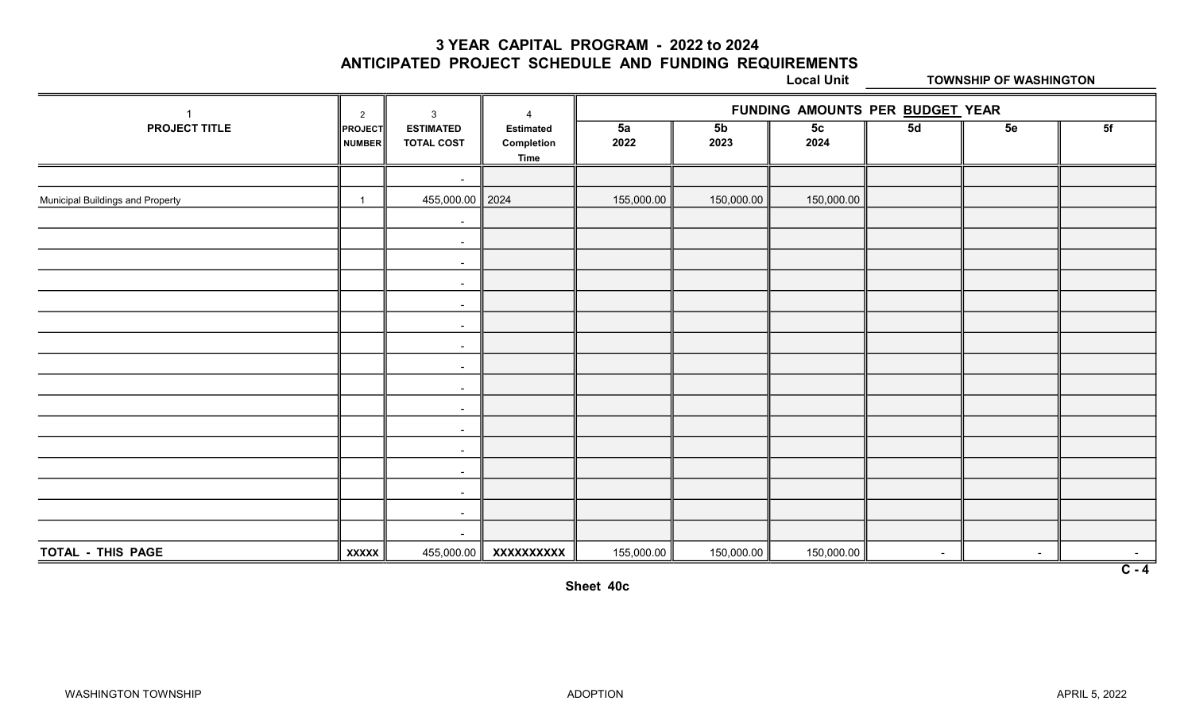3 YEAR CAPITAL PROGRAM - 2022 to 2024

ANTICIPATED PROJECT SCHEDULE AND FUNDING REQUIREMENTS

Local Unit TOWNSHIP OF WASHINGTON

|                                         | 2                        | 3                                     | Δ                                             |            | FUNDING AMOUNTS PER BUDGET YEAR |                        |        |                |                  |  |  |
|-----------------------------------------|--------------------------|---------------------------------------|-----------------------------------------------|------------|---------------------------------|------------------------|--------|----------------|------------------|--|--|
| PROJECT TITLE                           | <b>PROJECT</b><br>NUMBER | <b>ESTIMATED</b><br><b>TOTAL COST</b> | <b>Estimated</b><br>Completion<br><b>Time</b> | 5a<br>2022 | 5 <sub>b</sub><br>2023          | 5 <sub>c</sub><br>2024 | 5d     | 5e             | 5f               |  |  |
|                                         |                          | $\sim$                                |                                               |            |                                 |                        |        |                |                  |  |  |
| <b>Municipal Buildings and Property</b> |                          | 455,000.00 2024                       |                                               | 155,000.00 | 150,000.00                      | 150,000.00             |        |                |                  |  |  |
|                                         |                          | $\sim$                                |                                               |            |                                 |                        |        |                |                  |  |  |
|                                         |                          | $\sim$                                |                                               |            |                                 |                        |        |                |                  |  |  |
|                                         |                          | $\sim$                                |                                               |            |                                 |                        |        |                |                  |  |  |
|                                         |                          | $\sim$                                |                                               |            |                                 |                        |        |                |                  |  |  |
|                                         |                          | $\sim$                                |                                               |            |                                 |                        |        |                |                  |  |  |
|                                         |                          | $\sim$                                |                                               |            |                                 |                        |        |                |                  |  |  |
|                                         |                          | $\sim$                                |                                               |            |                                 |                        |        |                |                  |  |  |
|                                         |                          | $\sim$                                |                                               |            |                                 |                        |        |                |                  |  |  |
|                                         |                          | $\sim$                                |                                               |            |                                 |                        |        |                |                  |  |  |
|                                         |                          | $\sim$                                |                                               |            |                                 |                        |        |                |                  |  |  |
|                                         |                          | $\sim$                                |                                               |            |                                 |                        |        |                |                  |  |  |
|                                         |                          | $\sim$                                |                                               |            |                                 |                        |        |                |                  |  |  |
|                                         |                          | $\sim$                                |                                               |            |                                 |                        |        |                |                  |  |  |
|                                         |                          | $\sim$                                |                                               |            |                                 |                        |        |                |                  |  |  |
|                                         |                          | $\sim$                                |                                               |            |                                 |                        |        |                |                  |  |  |
|                                         |                          | $\sim$                                |                                               |            |                                 |                        |        |                |                  |  |  |
| TOTAL - THIS PAGE                       | <b>XXXXX</b>             | 455,000.00                            | XXXXXXXXXX                                    | 155,000.00 | 150,000.00                      | 150,000.00             | $\sim$ | $\blacksquare$ |                  |  |  |
|                                         |                          |                                       |                                               |            |                                 |                        |        |                | $\overline{C-4}$ |  |  |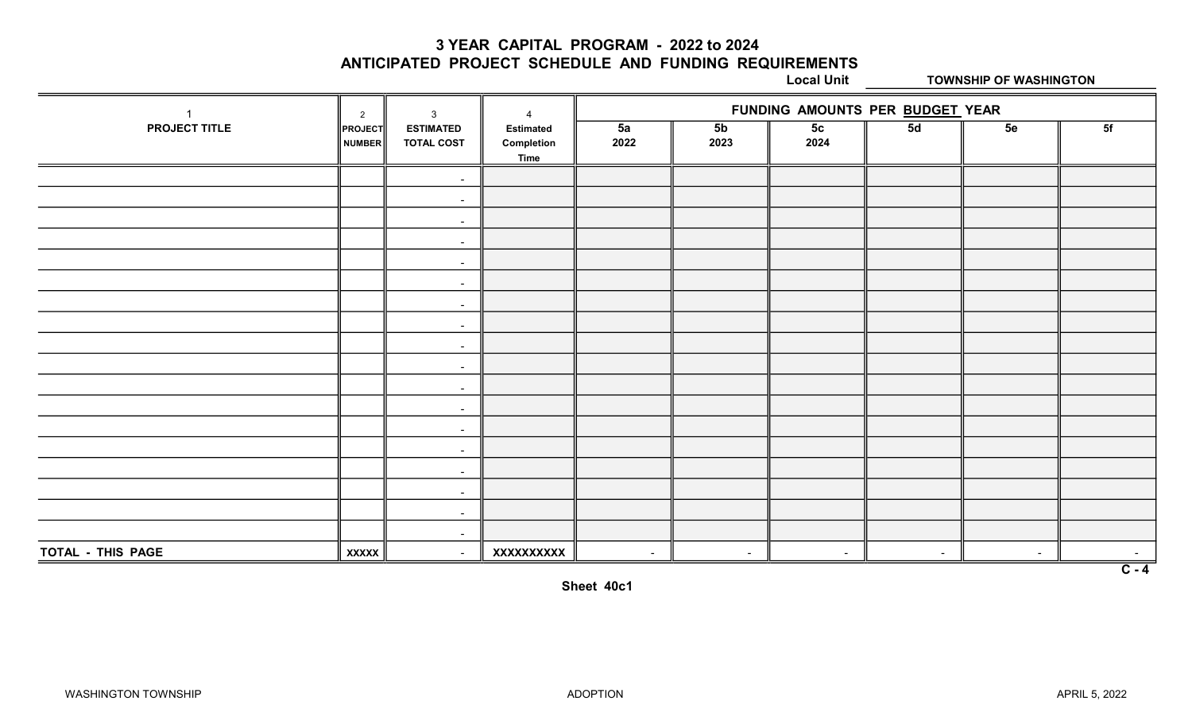3 YEAR CAPITAL PROGRAM - 2022 to 2024

ANTICIPATED PROJECT SCHEDULE AND FUNDING REQUIREMENTS

Local Unit TOWNSHIP OF WASHINGTON

|                      | $\mathbf{3}$<br>$\overline{2}$ |                                       | $\overline{4}$                                | FUNDING AMOUNTS PER BUDGET YEAR |                          |                        |        |                |                  |  |
|----------------------|--------------------------------|---------------------------------------|-----------------------------------------------|---------------------------------|--------------------------|------------------------|--------|----------------|------------------|--|
| <b>PROJECT TITLE</b> | <b>PROJECT</b><br>NUMBER       | <b>ESTIMATED</b><br><b>TOTAL COST</b> | <b>Estimated</b><br>Completion<br><b>Time</b> | 5a<br>2022                      | 5 <sub>b</sub><br>2023   | 5 <sub>c</sub><br>2024 | 5d     | 5e             | 5f               |  |
|                      |                                | $\sim$                                |                                               |                                 |                          |                        |        |                |                  |  |
|                      |                                | $\sim$                                |                                               |                                 |                          |                        |        |                |                  |  |
|                      |                                | $\blacksquare$                        |                                               |                                 |                          |                        |        |                |                  |  |
|                      |                                | $\sim$                                |                                               |                                 |                          |                        |        |                |                  |  |
|                      |                                | $\sim$                                |                                               |                                 |                          |                        |        |                |                  |  |
|                      |                                | $\sim$                                |                                               |                                 |                          |                        |        |                |                  |  |
|                      |                                | $\sim$                                |                                               |                                 |                          |                        |        |                |                  |  |
|                      |                                | $\sim$                                |                                               |                                 |                          |                        |        |                |                  |  |
|                      |                                | $\sim$                                |                                               |                                 |                          |                        |        |                |                  |  |
|                      |                                | $\sim$                                |                                               |                                 |                          |                        |        |                |                  |  |
|                      |                                | $\sim$                                |                                               |                                 |                          |                        |        |                |                  |  |
|                      |                                | $\sim$                                |                                               |                                 |                          |                        |        |                |                  |  |
|                      |                                | $\sim$                                |                                               |                                 |                          |                        |        |                |                  |  |
|                      |                                | $\sim$                                |                                               |                                 |                          |                        |        |                |                  |  |
|                      |                                | $\sim$                                |                                               |                                 |                          |                        |        |                |                  |  |
|                      |                                | $\sim$                                |                                               |                                 |                          |                        |        |                |                  |  |
|                      |                                | $\sim$                                |                                               |                                 |                          |                        |        |                |                  |  |
|                      |                                | $\sim$                                |                                               |                                 |                          |                        |        |                |                  |  |
| TOTAL - THIS PAGE    | <b>XXXXX</b>                   | $\sim$                                | XXXXXXXXX                                     | $\sim$                          | $\overline{\phantom{a}}$ | $\sim$                 | $\sim$ | $\overline{a}$ |                  |  |
|                      |                                |                                       |                                               |                                 |                          |                        |        |                | $\overline{C-4}$ |  |

Sheet 40c1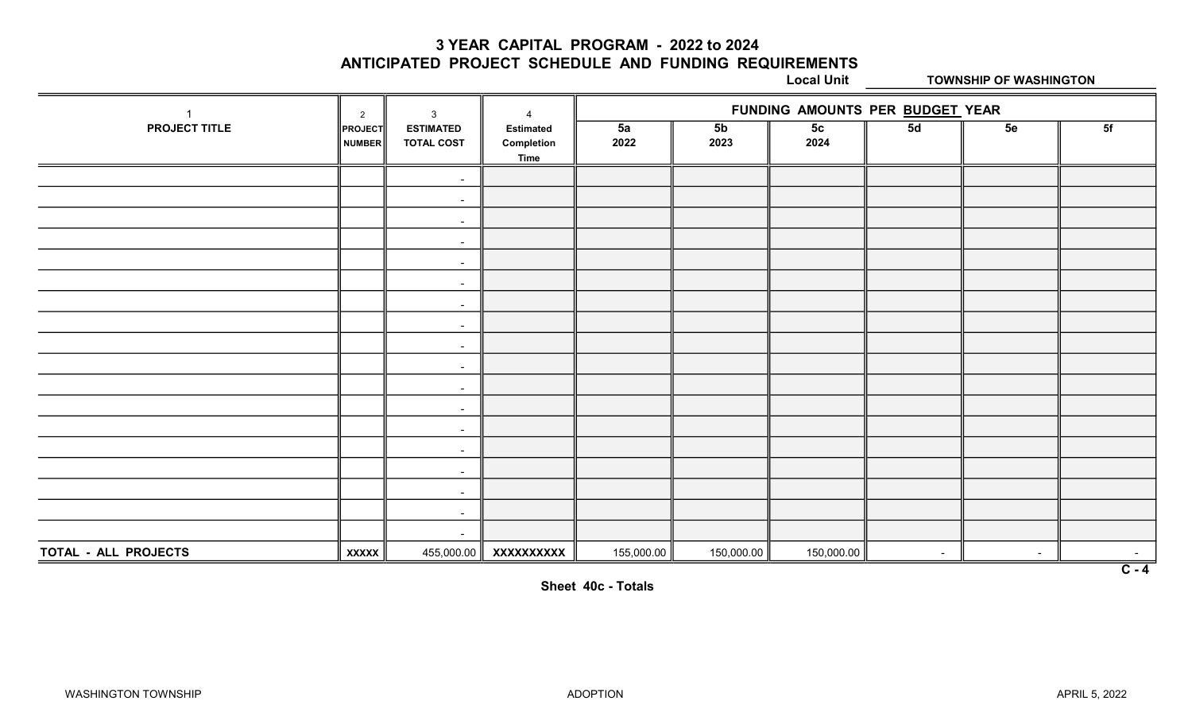3 YEAR CAPITAL PROGRAM - 2022 to 2024

ANTICIPATED PROJECT SCHEDULE AND FUNDING REQUIREMENTS

Local Unit TOWNSHIP OF WASHINGTON

|                      | 2                 | 3                                     | $\overline{\mathbf{A}}$                       |            |                        | FUNDING AMOUNTS PER BUDGET YEAR |        |    |         |
|----------------------|-------------------|---------------------------------------|-----------------------------------------------|------------|------------------------|---------------------------------|--------|----|---------|
| PROJECT TITLE        | PROJECT<br>NUMBER | <b>ESTIMATED</b><br><b>TOTAL COST</b> | <b>Estimated</b><br>Completion<br><b>Time</b> | 5a<br>2022 | 5 <sub>b</sub><br>2023 | 5 <sub>c</sub><br>2024          | 5d     | 5e | 5f      |
|                      |                   | $\sim$                                |                                               |            |                        |                                 |        |    |         |
|                      |                   | $\sim$                                |                                               |            |                        |                                 |        |    |         |
|                      |                   | $\sim$                                |                                               |            |                        |                                 |        |    |         |
|                      |                   | $\sim$                                |                                               |            |                        |                                 |        |    |         |
|                      |                   | $\sim$                                |                                               |            |                        |                                 |        |    |         |
|                      |                   | $\sim$                                |                                               |            |                        |                                 |        |    |         |
|                      |                   | $\blacksquare$                        |                                               |            |                        |                                 |        |    |         |
|                      |                   | $\sim$                                |                                               |            |                        |                                 |        |    |         |
|                      |                   | $\sim$                                |                                               |            |                        |                                 |        |    |         |
|                      |                   | $\sim$                                |                                               |            |                        |                                 |        |    |         |
|                      |                   | $\blacksquare$                        |                                               |            |                        |                                 |        |    |         |
|                      |                   | $\sim$                                |                                               |            |                        |                                 |        |    |         |
|                      |                   | $\sim$                                |                                               |            |                        |                                 |        |    |         |
|                      |                   | $\blacksquare$                        |                                               |            |                        |                                 |        |    |         |
|                      |                   | $\sim$                                |                                               |            |                        |                                 |        |    |         |
|                      |                   | $\blacksquare$                        |                                               |            |                        |                                 |        |    |         |
|                      |                   | $\sim$                                |                                               |            |                        |                                 |        |    |         |
|                      |                   | $\sim$                                |                                               |            |                        |                                 |        |    |         |
| TOTAL - ALL PROJECTS | <b>XXXXX</b>      | 455,000.00                            | XXXXXXXXXX                                    | 155,000.00 | 150,000.00             | 150,000.00                      | $\sim$ |    | $\sim$  |
|                      |                   |                                       |                                               |            |                        |                                 |        |    | $C - 4$ |

Sheet 40c - Totals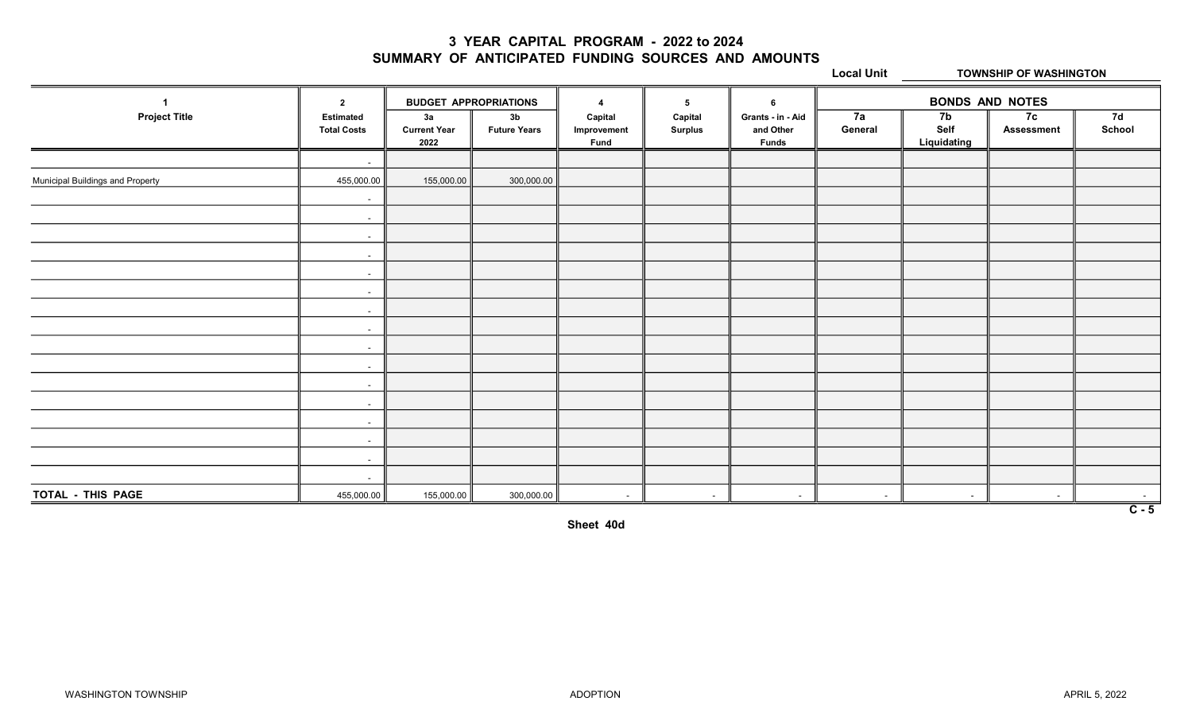#### 3 YEAR CAPITAL PROGRAM - 2022 to 2024 SUMMARY OF ANTICIPATED FUNDING SOURCES AND AMOUNTS

Local Unit TOWNSHIP OF WASHINGTON

|                                  | $\overline{2}$                         |                                   | <b>BUDGET APPROPRIATIONS</b>          | $\boldsymbol{4}$                      | 5                         | 6                                              |                          | <b>BONDS AND NOTES</b>                |                         |                            |  |
|----------------------------------|----------------------------------------|-----------------------------------|---------------------------------------|---------------------------------------|---------------------------|------------------------------------------------|--------------------------|---------------------------------------|-------------------------|----------------------------|--|
| <b>Project Title</b>             | <b>Estimated</b><br><b>Total Costs</b> | 3a<br><b>Current Year</b><br>2022 | 3 <sub>b</sub><br><b>Future Years</b> | Capital<br>Improvement<br><b>Fund</b> | Capital<br><b>Surplus</b> | Grants - in - Aid<br>and Other<br><b>Funds</b> | 7a<br>General            | 7 <sub>b</sub><br>Self<br>Liquidating | 7c<br><b>Assessment</b> | 7d<br>School               |  |
|                                  | $\sim$                                 |                                   |                                       |                                       |                           |                                                |                          |                                       |                         |                            |  |
| Municipal Buildings and Property | 455,000.00                             | 155,000.00                        | 300,000.00                            |                                       |                           |                                                |                          |                                       |                         |                            |  |
|                                  | $\sim$                                 |                                   |                                       |                                       |                           |                                                |                          |                                       |                         |                            |  |
|                                  | $\sim$ $-$                             |                                   |                                       |                                       |                           |                                                |                          |                                       |                         |                            |  |
|                                  | $\sim$                                 |                                   |                                       |                                       |                           |                                                |                          |                                       |                         |                            |  |
|                                  | $\sim$                                 |                                   |                                       |                                       |                           |                                                |                          |                                       |                         |                            |  |
|                                  | $\sim$                                 |                                   |                                       |                                       |                           |                                                |                          |                                       |                         |                            |  |
|                                  | $\sim$                                 |                                   |                                       |                                       |                           |                                                |                          |                                       |                         |                            |  |
|                                  | $\sim$                                 |                                   |                                       |                                       |                           |                                                |                          |                                       |                         |                            |  |
|                                  | $\sim$                                 |                                   |                                       |                                       |                           |                                                |                          |                                       |                         |                            |  |
|                                  | $\sim$                                 |                                   |                                       |                                       |                           |                                                |                          |                                       |                         |                            |  |
|                                  | $\sim$                                 |                                   |                                       |                                       |                           |                                                |                          |                                       |                         |                            |  |
|                                  | $\sim$                                 |                                   |                                       |                                       |                           |                                                |                          |                                       |                         |                            |  |
|                                  | $\sim$                                 |                                   |                                       |                                       |                           |                                                |                          |                                       |                         |                            |  |
|                                  | $\sim$                                 |                                   |                                       |                                       |                           |                                                |                          |                                       |                         |                            |  |
|                                  | $\sim$                                 |                                   |                                       |                                       |                           |                                                |                          |                                       |                         |                            |  |
|                                  | $\sim$                                 |                                   |                                       |                                       |                           |                                                |                          |                                       |                         |                            |  |
|                                  | $\sim$                                 |                                   |                                       |                                       |                           |                                                |                          |                                       |                         |                            |  |
| TOTAL - THIS PAGE                | 455,000.00                             | 155,000.00                        | 300,000.00                            | $\sim$                                | $\sim$                    | $\overline{\phantom{a}}$                       | $\overline{\phantom{a}}$ | $\sim$                                | $\sim$                  | $\sim$<br>$\overline{C-5}$ |  |

Sheet 40d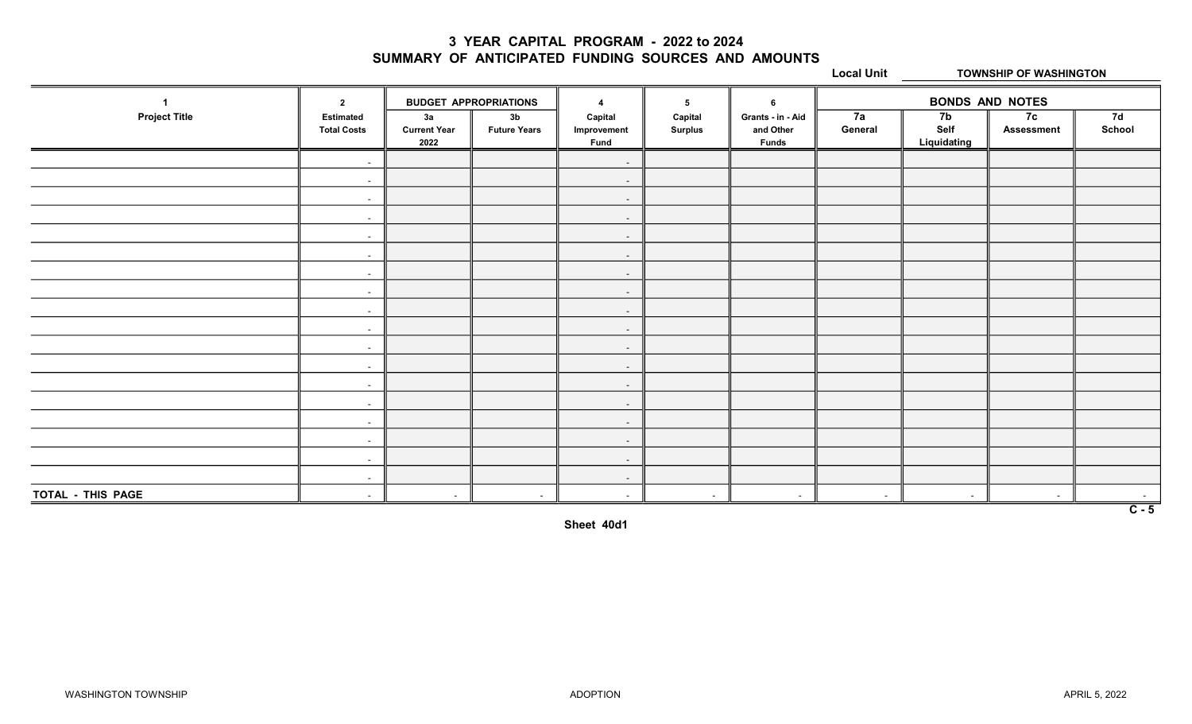#### 3 YEAR CAPITAL PROGRAM - 2022 to 2024 SUMMARY OF ANTICIPATED FUNDING SOURCES AND AMOUNTS

Local Unit TOWNSHIP OF WASHINGTON

|                      | $\overline{2}$                         | <b>BUDGET APPROPRIATIONS</b>      |                                       | $\overline{\phantom{a}}$              | 5                         | -6                                             | <b>BONDS AND NOTES</b> |                           |                         |                  |
|----------------------|----------------------------------------|-----------------------------------|---------------------------------------|---------------------------------------|---------------------------|------------------------------------------------|------------------------|---------------------------|-------------------------|------------------|
| <b>Project Title</b> | <b>Estimated</b><br><b>Total Costs</b> | 3a<br><b>Current Year</b><br>2022 | 3 <sub>b</sub><br><b>Future Years</b> | Capital<br>Improvement<br><b>Fund</b> | Capital<br><b>Surplus</b> | Grants - in - Aid<br>and Other<br><b>Funds</b> | 7a<br>General          | 7b<br>Self<br>Liquidating | 7c<br><b>Assessment</b> | 7d<br>School     |
|                      | $\sim$                                 |                                   |                                       | $\sim$                                |                           |                                                |                        |                           |                         |                  |
|                      | $\sim$                                 |                                   |                                       | $\sim$                                |                           |                                                |                        |                           |                         |                  |
|                      | $\sim$                                 |                                   |                                       | $\sim$                                |                           |                                                |                        |                           |                         |                  |
|                      | $\sim$                                 |                                   |                                       | $\sim$                                |                           |                                                |                        |                           |                         |                  |
|                      | $\sim$                                 |                                   |                                       | $\sim$                                |                           |                                                |                        |                           |                         |                  |
|                      | $\sim$                                 |                                   |                                       | $\sim$                                |                           |                                                |                        |                           |                         |                  |
|                      | $\sim$                                 |                                   |                                       | $\sim$                                |                           |                                                |                        |                           |                         |                  |
|                      | $\sim$                                 |                                   |                                       | $\sim$                                |                           |                                                |                        |                           |                         |                  |
|                      | $\sim$                                 |                                   |                                       | $\sim$                                |                           |                                                |                        |                           |                         |                  |
|                      | $\sim$                                 |                                   |                                       | $\sim$                                |                           |                                                |                        |                           |                         |                  |
|                      | $\sim$                                 |                                   |                                       | $\sim$                                |                           |                                                |                        |                           |                         |                  |
|                      | $\sim$                                 |                                   |                                       | $\sim$                                |                           |                                                |                        |                           |                         |                  |
|                      | $\sim$                                 |                                   |                                       | $\sim$                                |                           |                                                |                        |                           |                         |                  |
|                      | $\sim$                                 |                                   |                                       | $\sim$                                |                           |                                                |                        |                           |                         |                  |
|                      | $\sim$                                 |                                   |                                       | $\sim$                                |                           |                                                |                        |                           |                         |                  |
|                      | $\sim$                                 |                                   |                                       | $\sim$                                |                           |                                                |                        |                           |                         |                  |
|                      | $\sim$                                 |                                   |                                       | $\sim$                                |                           |                                                |                        |                           |                         |                  |
|                      | $\sim$                                 |                                   |                                       | $\sim$                                |                           |                                                |                        |                           |                         |                  |
| TOTAL - THIS PAGE    | $\sim$                                 |                                   | $\sim$                                | $\sim$                                | $\sim$                    | $\sim$                                         | $\sim$                 | $\sim$                    | $\sim$                  | $\sim$           |
|                      |                                        |                                   |                                       |                                       |                           |                                                |                        |                           |                         | $\overline{C-5}$ |

Sheet 40d1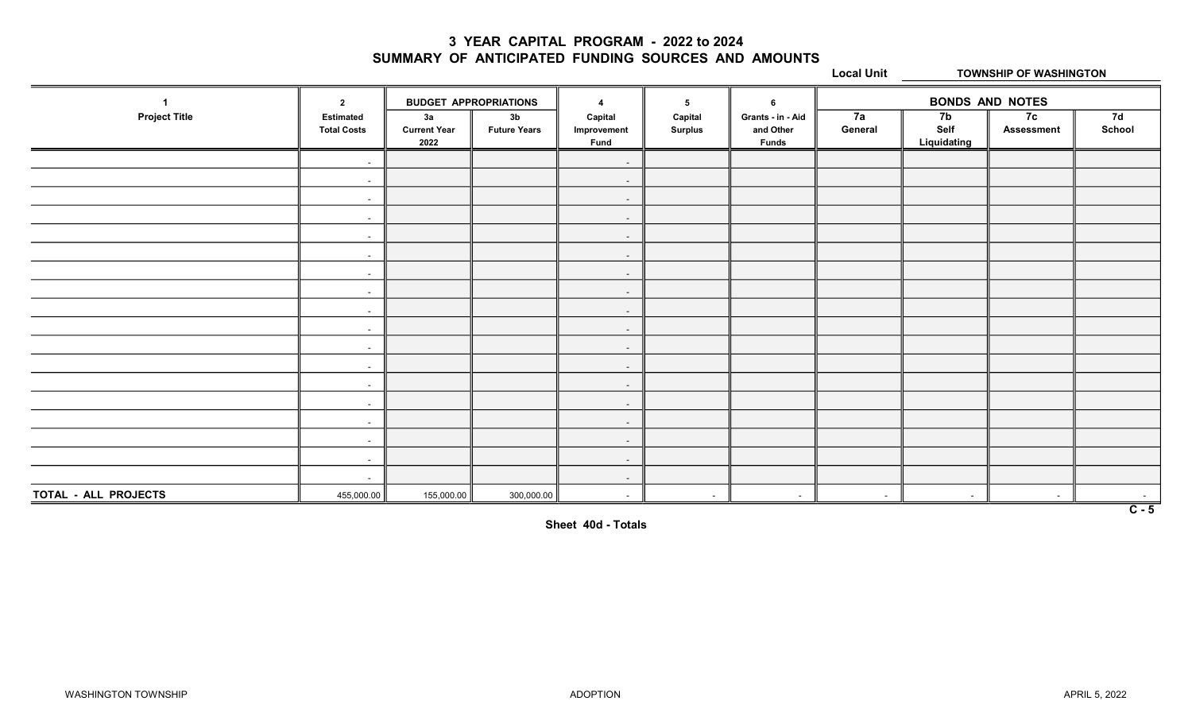#### 3 YEAR CAPITAL PROGRAM - 2022 to 2024 SUMMARY OF ANTICIPATED FUNDING SOURCES AND AMOUNTS

Local Unit TOWNSHIP OF WASHINGTON

|                      | $\overline{2}$                         | <b>BUDGET APPROPRIATIONS</b>      |                                       | $\boldsymbol{\Lambda}$                | 5                         | 6                                              | <b>BONDS AND NOTES</b> |                           |                         |                            |
|----------------------|----------------------------------------|-----------------------------------|---------------------------------------|---------------------------------------|---------------------------|------------------------------------------------|------------------------|---------------------------|-------------------------|----------------------------|
| <b>Project Title</b> | <b>Estimated</b><br><b>Total Costs</b> | 3a<br><b>Current Year</b><br>2022 | 3 <sub>b</sub><br><b>Future Years</b> | Capital<br>Improvement<br><b>Fund</b> | Capital<br><b>Surplus</b> | Grants - in - Aid<br>and Other<br><b>Funds</b> | 7a<br>General          | 7b<br>Self<br>Liquidating | 7c<br><b>Assessment</b> | 7d<br>School               |
|                      | $\sim$                                 |                                   |                                       | $\sim$                                |                           |                                                |                        |                           |                         |                            |
|                      | $\sim$                                 |                                   |                                       | $\sim$                                |                           |                                                |                        |                           |                         |                            |
|                      | $\sim$ $-$                             |                                   |                                       | $\sim$                                |                           |                                                |                        |                           |                         |                            |
|                      | $\sim$                                 |                                   |                                       | $\sim$                                |                           |                                                |                        |                           |                         |                            |
|                      | $\sim$                                 |                                   |                                       | $\sim$                                |                           |                                                |                        |                           |                         |                            |
|                      | $\sim$                                 |                                   |                                       | $\sim$                                |                           |                                                |                        |                           |                         |                            |
|                      | $\sim$                                 |                                   |                                       | $\sim$                                |                           |                                                |                        |                           |                         |                            |
|                      | $\sim$                                 |                                   |                                       | $\sim$                                |                           |                                                |                        |                           |                         |                            |
|                      | $\sim$                                 |                                   |                                       | $\sim$                                |                           |                                                |                        |                           |                         |                            |
|                      | $\sim$                                 |                                   |                                       | $\sim$                                |                           |                                                |                        |                           |                         |                            |
|                      | $\sim$                                 |                                   |                                       | $\overline{\phantom{a}}$              |                           |                                                |                        |                           |                         |                            |
|                      | $\sim$                                 |                                   |                                       | $\sim$                                |                           |                                                |                        |                           |                         |                            |
|                      | $\sim$                                 |                                   |                                       | $\sim$                                |                           |                                                |                        |                           |                         |                            |
|                      | $\sim$                                 |                                   |                                       | $\sim$                                |                           |                                                |                        |                           |                         |                            |
|                      | $\sim$                                 |                                   |                                       | $\sim$                                |                           |                                                |                        |                           |                         |                            |
|                      | $\sim$                                 |                                   |                                       | $\sim$                                |                           |                                                |                        |                           |                         |                            |
|                      | $\sim$                                 |                                   |                                       | $\sim$                                |                           |                                                |                        |                           |                         |                            |
|                      | $\sim$                                 |                                   |                                       | $\sim$                                |                           |                                                |                        |                           |                         |                            |
| TOTAL - ALL PROJECTS | 455,000.00                             | 155,000.00                        | 300,000.00                            | $\sim$                                | $\sim$                    | $\sim$                                         | $\sim$                 | $\sim$                    | $\sim$                  | $\sim$<br>$\overline{C-5}$ |

Sheet 40d - Totals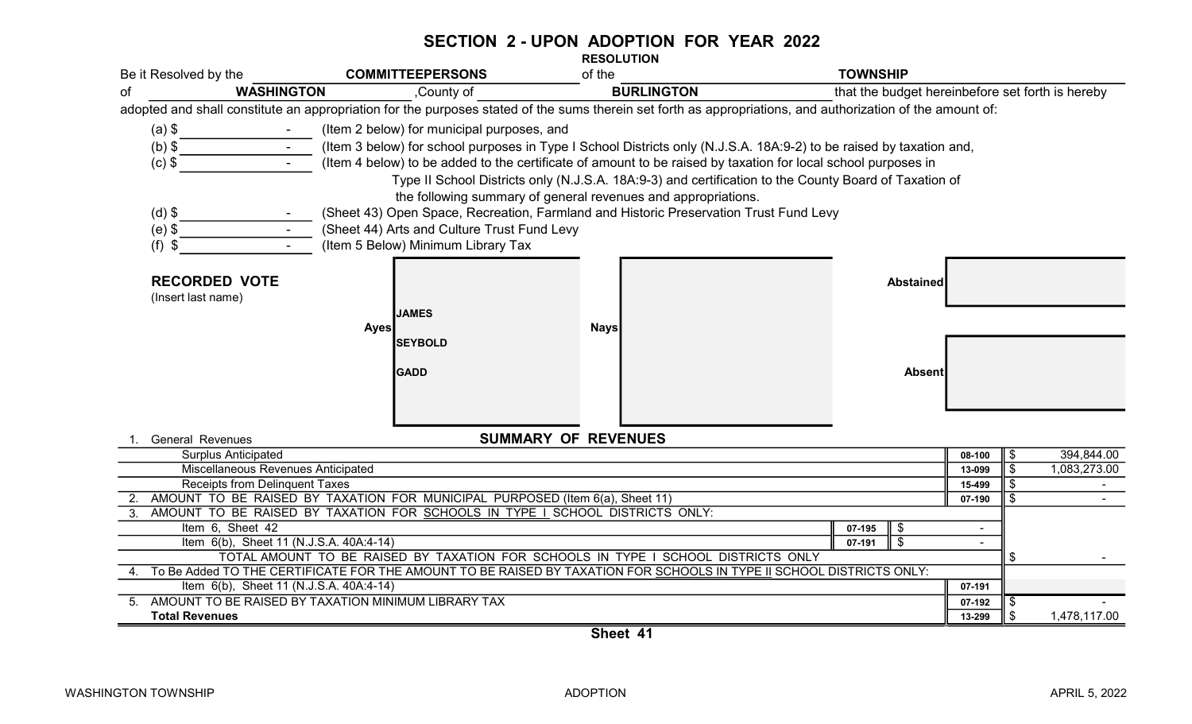#### SECTION 2 - UPON ADOPTION FOR YEAR 2022 RESOLUTION

| Be it Resolved by the                                                                                                                                              |                                                                                                                                                                                                                                      | <b>COMMITTEEPERSONS</b>                                                               | of the                                                        | <b>TOWNSHIP</b>                                                                                                                                            |        |                    |  |  |  |
|--------------------------------------------------------------------------------------------------------------------------------------------------------------------|--------------------------------------------------------------------------------------------------------------------------------------------------------------------------------------------------------------------------------------|---------------------------------------------------------------------------------------|---------------------------------------------------------------|------------------------------------------------------------------------------------------------------------------------------------------------------------|--------|--------------------|--|--|--|
| оf                                                                                                                                                                 | <b>WASHINGTON</b>                                                                                                                                                                                                                    | County of                                                                             | <b>BURLINGTON</b>                                             | that the budget hereinbefore set forth is hereby                                                                                                           |        |                    |  |  |  |
|                                                                                                                                                                    |                                                                                                                                                                                                                                      |                                                                                       |                                                               | adopted and shall constitute an appropriation for the purposes stated of the sums therein set forth as appropriations, and authorization of the amount of: |        |                    |  |  |  |
| $(a)$ \$                                                                                                                                                           |                                                                                                                                                                                                                                      | (Item 2 below) for municipal purposes, and                                            |                                                               |                                                                                                                                                            |        |                    |  |  |  |
| $(b)$ \$                                                                                                                                                           |                                                                                                                                                                                                                                      |                                                                                       |                                                               |                                                                                                                                                            |        |                    |  |  |  |
| $(c)$ \$                                                                                                                                                           | (Item 3 below) for school purposes in Type I School Districts only (N.J.S.A. 18A:9-2) to be raised by taxation and,<br>(Item 4 below) to be added to the certificate of amount to be raised by taxation for local school purposes in |                                                                                       |                                                               |                                                                                                                                                            |        |                    |  |  |  |
|                                                                                                                                                                    |                                                                                                                                                                                                                                      |                                                                                       |                                                               | Type II School Districts only (N.J.S.A. 18A:9-3) and certification to the County Board of Taxation of                                                      |        |                    |  |  |  |
|                                                                                                                                                                    |                                                                                                                                                                                                                                      |                                                                                       | the following summary of general revenues and appropriations. |                                                                                                                                                            |        |                    |  |  |  |
| $(d)$ \$                                                                                                                                                           |                                                                                                                                                                                                                                      | (Sheet 43) Open Space, Recreation, Farmland and Historic Preservation Trust Fund Levy |                                                               |                                                                                                                                                            |        |                    |  |  |  |
| $(e)$ \$                                                                                                                                                           |                                                                                                                                                                                                                                      | (Sheet 44) Arts and Culture Trust Fund Levy                                           |                                                               |                                                                                                                                                            |        |                    |  |  |  |
| $(f)$ \$                                                                                                                                                           |                                                                                                                                                                                                                                      | (Item 5 Below) Minimum Library Tax                                                    |                                                               |                                                                                                                                                            |        |                    |  |  |  |
|                                                                                                                                                                    |                                                                                                                                                                                                                                      |                                                                                       |                                                               |                                                                                                                                                            |        |                    |  |  |  |
|                                                                                                                                                                    |                                                                                                                                                                                                                                      |                                                                                       |                                                               |                                                                                                                                                            |        |                    |  |  |  |
| <b>RECORDED VOTE</b>                                                                                                                                               |                                                                                                                                                                                                                                      |                                                                                       |                                                               | <b>Abstained</b>                                                                                                                                           |        |                    |  |  |  |
| (Insert last name)                                                                                                                                                 |                                                                                                                                                                                                                                      |                                                                                       |                                                               |                                                                                                                                                            |        |                    |  |  |  |
|                                                                                                                                                                    |                                                                                                                                                                                                                                      | <b>JAMES</b>                                                                          |                                                               |                                                                                                                                                            |        |                    |  |  |  |
|                                                                                                                                                                    |                                                                                                                                                                                                                                      | <b>Ayes</b><br><b>SEYBOLD</b>                                                         | <b>Nays</b>                                                   |                                                                                                                                                            |        |                    |  |  |  |
|                                                                                                                                                                    |                                                                                                                                                                                                                                      |                                                                                       |                                                               |                                                                                                                                                            |        |                    |  |  |  |
|                                                                                                                                                                    |                                                                                                                                                                                                                                      | <b>GADD</b>                                                                           |                                                               | <b>Absent</b>                                                                                                                                              |        |                    |  |  |  |
|                                                                                                                                                                    |                                                                                                                                                                                                                                      |                                                                                       |                                                               |                                                                                                                                                            |        |                    |  |  |  |
|                                                                                                                                                                    |                                                                                                                                                                                                                                      |                                                                                       |                                                               |                                                                                                                                                            |        |                    |  |  |  |
|                                                                                                                                                                    |                                                                                                                                                                                                                                      |                                                                                       |                                                               |                                                                                                                                                            |        |                    |  |  |  |
| <b>SUMMARY OF REVENUES</b><br><b>General Revenues</b>                                                                                                              |                                                                                                                                                                                                                                      |                                                                                       |                                                               |                                                                                                                                                            |        |                    |  |  |  |
| <b>Surplus Anticipated</b>                                                                                                                                         |                                                                                                                                                                                                                                      |                                                                                       |                                                               |                                                                                                                                                            | 08-100 | 394,844.00<br>\$   |  |  |  |
| Miscellaneous Revenues Anticipated                                                                                                                                 | 13-099                                                                                                                                                                                                                               | $\mathfrak{F}$<br>1,083,273.00                                                        |                                                               |                                                                                                                                                            |        |                    |  |  |  |
| Receipts from Delinquent Taxes                                                                                                                                     | 15-499                                                                                                                                                                                                                               | \$                                                                                    |                                                               |                                                                                                                                                            |        |                    |  |  |  |
| 2. AMOUNT TO BE RAISED BY TAXATION FOR MUNICIPAL PURPOSED (Item 6(a), Sheet 11)<br>3. AMOUNT TO BE RAISED BY TAXATION FOR SCHOOLS IN TYPE I SCHOOL DISTRICTS ONLY: |                                                                                                                                                                                                                                      |                                                                                       |                                                               |                                                                                                                                                            |        | \$                 |  |  |  |
|                                                                                                                                                                    |                                                                                                                                                                                                                                      |                                                                                       |                                                               |                                                                                                                                                            |        |                    |  |  |  |
| Item 6, Sheet 42<br>\$<br>07-195<br>$\sqrt[6]{\frac{1}{2}}$<br>Item 6(b), Sheet 11 (N.J.S.A. 40A:4-14)<br>07-191                                                   |                                                                                                                                                                                                                                      |                                                                                       |                                                               |                                                                                                                                                            |        |                    |  |  |  |
| TOTAL AMOUNT TO BE RAISED BY TAXATION FOR SCHOOLS IN TYPE I SCHOOL DISTRICTS ONLY                                                                                  |                                                                                                                                                                                                                                      | \$                                                                                    |                                                               |                                                                                                                                                            |        |                    |  |  |  |
| To Be Added TO THE CERTIFICATE FOR THE AMOUNT TO BE RAISED BY TAXATION FOR SCHOOLS IN TYPE II SCHOOL DISTRICTS ONLY:                                               |                                                                                                                                                                                                                                      |                                                                                       |                                                               |                                                                                                                                                            |        |                    |  |  |  |
| Item 6(b), Sheet 11 (N.J.S.A. 40A:4-14)                                                                                                                            | 07-191                                                                                                                                                                                                                               |                                                                                       |                                                               |                                                                                                                                                            |        |                    |  |  |  |
| AMOUNT TO BE RAISED BY TAXATION MINIMUM LIBRARY TAX<br>5.                                                                                                          | 07-192                                                                                                                                                                                                                               | -\$                                                                                   |                                                               |                                                                                                                                                            |        |                    |  |  |  |
| <b>Total Revenues</b>                                                                                                                                              |                                                                                                                                                                                                                                      |                                                                                       |                                                               |                                                                                                                                                            | 13-299 | \$<br>1,478,117.00 |  |  |  |
|                                                                                                                                                                    |                                                                                                                                                                                                                                      |                                                                                       | $O$ <sub>h</sub> $A$ <sup>1</sup>                             |                                                                                                                                                            |        |                    |  |  |  |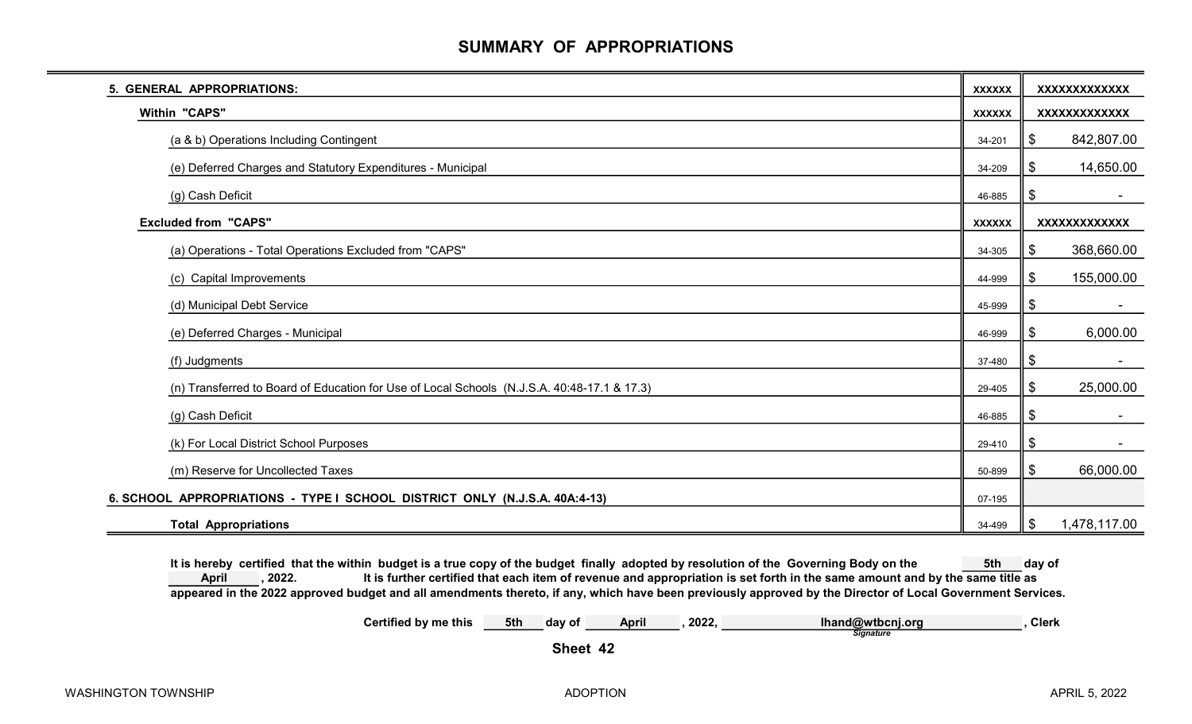# SUMMARY OF APPROPRIATIONS

| 5. GENERAL APPROPRIATIONS:                                                                  | <b>XXXXXX</b> | <b>XXXXXXXXXXXXX</b> |
|---------------------------------------------------------------------------------------------|---------------|----------------------|
| Within "CAPS"                                                                               | <b>XXXXXX</b> | XXXXXXXXXXXX         |
| (a & b) Operations Including Contingent                                                     | 34-201        | \$<br>842,807.00     |
| (e) Deferred Charges and Statutory Expenditures - Municipal                                 | 34-209        | 14,650.00<br>\$      |
| (g) Cash Deficit                                                                            | 46-885        | \$                   |
| <b>Excluded from "CAPS"</b>                                                                 | <b>XXXXXX</b> | <b>XXXXXXXXXXXXX</b> |
| (a) Operations - Total Operations Excluded from "CAPS"                                      | 34-305        | 368,660.00<br>\$     |
| (c) Capital Improvements                                                                    | 44-999        | 155,000.00<br>\$     |
| (d) Municipal Debt Service                                                                  | 45-999        | \$                   |
| (e) Deferred Charges - Municipal                                                            | 46-999        | 6,000.00<br>\$       |
| (f) Judgments                                                                               | 37-480        | \$                   |
| (n) Transferred to Board of Education for Use of Local Schools (N.J.S.A. 40:48-17.1 & 17.3) | 29-405        | 25,000.00<br>\$      |
| (g) Cash Deficit                                                                            | 46-885        | \$                   |
| (k) For Local District School Purposes                                                      | 29-410        | \$                   |
| (m) Reserve for Uncollected Taxes                                                           | 50-899        | 66,000.00<br>\$      |
| 6. SCHOOL APPROPRIATIONS - TYPE I SCHOOL DISTRICT ONLY (N.J.S.A. 40A:4-13)                  | 07-195        |                      |
| <b>Total Appropriations</b>                                                                 | 34-499        | 1,478,117.00<br>\$   |

It is hereby certified that the within budget is a true copy of the budget finally adopted by resolution of the Governing Body on the 5th day of , 2022. It is further certified that each item of revenue and appropriation is set forth in the same amount and by the same title as appeared in the 2022 approved budget and all amendments thereto, if any, which have been previously approved by the Director of Local Government Services. April

> Certified by me this 5th day of April , 2022, Ihand@wtbcnj.org , Clerk **Signature**

Sheet 42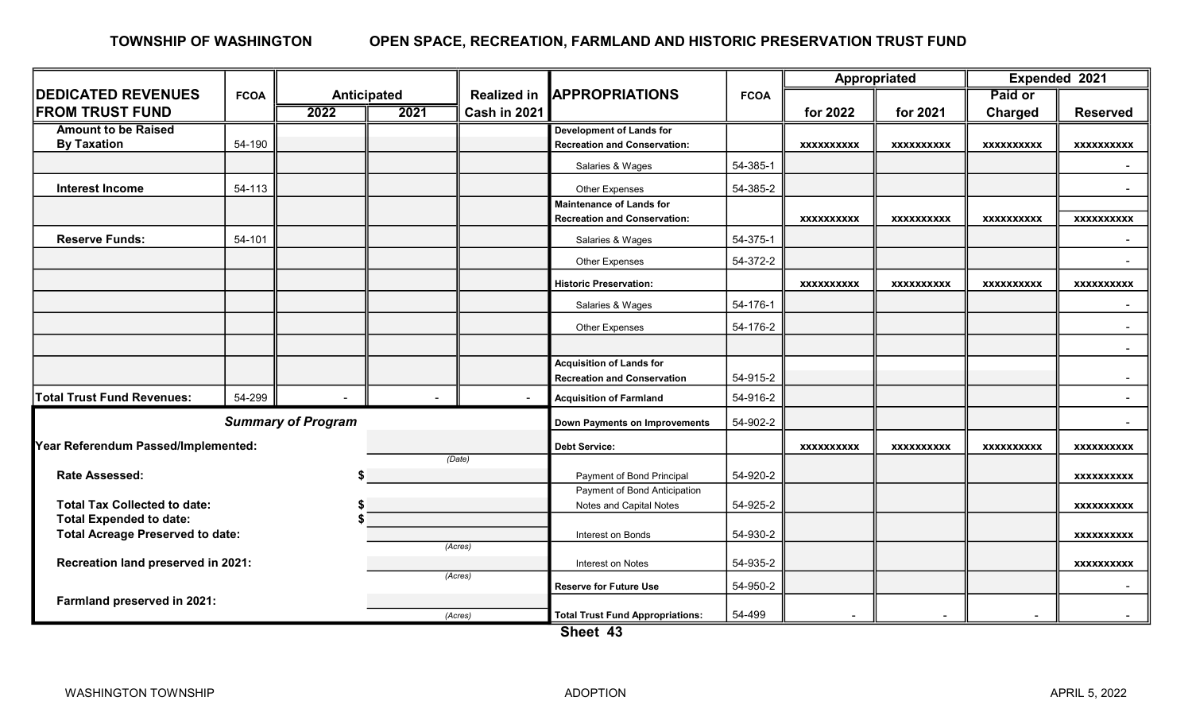#### OPEN SPACE, RECREATION, FARMLAND AND HISTORIC PRESERVATION TRUST FUND TOWNSHIP OF WASHINGTON

|                                                                           |             | Anticipated |                   | <b>Realized in</b>        |                                              |                   | Appropriated      |                   | Expended 2021     |                   |
|---------------------------------------------------------------------------|-------------|-------------|-------------------|---------------------------|----------------------------------------------|-------------------|-------------------|-------------------|-------------------|-------------------|
| <b>DEDICATED REVENUES</b>                                                 | <b>FCOA</b> |             |                   |                           | <b>JAPPROPRIATIONS</b>                       | <b>FCOA</b>       |                   |                   | Paid or           |                   |
| <b>FROM TRUST FUND</b>                                                    |             | 2022        | 2021              | Cash in 2021              |                                              |                   | for 2022          | for 2021          | <b>Charged</b>    | <b>Reserved</b>   |
| <b>Amount to be Raised</b>                                                |             |             |                   |                           | <b>Development of Lands for</b>              |                   |                   |                   |                   |                   |
| <b>By Taxation</b>                                                        | 54-190      |             |                   |                           | <b>Recreation and Conservation:</b>          |                   | <b>XXXXXXXXXX</b> | <b>XXXXXXXXXX</b> | <b>XXXXXXXXXX</b> | <b>XXXXXXXXXX</b> |
|                                                                           |             |             |                   |                           | Salaries & Wages                             | 54-385-1          |                   |                   |                   |                   |
| <b>Interest Income</b>                                                    | 54-113      |             |                   |                           | Other Expenses                               | 54-385-2          |                   |                   |                   |                   |
|                                                                           |             |             |                   |                           | <b>Maintenance of Lands for</b>              |                   |                   |                   |                   |                   |
|                                                                           |             |             |                   |                           | <b>Recreation and Conservation:</b>          |                   | <b>XXXXXXXXXX</b> | <b>XXXXXXXXXX</b> | <b>XXXXXXXXXX</b> | <b>XXXXXXXXXX</b> |
| <b>Reserve Funds:</b>                                                     | 54-101      |             |                   |                           | Salaries & Wages                             | 54-375-1          |                   |                   |                   |                   |
|                                                                           |             |             |                   |                           | Other Expenses                               | 54-372-2          |                   |                   |                   |                   |
|                                                                           |             |             |                   |                           | <b>Historic Preservation:</b>                |                   | <b>XXXXXXXXXX</b> | <b>XXXXXXXXXX</b> | <b>XXXXXXXXXX</b> | <b>XXXXXXXXXX</b> |
|                                                                           |             |             |                   |                           | Salaries & Wages                             | 54-176-1          |                   |                   |                   |                   |
|                                                                           |             |             |                   |                           | Other Expenses                               | 54-176-2          |                   |                   |                   | $\sim$            |
|                                                                           |             |             |                   |                           |                                              |                   |                   |                   |                   | $\sim$            |
|                                                                           |             |             |                   |                           | <b>Acquisition of Lands for</b>              |                   |                   |                   |                   |                   |
|                                                                           |             |             |                   |                           | <b>Recreation and Conservation</b>           | 54-915-2          |                   |                   |                   | $\sim$            |
| <b>Total Trust Fund Revenues:</b>                                         | 54-299      |             |                   | $\sim$                    | <b>Acquisition of Farmland</b>               | 54-916-2          |                   |                   |                   |                   |
| <b>Summary of Program</b>                                                 |             |             |                   |                           | <b>Down Payments on Improvements</b>         | 54-902-2          |                   |                   |                   | $\sim$            |
| Year Referendum Passed/Implemented:                                       |             |             |                   | <b>Debt Service:</b>      |                                              | <b>XXXXXXXXXX</b> | <b>XXXXXXXXXX</b> | <b>XXXXXXXXXX</b> | <b>XXXXXXXXXX</b> |                   |
|                                                                           |             |             |                   | (Date)                    |                                              |                   |                   |                   |                   |                   |
| <b>Rate Assessed:</b>                                                     |             |             |                   | Payment of Bond Principal | 54-920-2                                     |                   |                   |                   | <b>XXXXXXXXXX</b> |                   |
|                                                                           |             |             |                   |                           | Payment of Bond Anticipation                 |                   |                   |                   |                   |                   |
| <b>Total Tax Collected to date:</b>                                       |             |             |                   |                           | Notes and Capital Notes                      | 54-925-2          |                   |                   |                   | <b>XXXXXXXXXX</b> |
| <b>Total Expended to date:</b><br><b>Total Acreage Preserved to date:</b> |             |             |                   |                           | Interest on Bonds                            | 54-930-2          |                   |                   |                   |                   |
|                                                                           |             |             |                   | (Acres)                   |                                              |                   |                   |                   |                   | <b>XXXXXXXXXX</b> |
| Recreation land preserved in 2021:                                        |             |             | Interest on Notes | 54-935-2                  |                                              |                   |                   | <b>XXXXXXXXXX</b> |                   |                   |
|                                                                           |             |             |                   | (Acres)                   | <b>Reserve for Future Use</b>                | 54-950-2          |                   |                   |                   |                   |
| Farmland preserved in 2021:                                               |             |             |                   |                           |                                              |                   |                   |                   |                   |                   |
|                                                                           |             |             |                   | (Acres)                   | <b>Total Trust Fund Appropriations:</b><br>. | 54-499            |                   |                   |                   |                   |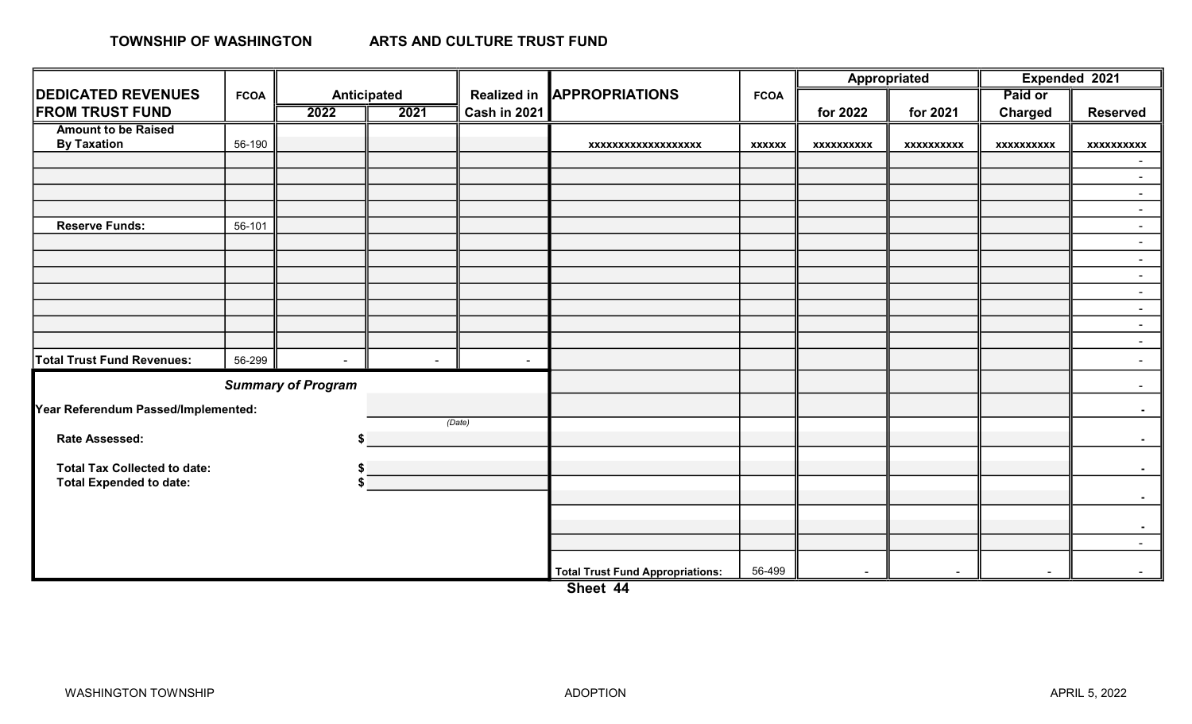### TOWNSHIP OF WASHINGTON

|                                     |             |                           |             |                     |                                         |               | Appropriated      |                   | Expended 2021     |                   |
|-------------------------------------|-------------|---------------------------|-------------|---------------------|-----------------------------------------|---------------|-------------------|-------------------|-------------------|-------------------|
| <b>DEDICATED REVENUES</b>           | <b>FCOA</b> |                           | Anticipated | <b>Realized in</b>  | <b>APPROPRIATIONS</b>                   | <b>FCOA</b>   |                   |                   | Paid or           |                   |
| <b>FROM TRUST FUND</b>              |             | 2022                      | 2021        | <b>Cash in 2021</b> |                                         |               | for 2022          | for 2021          | <b>Charged</b>    | <b>Reserved</b>   |
| <b>Amount to be Raised</b>          |             |                           |             |                     |                                         |               |                   |                   |                   |                   |
| <b>By Taxation</b>                  | 56-190      |                           |             |                     | xxxxxxxxxxxxxxxxxx                      | <b>XXXXXX</b> | <b>XXXXXXXXXX</b> | <b>XXXXXXXXXX</b> | <b>XXXXXXXXXX</b> | <b>XXXXXXXXXX</b> |
|                                     |             |                           |             |                     |                                         |               |                   |                   |                   |                   |
|                                     |             |                           |             |                     |                                         |               |                   |                   |                   | $\sim$            |
|                                     |             |                           |             |                     |                                         |               |                   |                   |                   | $\sim$            |
|                                     |             |                           |             |                     |                                         |               |                   |                   |                   | $\sim$            |
| <b>Reserve Funds:</b>               | 56-101      |                           |             |                     |                                         |               |                   |                   |                   | $\sim$            |
|                                     |             |                           |             |                     |                                         |               |                   |                   |                   | $\sim$            |
|                                     |             |                           |             |                     |                                         |               |                   |                   |                   | $\sim$            |
|                                     |             |                           |             |                     |                                         |               |                   |                   |                   | $\sim$            |
|                                     |             |                           |             |                     |                                         |               |                   |                   |                   | $\sim$            |
|                                     |             |                           |             |                     |                                         |               |                   |                   |                   | $\sim$            |
|                                     |             |                           |             |                     |                                         |               |                   |                   |                   | $\sim$            |
|                                     |             |                           |             |                     |                                         |               |                   |                   |                   | $\sim$            |
| <b>Total Trust Fund Revenues:</b>   | 56-299      | $\sim$                    | $\sim$      | $\sim$              |                                         |               |                   |                   |                   | $\sim$            |
|                                     |             | <b>Summary of Program</b> |             |                     |                                         |               |                   |                   |                   |                   |
| Year Referendum Passed/Implemented: |             |                           |             |                     |                                         |               |                   |                   |                   |                   |
|                                     |             |                           |             | (Date)              |                                         |               |                   |                   |                   |                   |
| Rate Assessed:                      |             |                           |             |                     |                                         |               |                   |                   |                   |                   |
|                                     |             |                           |             |                     |                                         |               |                   |                   |                   |                   |
| <b>Total Tax Collected to date:</b> |             |                           |             |                     |                                         |               |                   |                   |                   |                   |
| <b>Total Expended to date:</b>      |             |                           |             |                     |                                         |               |                   |                   |                   | $\sim 100$        |
|                                     |             |                           |             |                     |                                         |               |                   |                   |                   |                   |
|                                     |             |                           |             |                     |                                         |               |                   |                   |                   |                   |
|                                     |             |                           |             |                     |                                         |               |                   |                   |                   | $\sim$            |
|                                     |             |                           |             |                     | <b>Total Trust Fund Appropriations:</b> | 56-499        | $\blacksquare$    | $\blacksquare$    |                   |                   |

Sheet 44